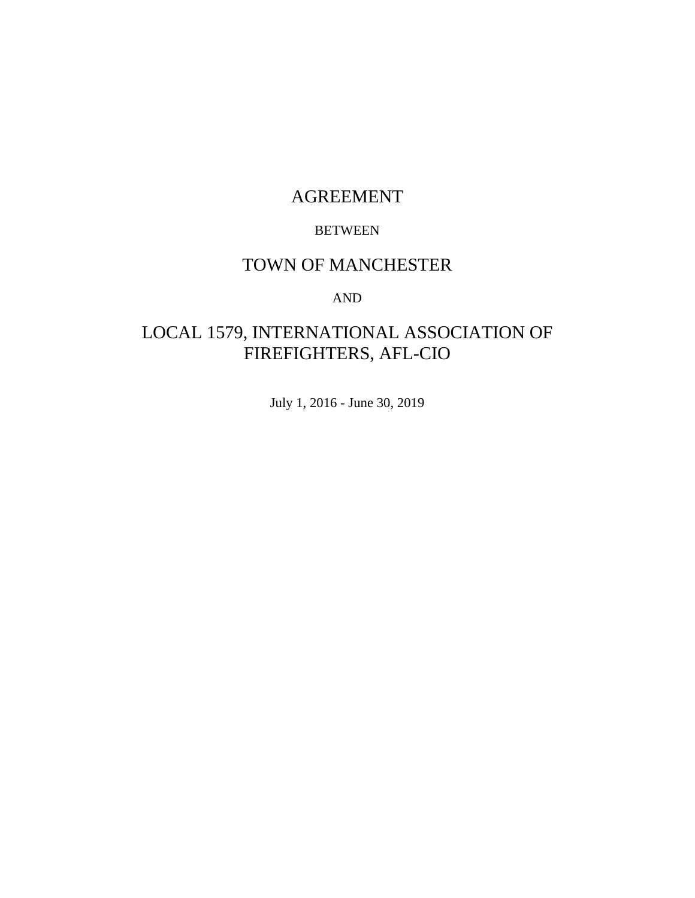# AGREEMENT

#### BETWEEN

# TOWN OF MANCHESTER

#### AND

# LOCAL 1579, INTERNATIONAL ASSOCIATION OF FIREFIGHTERS, AFL-CIO

July 1, 2016 - June 30, 2019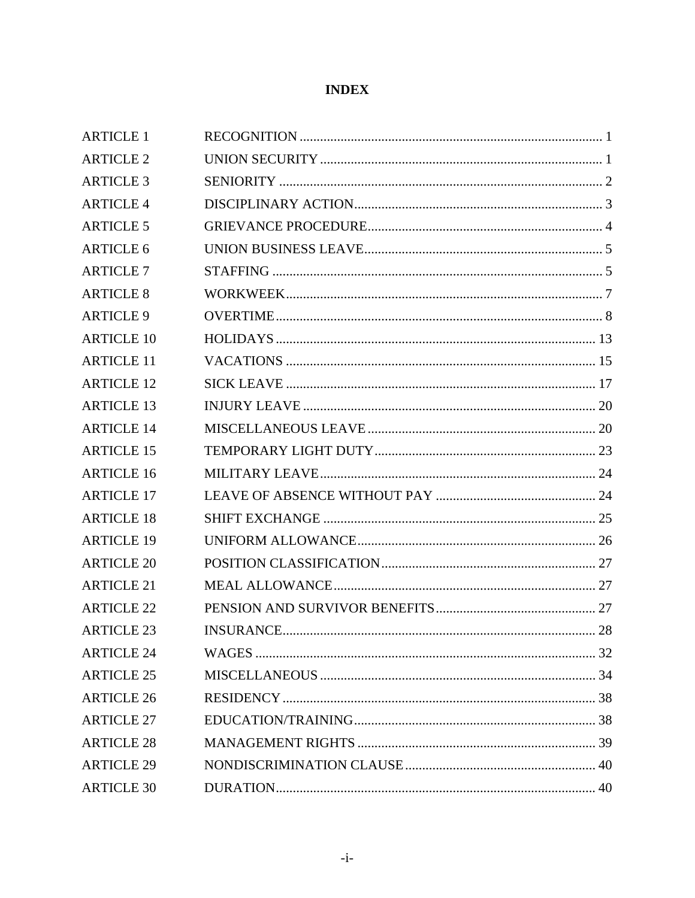### **INDEX**

| <b>ARTICLE 1</b>  |  |
|-------------------|--|
| <b>ARTICLE 2</b>  |  |
| <b>ARTICLE 3</b>  |  |
| <b>ARTICLE 4</b>  |  |
| <b>ARTICLE 5</b>  |  |
| <b>ARTICLE 6</b>  |  |
| <b>ARTICLE 7</b>  |  |
| <b>ARTICLE 8</b>  |  |
| <b>ARTICLE 9</b>  |  |
| <b>ARTICLE 10</b> |  |
| <b>ARTICLE 11</b> |  |
| <b>ARTICLE 12</b> |  |
| <b>ARTICLE 13</b> |  |
| <b>ARTICLE 14</b> |  |
| <b>ARTICLE 15</b> |  |
| <b>ARTICLE 16</b> |  |
| <b>ARTICLE 17</b> |  |
| <b>ARTICLE 18</b> |  |
| <b>ARTICLE 19</b> |  |
| <b>ARTICLE 20</b> |  |
| <b>ARTICLE 21</b> |  |
| <b>ARTICLE 22</b> |  |
| <b>ARTICLE 23</b> |  |
| <b>ARTICLE 24</b> |  |
| <b>ARTICLE 25</b> |  |
| <b>ARTICLE 26</b> |  |
| <b>ARTICLE 27</b> |  |
| <b>ARTICLE 28</b> |  |
| <b>ARTICLE 29</b> |  |
| <b>ARTICLE 30</b> |  |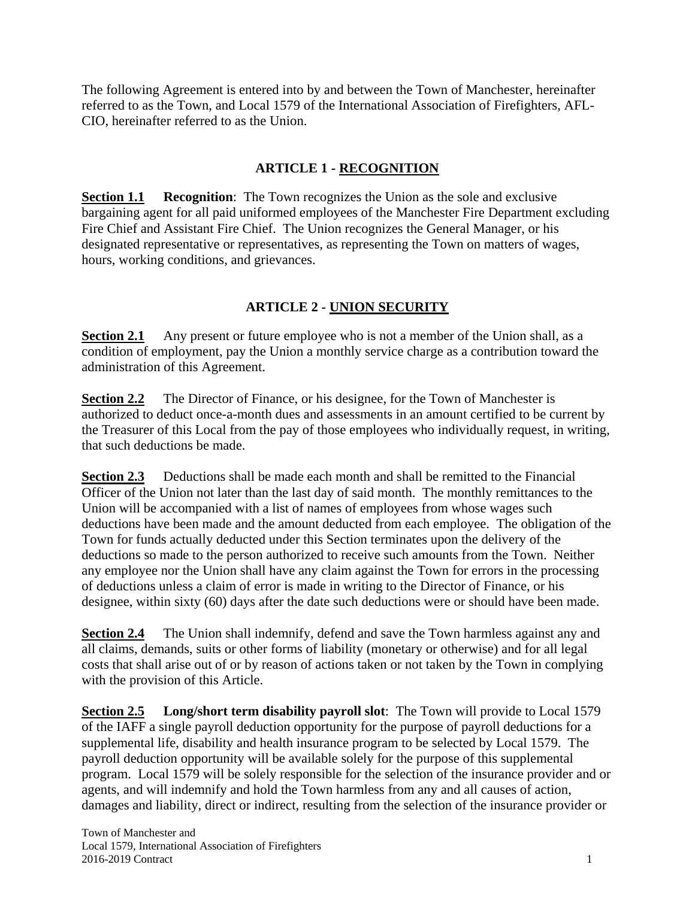The following Agreement is entered into by and between the Town of Manchester, hereinafter referred to as the Town, and Local 1579 of the International Association of Firefighters, AFL-CIO, hereinafter referred to as the Union.

### **ARTICLE 1 - RECOGNITION**

**Section 1.1** Recognition: The Town recognizes the Union as the sole and exclusive bargaining agent for all paid uniformed employees of the Manchester Fire Department excluding Fire Chief and Assistant Fire Chief. The Union recognizes the General Manager, or his designated representative or representatives, as representing the Town on matters of wages, hours, working conditions, and grievances.

#### **ARTICLE 2 - UNION SECURITY**

**Section 2.1** Any present or future employee who is not a member of the Union shall, as a condition of employment, pay the Union a monthly service charge as a contribution toward the administration of this Agreement.

**Section 2.2** The Director of Finance, or his designee, for the Town of Manchester is authorized to deduct once-a-month dues and assessments in an amount certified to be current by the Treasurer of this Local from the pay of those employees who individually request, in writing, that such deductions be made.

**Section 2.3** Deductions shall be made each month and shall be remitted to the Financial Officer of the Union not later than the last day of said month. The monthly remittances to the Union will be accompanied with a list of names of employees from whose wages such deductions have been made and the amount deducted from each employee. The obligation of the Town for funds actually deducted under this Section terminates upon the delivery of the deductions so made to the person authorized to receive such amounts from the Town. Neither any employee nor the Union shall have any claim against the Town for errors in the processing of deductions unless a claim of error is made in writing to the Director of Finance, or his designee, within sixty (60) days after the date such deductions were or should have been made.

**Section 2.4** The Union shall indemnify, defend and save the Town harmless against any and all claims, demands, suits or other forms of liability (monetary or otherwise) and for all legal costs that shall arise out of or by reason of actions taken or not taken by the Town in complying with the provision of this Article.

**Section 2.5 Long/short term disability payroll slot**: The Town will provide to Local 1579 of the IAFF a single payroll deduction opportunity for the purpose of payroll deductions for a supplemental life, disability and health insurance program to be selected by Local 1579. The payroll deduction opportunity will be available solely for the purpose of this supplemental program. Local 1579 will be solely responsible for the selection of the insurance provider and or agents, and will indemnify and hold the Town harmless from any and all causes of action, damages and liability, direct or indirect, resulting from the selection of the insurance provider or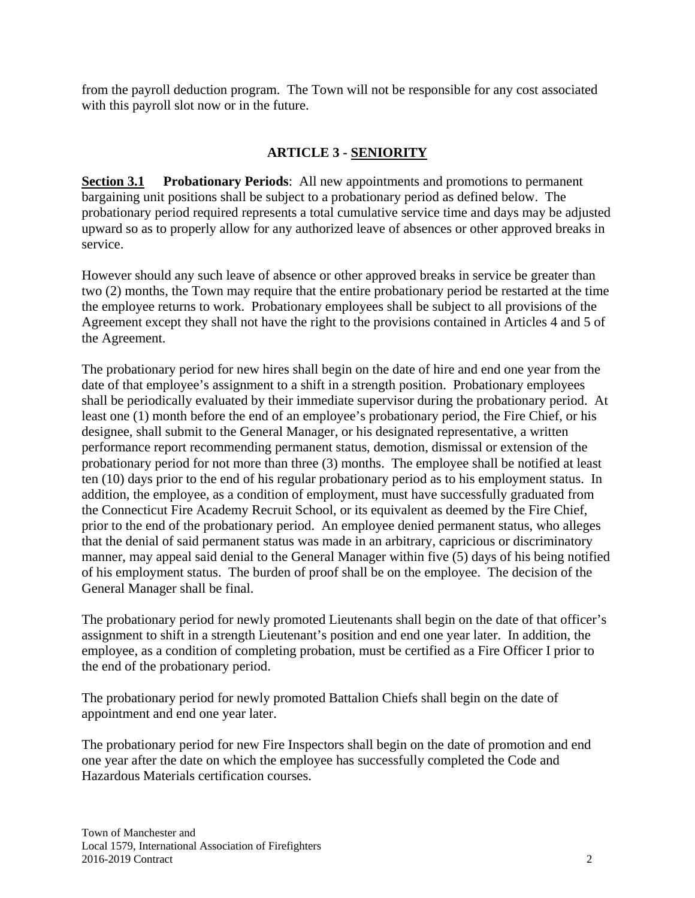from the payroll deduction program. The Town will not be responsible for any cost associated with this payroll slot now or in the future.

#### **ARTICLE 3 - SENIORITY**

**Section 3.1 Probationary Periods**: All new appointments and promotions to permanent bargaining unit positions shall be subject to a probationary period as defined below. The probationary period required represents a total cumulative service time and days may be adjusted upward so as to properly allow for any authorized leave of absences or other approved breaks in service.

However should any such leave of absence or other approved breaks in service be greater than two (2) months, the Town may require that the entire probationary period be restarted at the time the employee returns to work. Probationary employees shall be subject to all provisions of the Agreement except they shall not have the right to the provisions contained in Articles 4 and 5 of the Agreement.

The probationary period for new hires shall begin on the date of hire and end one year from the date of that employee's assignment to a shift in a strength position. Probationary employees shall be periodically evaluated by their immediate supervisor during the probationary period. At least one (1) month before the end of an employee's probationary period, the Fire Chief, or his designee, shall submit to the General Manager, or his designated representative, a written performance report recommending permanent status, demotion, dismissal or extension of the probationary period for not more than three (3) months. The employee shall be notified at least ten (10) days prior to the end of his regular probationary period as to his employment status. In addition, the employee, as a condition of employment, must have successfully graduated from the Connecticut Fire Academy Recruit School, or its equivalent as deemed by the Fire Chief, prior to the end of the probationary period. An employee denied permanent status, who alleges that the denial of said permanent status was made in an arbitrary, capricious or discriminatory manner, may appeal said denial to the General Manager within five (5) days of his being notified of his employment status. The burden of proof shall be on the employee. The decision of the General Manager shall be final.

The probationary period for newly promoted Lieutenants shall begin on the date of that officer's assignment to shift in a strength Lieutenant's position and end one year later. In addition, the employee, as a condition of completing probation, must be certified as a Fire Officer I prior to the end of the probationary period.

The probationary period for newly promoted Battalion Chiefs shall begin on the date of appointment and end one year later.

The probationary period for new Fire Inspectors shall begin on the date of promotion and end one year after the date on which the employee has successfully completed the Code and Hazardous Materials certification courses.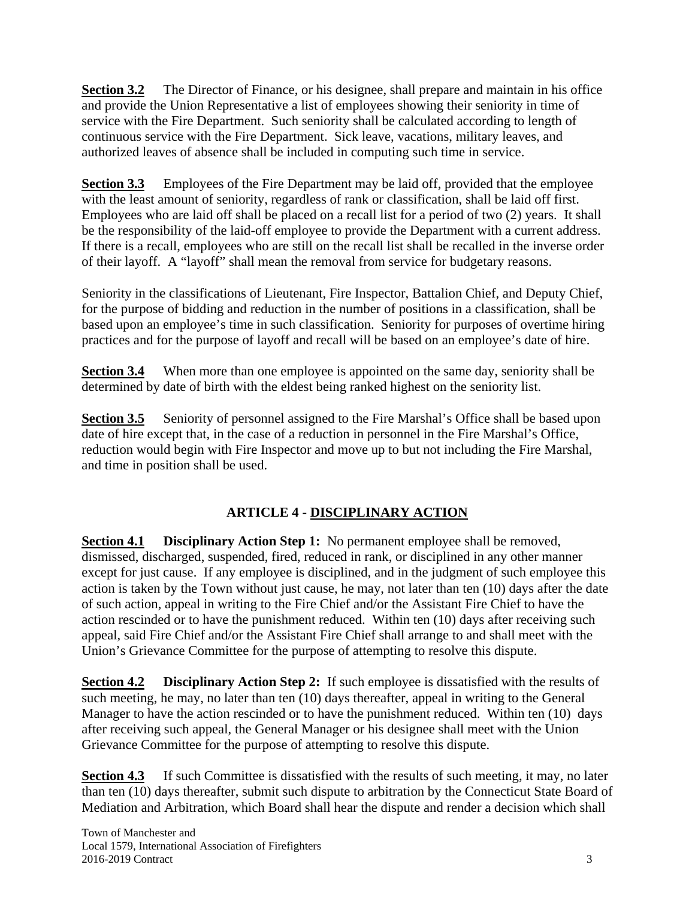**Section 3.2** The Director of Finance, or his designee, shall prepare and maintain in his office and provide the Union Representative a list of employees showing their seniority in time of service with the Fire Department. Such seniority shall be calculated according to length of continuous service with the Fire Department. Sick leave, vacations, military leaves, and authorized leaves of absence shall be included in computing such time in service.

**Section 3.3** Employees of the Fire Department may be laid off, provided that the employee with the least amount of seniority, regardless of rank or classification, shall be laid off first. Employees who are laid off shall be placed on a recall list for a period of two (2) years. It shall be the responsibility of the laid-off employee to provide the Department with a current address. If there is a recall, employees who are still on the recall list shall be recalled in the inverse order of their layoff. A "layoff" shall mean the removal from service for budgetary reasons.

Seniority in the classifications of Lieutenant, Fire Inspector, Battalion Chief, and Deputy Chief, for the purpose of bidding and reduction in the number of positions in a classification, shall be based upon an employee's time in such classification. Seniority for purposes of overtime hiring practices and for the purpose of layoff and recall will be based on an employee's date of hire.

**Section 3.4** When more than one employee is appointed on the same day, seniority shall be determined by date of birth with the eldest being ranked highest on the seniority list.

**Section 3.5** Seniority of personnel assigned to the Fire Marshal's Office shall be based upon date of hire except that, in the case of a reduction in personnel in the Fire Marshal's Office, reduction would begin with Fire Inspector and move up to but not including the Fire Marshal, and time in position shall be used.

# **ARTICLE 4 - DISCIPLINARY ACTION**

**Section 4.1 Disciplinary Action Step 1:** No permanent employee shall be removed, dismissed, discharged, suspended, fired, reduced in rank, or disciplined in any other manner except for just cause. If any employee is disciplined, and in the judgment of such employee this action is taken by the Town without just cause, he may, not later than ten (10) days after the date of such action, appeal in writing to the Fire Chief and/or the Assistant Fire Chief to have the action rescinded or to have the punishment reduced. Within ten (10) days after receiving such appeal, said Fire Chief and/or the Assistant Fire Chief shall arrange to and shall meet with the Union's Grievance Committee for the purpose of attempting to resolve this dispute.

**Section 4.2** Disciplinary Action Step 2: If such employee is dissatisfied with the results of such meeting, he may, no later than ten (10) days thereafter, appeal in writing to the General Manager to have the action rescinded or to have the punishment reduced. Within ten (10) days after receiving such appeal, the General Manager or his designee shall meet with the Union Grievance Committee for the purpose of attempting to resolve this dispute.

**Section 4.3** If such Committee is dissatisfied with the results of such meeting, it may, no later than ten (10) days thereafter, submit such dispute to arbitration by the Connecticut State Board of Mediation and Arbitration, which Board shall hear the dispute and render a decision which shall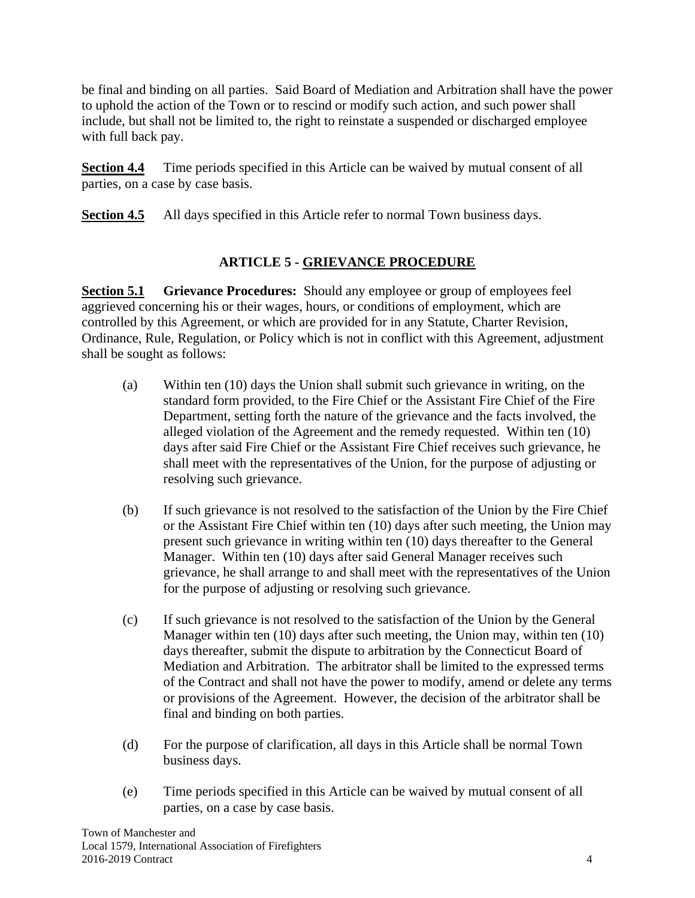be final and binding on all parties. Said Board of Mediation and Arbitration shall have the power to uphold the action of the Town or to rescind or modify such action, and such power shall include, but shall not be limited to, the right to reinstate a suspended or discharged employee with full back pay.

**Section 4.4** Time periods specified in this Article can be waived by mutual consent of all parties, on a case by case basis.

**Section 4.5** All days specified in this Article refer to normal Town business days.

# **ARTICLE 5 - GRIEVANCE PROCEDURE**

**Section 5.1 Grievance Procedures:** Should any employee or group of employees feel aggrieved concerning his or their wages, hours, or conditions of employment, which are controlled by this Agreement, or which are provided for in any Statute, Charter Revision, Ordinance, Rule, Regulation, or Policy which is not in conflict with this Agreement, adjustment shall be sought as follows:

- (a) Within ten (10) days the Union shall submit such grievance in writing, on the standard form provided, to the Fire Chief or the Assistant Fire Chief of the Fire Department, setting forth the nature of the grievance and the facts involved, the alleged violation of the Agreement and the remedy requested. Within ten (10) days after said Fire Chief or the Assistant Fire Chief receives such grievance, he shall meet with the representatives of the Union, for the purpose of adjusting or resolving such grievance.
- (b) If such grievance is not resolved to the satisfaction of the Union by the Fire Chief or the Assistant Fire Chief within ten (10) days after such meeting, the Union may present such grievance in writing within ten (10) days thereafter to the General Manager. Within ten (10) days after said General Manager receives such grievance, he shall arrange to and shall meet with the representatives of the Union for the purpose of adjusting or resolving such grievance.
- (c) If such grievance is not resolved to the satisfaction of the Union by the General Manager within ten (10) days after such meeting, the Union may, within ten (10) days thereafter, submit the dispute to arbitration by the Connecticut Board of Mediation and Arbitration. The arbitrator shall be limited to the expressed terms of the Contract and shall not have the power to modify, amend or delete any terms or provisions of the Agreement. However, the decision of the arbitrator shall be final and binding on both parties.
- (d) For the purpose of clarification, all days in this Article shall be normal Town business days.
- (e) Time periods specified in this Article can be waived by mutual consent of all parties, on a case by case basis.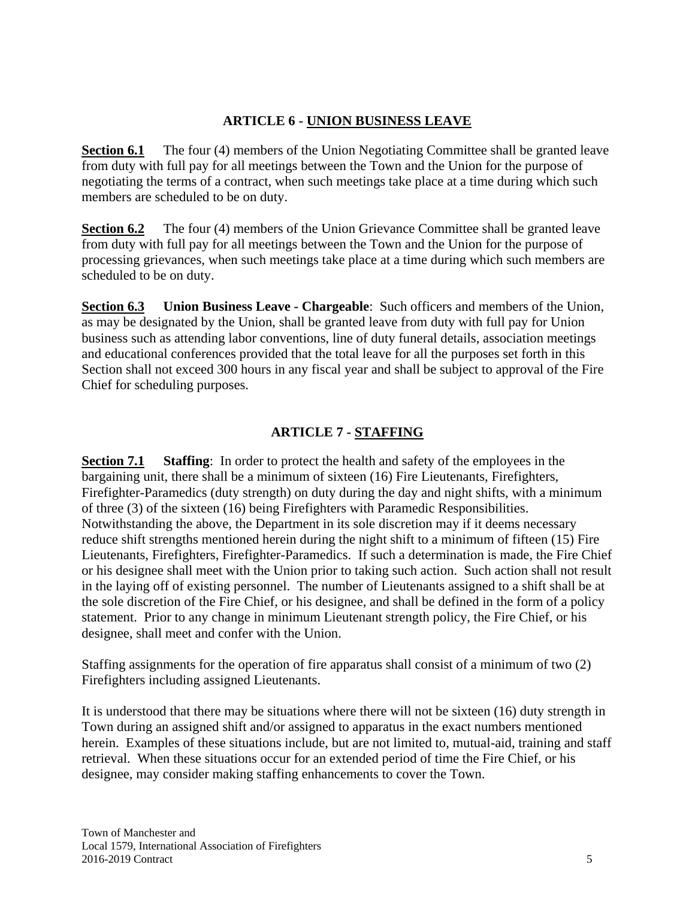#### **ARTICLE 6 - UNION BUSINESS LEAVE**

**Section 6.1** The four (4) members of the Union Negotiating Committee shall be granted leave from duty with full pay for all meetings between the Town and the Union for the purpose of negotiating the terms of a contract, when such meetings take place at a time during which such members are scheduled to be on duty.

**Section 6.2** The four (4) members of the Union Grievance Committee shall be granted leave from duty with full pay for all meetings between the Town and the Union for the purpose of processing grievances, when such meetings take place at a time during which such members are scheduled to be on duty.

**Section 6.3 Union Business Leave - Chargeable**: Such officers and members of the Union, as may be designated by the Union, shall be granted leave from duty with full pay for Union business such as attending labor conventions, line of duty funeral details, association meetings and educational conferences provided that the total leave for all the purposes set forth in this Section shall not exceed 300 hours in any fiscal year and shall be subject to approval of the Fire Chief for scheduling purposes.

#### **ARTICLE 7 - STAFFING**

**Section 7.1** Staffing: In order to protect the health and safety of the employees in the bargaining unit, there shall be a minimum of sixteen (16) Fire Lieutenants, Firefighters, Firefighter-Paramedics (duty strength) on duty during the day and night shifts, with a minimum of three (3) of the sixteen (16) being Firefighters with Paramedic Responsibilities. Notwithstanding the above, the Department in its sole discretion may if it deems necessary reduce shift strengths mentioned herein during the night shift to a minimum of fifteen (15) Fire Lieutenants, Firefighters, Firefighter-Paramedics. If such a determination is made, the Fire Chief or his designee shall meet with the Union prior to taking such action. Such action shall not result in the laying off of existing personnel. The number of Lieutenants assigned to a shift shall be at the sole discretion of the Fire Chief, or his designee, and shall be defined in the form of a policy statement. Prior to any change in minimum Lieutenant strength policy, the Fire Chief, or his designee, shall meet and confer with the Union.

Staffing assignments for the operation of fire apparatus shall consist of a minimum of two (2) Firefighters including assigned Lieutenants.

It is understood that there may be situations where there will not be sixteen (16) duty strength in Town during an assigned shift and/or assigned to apparatus in the exact numbers mentioned herein. Examples of these situations include, but are not limited to, mutual-aid, training and staff retrieval. When these situations occur for an extended period of time the Fire Chief, or his designee, may consider making staffing enhancements to cover the Town.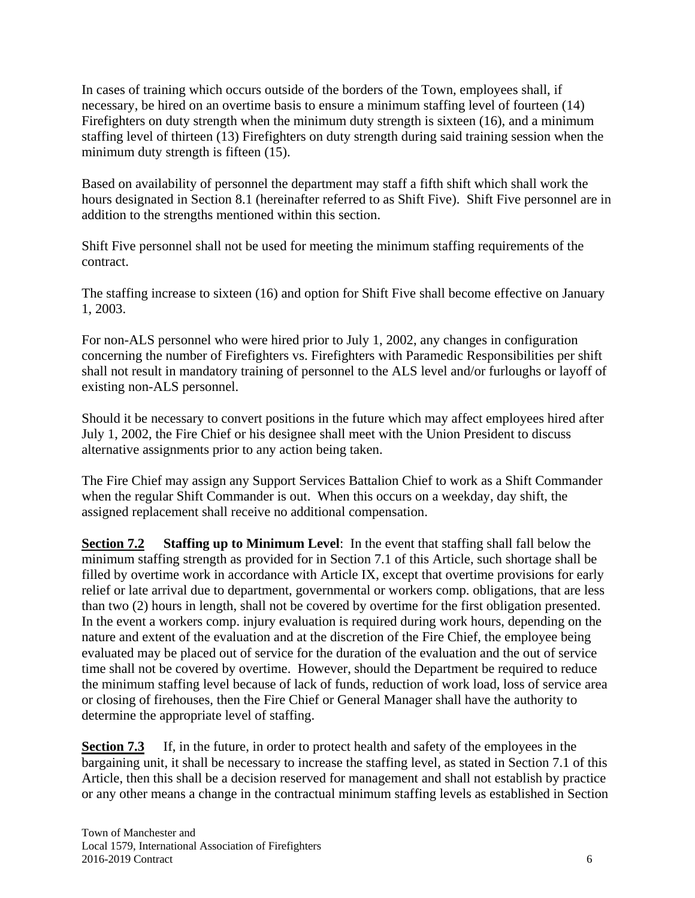In cases of training which occurs outside of the borders of the Town, employees shall, if necessary, be hired on an overtime basis to ensure a minimum staffing level of fourteen (14) Firefighters on duty strength when the minimum duty strength is sixteen (16), and a minimum staffing level of thirteen (13) Firefighters on duty strength during said training session when the minimum duty strength is fifteen (15).

Based on availability of personnel the department may staff a fifth shift which shall work the hours designated in Section 8.1 (hereinafter referred to as Shift Five). Shift Five personnel are in addition to the strengths mentioned within this section.

Shift Five personnel shall not be used for meeting the minimum staffing requirements of the contract.

The staffing increase to sixteen (16) and option for Shift Five shall become effective on January 1, 2003.

For non-ALS personnel who were hired prior to July 1, 2002, any changes in configuration concerning the number of Firefighters vs. Firefighters with Paramedic Responsibilities per shift shall not result in mandatory training of personnel to the ALS level and/or furloughs or layoff of existing non-ALS personnel.

Should it be necessary to convert positions in the future which may affect employees hired after July 1, 2002, the Fire Chief or his designee shall meet with the Union President to discuss alternative assignments prior to any action being taken.

The Fire Chief may assign any Support Services Battalion Chief to work as a Shift Commander when the regular Shift Commander is out. When this occurs on a weekday, day shift, the assigned replacement shall receive no additional compensation.

**Section 7.2 Staffing up to Minimum Level**: In the event that staffing shall fall below the minimum staffing strength as provided for in Section 7.1 of this Article, such shortage shall be filled by overtime work in accordance with Article IX, except that overtime provisions for early relief or late arrival due to department, governmental or workers comp. obligations, that are less than two (2) hours in length, shall not be covered by overtime for the first obligation presented. In the event a workers comp. injury evaluation is required during work hours, depending on the nature and extent of the evaluation and at the discretion of the Fire Chief, the employee being evaluated may be placed out of service for the duration of the evaluation and the out of service time shall not be covered by overtime. However, should the Department be required to reduce the minimum staffing level because of lack of funds, reduction of work load, loss of service area or closing of firehouses, then the Fire Chief or General Manager shall have the authority to determine the appropriate level of staffing.

**Section 7.3** If, in the future, in order to protect health and safety of the employees in the bargaining unit, it shall be necessary to increase the staffing level, as stated in Section 7.1 of this Article, then this shall be a decision reserved for management and shall not establish by practice or any other means a change in the contractual minimum staffing levels as established in Section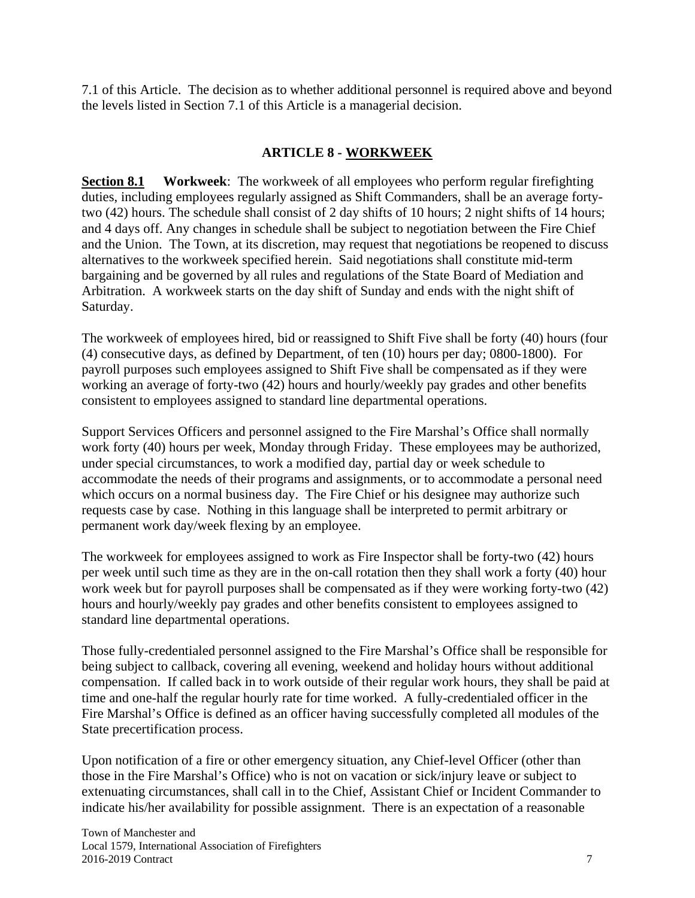7.1 of this Article. The decision as to whether additional personnel is required above and beyond the levels listed in Section 7.1 of this Article is a managerial decision.

#### **ARTICLE 8 - WORKWEEK**

**Section 8.1 Workweek**: The workweek of all employees who perform regular firefighting duties, including employees regularly assigned as Shift Commanders, shall be an average fortytwo (42) hours. The schedule shall consist of 2 day shifts of 10 hours; 2 night shifts of 14 hours; and 4 days off. Any changes in schedule shall be subject to negotiation between the Fire Chief and the Union. The Town, at its discretion, may request that negotiations be reopened to discuss alternatives to the workweek specified herein. Said negotiations shall constitute mid-term bargaining and be governed by all rules and regulations of the State Board of Mediation and Arbitration. A workweek starts on the day shift of Sunday and ends with the night shift of Saturday.

The workweek of employees hired, bid or reassigned to Shift Five shall be forty (40) hours (four (4) consecutive days, as defined by Department, of ten (10) hours per day; 0800-1800). For payroll purposes such employees assigned to Shift Five shall be compensated as if they were working an average of forty-two (42) hours and hourly/weekly pay grades and other benefits consistent to employees assigned to standard line departmental operations.

Support Services Officers and personnel assigned to the Fire Marshal's Office shall normally work forty (40) hours per week, Monday through Friday. These employees may be authorized, under special circumstances, to work a modified day, partial day or week schedule to accommodate the needs of their programs and assignments, or to accommodate a personal need which occurs on a normal business day. The Fire Chief or his designee may authorize such requests case by case. Nothing in this language shall be interpreted to permit arbitrary or permanent work day/week flexing by an employee.

The workweek for employees assigned to work as Fire Inspector shall be forty-two (42) hours per week until such time as they are in the on-call rotation then they shall work a forty (40) hour work week but for payroll purposes shall be compensated as if they were working forty-two (42) hours and hourly/weekly pay grades and other benefits consistent to employees assigned to standard line departmental operations.

Those fully-credentialed personnel assigned to the Fire Marshal's Office shall be responsible for being subject to callback, covering all evening, weekend and holiday hours without additional compensation. If called back in to work outside of their regular work hours, they shall be paid at time and one-half the regular hourly rate for time worked. A fully-credentialed officer in the Fire Marshal's Office is defined as an officer having successfully completed all modules of the State precertification process.

Upon notification of a fire or other emergency situation, any Chief-level Officer (other than those in the Fire Marshal's Office) who is not on vacation or sick/injury leave or subject to extenuating circumstances, shall call in to the Chief, Assistant Chief or Incident Commander to indicate his/her availability for possible assignment. There is an expectation of a reasonable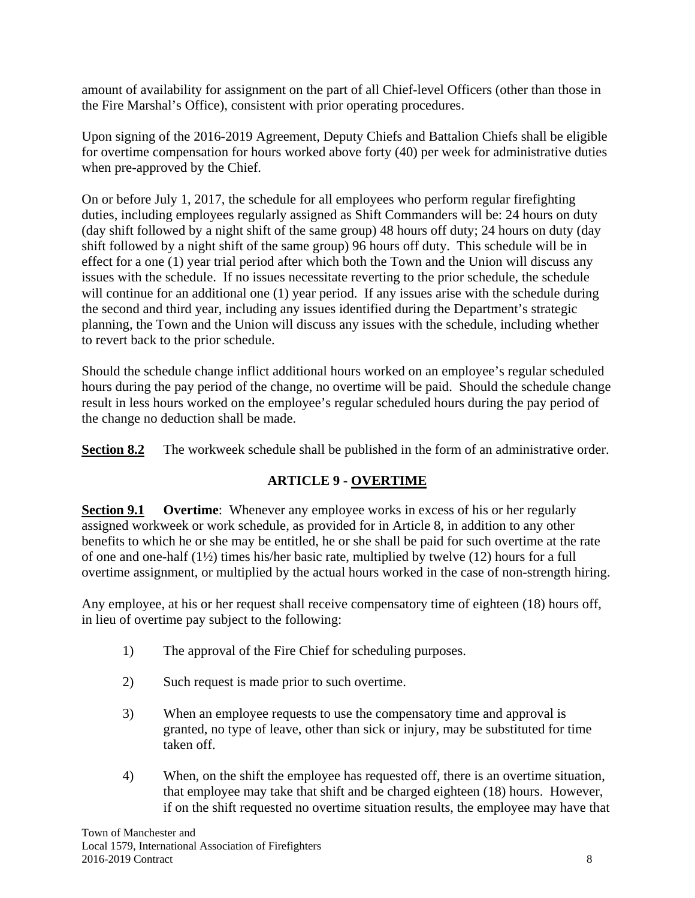amount of availability for assignment on the part of all Chief-level Officers (other than those in the Fire Marshal's Office), consistent with prior operating procedures.

Upon signing of the 2016-2019 Agreement, Deputy Chiefs and Battalion Chiefs shall be eligible for overtime compensation for hours worked above forty (40) per week for administrative duties when pre-approved by the Chief.

On or before July 1, 2017, the schedule for all employees who perform regular firefighting duties, including employees regularly assigned as Shift Commanders will be: 24 hours on duty (day shift followed by a night shift of the same group) 48 hours off duty; 24 hours on duty (day shift followed by a night shift of the same group) 96 hours off duty. This schedule will be in effect for a one (1) year trial period after which both the Town and the Union will discuss any issues with the schedule. If no issues necessitate reverting to the prior schedule, the schedule will continue for an additional one (1) year period. If any issues arise with the schedule during the second and third year, including any issues identified during the Department's strategic planning, the Town and the Union will discuss any issues with the schedule, including whether to revert back to the prior schedule.

Should the schedule change inflict additional hours worked on an employee's regular scheduled hours during the pay period of the change, no overtime will be paid. Should the schedule change result in less hours worked on the employee's regular scheduled hours during the pay period of the change no deduction shall be made.

**Section 8.2** The workweek schedule shall be published in the form of an administrative order.

# **ARTICLE 9 - OVERTIME**

**Section 9.1 Overtime**: Whenever any employee works in excess of his or her regularly assigned workweek or work schedule, as provided for in Article 8, in addition to any other benefits to which he or she may be entitled, he or she shall be paid for such overtime at the rate of one and one-half (1½) times his/her basic rate, multiplied by twelve (12) hours for a full overtime assignment, or multiplied by the actual hours worked in the case of non-strength hiring.

Any employee, at his or her request shall receive compensatory time of eighteen (18) hours off, in lieu of overtime pay subject to the following:

- 1) The approval of the Fire Chief for scheduling purposes.
- 2) Such request is made prior to such overtime.
- 3) When an employee requests to use the compensatory time and approval is granted, no type of leave, other than sick or injury, may be substituted for time taken off.
- 4) When, on the shift the employee has requested off, there is an overtime situation, that employee may take that shift and be charged eighteen (18) hours. However, if on the shift requested no overtime situation results, the employee may have that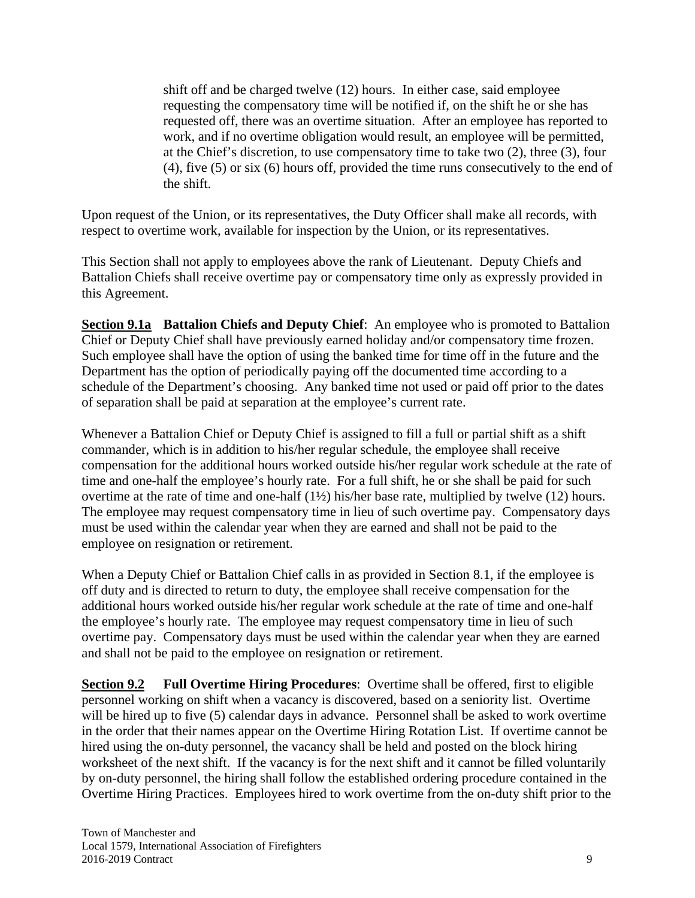shift off and be charged twelve (12) hours. In either case, said employee requesting the compensatory time will be notified if, on the shift he or she has requested off, there was an overtime situation. After an employee has reported to work, and if no overtime obligation would result, an employee will be permitted, at the Chief's discretion, to use compensatory time to take two (2), three (3), four (4), five (5) or six (6) hours off, provided the time runs consecutively to the end of the shift.

Upon request of the Union, or its representatives, the Duty Officer shall make all records, with respect to overtime work, available for inspection by the Union, or its representatives.

This Section shall not apply to employees above the rank of Lieutenant. Deputy Chiefs and Battalion Chiefs shall receive overtime pay or compensatory time only as expressly provided in this Agreement.

**Section 9.1a Battalion Chiefs and Deputy Chief**: An employee who is promoted to Battalion Chief or Deputy Chief shall have previously earned holiday and/or compensatory time frozen. Such employee shall have the option of using the banked time for time off in the future and the Department has the option of periodically paying off the documented time according to a schedule of the Department's choosing. Any banked time not used or paid off prior to the dates of separation shall be paid at separation at the employee's current rate.

Whenever a Battalion Chief or Deputy Chief is assigned to fill a full or partial shift as a shift commander, which is in addition to his/her regular schedule, the employee shall receive compensation for the additional hours worked outside his/her regular work schedule at the rate of time and one-half the employee's hourly rate. For a full shift, he or she shall be paid for such overtime at the rate of time and one-half (1½) his/her base rate, multiplied by twelve (12) hours. The employee may request compensatory time in lieu of such overtime pay. Compensatory days must be used within the calendar year when they are earned and shall not be paid to the employee on resignation or retirement.

When a Deputy Chief or Battalion Chief calls in as provided in Section 8.1, if the employee is off duty and is directed to return to duty, the employee shall receive compensation for the additional hours worked outside his/her regular work schedule at the rate of time and one-half the employee's hourly rate. The employee may request compensatory time in lieu of such overtime pay. Compensatory days must be used within the calendar year when they are earned and shall not be paid to the employee on resignation or retirement.

**Section 9.2 Full Overtime Hiring Procedures**: Overtime shall be offered, first to eligible personnel working on shift when a vacancy is discovered, based on a seniority list. Overtime will be hired up to five (5) calendar days in advance. Personnel shall be asked to work overtime in the order that their names appear on the Overtime Hiring Rotation List. If overtime cannot be hired using the on-duty personnel, the vacancy shall be held and posted on the block hiring worksheet of the next shift. If the vacancy is for the next shift and it cannot be filled voluntarily by on-duty personnel, the hiring shall follow the established ordering procedure contained in the Overtime Hiring Practices. Employees hired to work overtime from the on-duty shift prior to the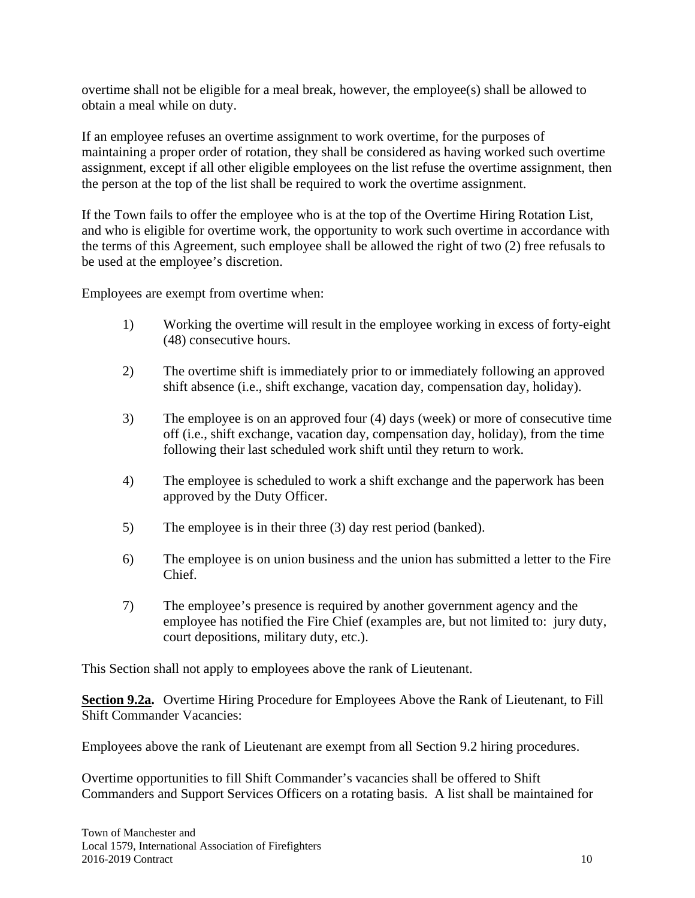overtime shall not be eligible for a meal break, however, the employee(s) shall be allowed to obtain a meal while on duty.

If an employee refuses an overtime assignment to work overtime, for the purposes of maintaining a proper order of rotation, they shall be considered as having worked such overtime assignment, except if all other eligible employees on the list refuse the overtime assignment, then the person at the top of the list shall be required to work the overtime assignment.

If the Town fails to offer the employee who is at the top of the Overtime Hiring Rotation List, and who is eligible for overtime work, the opportunity to work such overtime in accordance with the terms of this Agreement, such employee shall be allowed the right of two (2) free refusals to be used at the employee's discretion.

Employees are exempt from overtime when:

- 1) Working the overtime will result in the employee working in excess of forty-eight (48) consecutive hours.
- 2) The overtime shift is immediately prior to or immediately following an approved shift absence (i.e., shift exchange, vacation day, compensation day, holiday).
- 3) The employee is on an approved four (4) days (week) or more of consecutive time off (i.e., shift exchange, vacation day, compensation day, holiday), from the time following their last scheduled work shift until they return to work.
- 4) The employee is scheduled to work a shift exchange and the paperwork has been approved by the Duty Officer.
- 5) The employee is in their three (3) day rest period (banked).
- 6) The employee is on union business and the union has submitted a letter to the Fire Chief.
- 7) The employee's presence is required by another government agency and the employee has notified the Fire Chief (examples are, but not limited to: jury duty, court depositions, military duty, etc.).

This Section shall not apply to employees above the rank of Lieutenant.

**Section 9.2a.** Overtime Hiring Procedure for Employees Above the Rank of Lieutenant, to Fill Shift Commander Vacancies:

Employees above the rank of Lieutenant are exempt from all Section 9.2 hiring procedures.

Overtime opportunities to fill Shift Commander's vacancies shall be offered to Shift Commanders and Support Services Officers on a rotating basis. A list shall be maintained for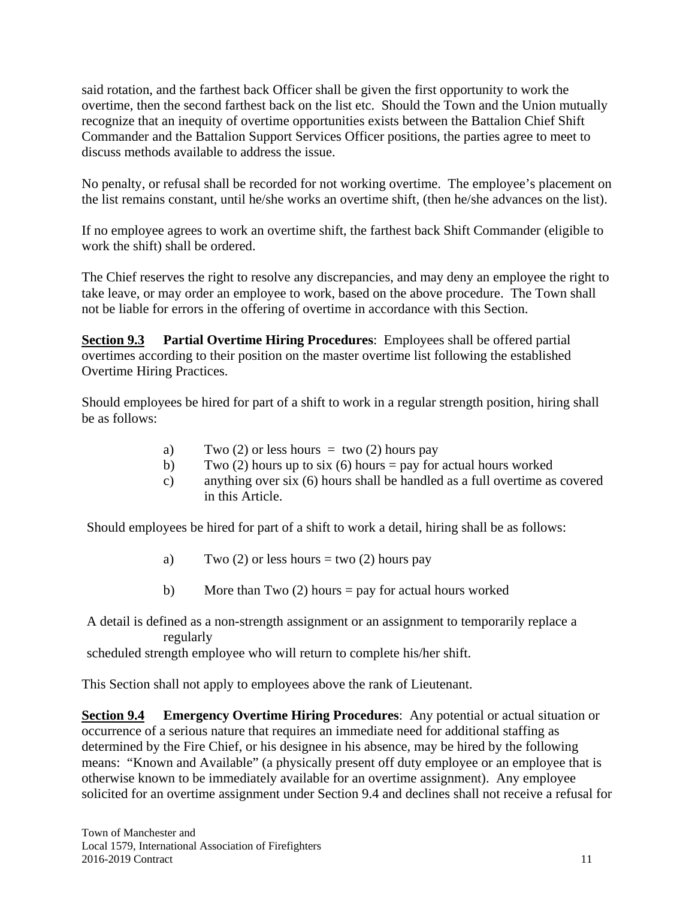said rotation, and the farthest back Officer shall be given the first opportunity to work the overtime, then the second farthest back on the list etc. Should the Town and the Union mutually recognize that an inequity of overtime opportunities exists between the Battalion Chief Shift Commander and the Battalion Support Services Officer positions, the parties agree to meet to discuss methods available to address the issue.

No penalty, or refusal shall be recorded for not working overtime. The employee's placement on the list remains constant, until he/she works an overtime shift, (then he/she advances on the list).

If no employee agrees to work an overtime shift, the farthest back Shift Commander (eligible to work the shift) shall be ordered.

The Chief reserves the right to resolve any discrepancies, and may deny an employee the right to take leave, or may order an employee to work, based on the above procedure. The Town shall not be liable for errors in the offering of overtime in accordance with this Section.

**Section 9.3 Partial Overtime Hiring Procedures**: Employees shall be offered partial overtimes according to their position on the master overtime list following the established Overtime Hiring Practices.

Should employees be hired for part of a shift to work in a regular strength position, hiring shall be as follows:

- a) Two  $(2)$  or less hours = two  $(2)$  hours pay
- b) Two (2) hours up to six (6) hours = pay for actual hours worked
- c) anything over six (6) hours shall be handled as a full overtime as covered in this Article.

Should employees be hired for part of a shift to work a detail, hiring shall be as follows:

- a) Two  $(2)$  or less hours = two  $(2)$  hours pay
- b) More than Two  $(2)$  hours = pay for actual hours worked

A detail is defined as a non-strength assignment or an assignment to temporarily replace a regularly

scheduled strength employee who will return to complete his/her shift.

This Section shall not apply to employees above the rank of Lieutenant.

**Section 9.4 Emergency Overtime Hiring Procedures**: Any potential or actual situation or occurrence of a serious nature that requires an immediate need for additional staffing as determined by the Fire Chief, or his designee in his absence, may be hired by the following means: "Known and Available" (a physically present off duty employee or an employee that is otherwise known to be immediately available for an overtime assignment). Any employee solicited for an overtime assignment under Section 9.4 and declines shall not receive a refusal for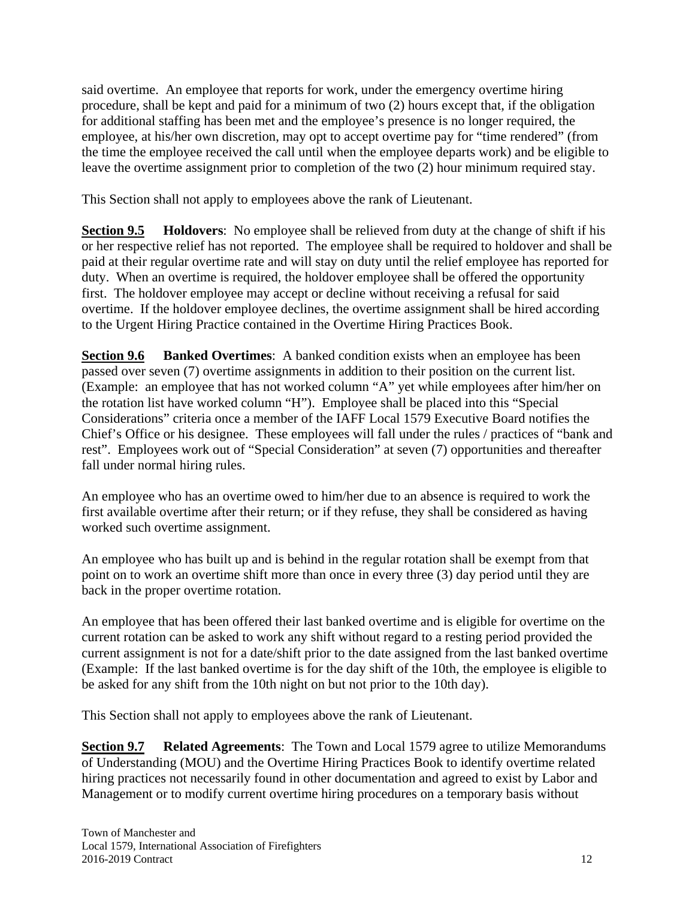said overtime. An employee that reports for work, under the emergency overtime hiring procedure, shall be kept and paid for a minimum of two (2) hours except that, if the obligation for additional staffing has been met and the employee's presence is no longer required, the employee, at his/her own discretion, may opt to accept overtime pay for "time rendered" (from the time the employee received the call until when the employee departs work) and be eligible to leave the overtime assignment prior to completion of the two (2) hour minimum required stay.

This Section shall not apply to employees above the rank of Lieutenant.

**Section 9.5 Holdovers**: No employee shall be relieved from duty at the change of shift if his or her respective relief has not reported. The employee shall be required to holdover and shall be paid at their regular overtime rate and will stay on duty until the relief employee has reported for duty. When an overtime is required, the holdover employee shall be offered the opportunity first. The holdover employee may accept or decline without receiving a refusal for said overtime. If the holdover employee declines, the overtime assignment shall be hired according to the Urgent Hiring Practice contained in the Overtime Hiring Practices Book.

**Section 9.6 Banked Overtimes**: A banked condition exists when an employee has been passed over seven (7) overtime assignments in addition to their position on the current list. (Example: an employee that has not worked column "A" yet while employees after him/her on the rotation list have worked column "H"). Employee shall be placed into this "Special Considerations" criteria once a member of the IAFF Local 1579 Executive Board notifies the Chief's Office or his designee. These employees will fall under the rules / practices of "bank and rest". Employees work out of "Special Consideration" at seven (7) opportunities and thereafter fall under normal hiring rules.

An employee who has an overtime owed to him/her due to an absence is required to work the first available overtime after their return; or if they refuse, they shall be considered as having worked such overtime assignment.

An employee who has built up and is behind in the regular rotation shall be exempt from that point on to work an overtime shift more than once in every three (3) day period until they are back in the proper overtime rotation.

An employee that has been offered their last banked overtime and is eligible for overtime on the current rotation can be asked to work any shift without regard to a resting period provided the current assignment is not for a date/shift prior to the date assigned from the last banked overtime (Example: If the last banked overtime is for the day shift of the 10th, the employee is eligible to be asked for any shift from the 10th night on but not prior to the 10th day).

This Section shall not apply to employees above the rank of Lieutenant.

**Section 9.7 Related Agreements**: The Town and Local 1579 agree to utilize Memorandums of Understanding (MOU) and the Overtime Hiring Practices Book to identify overtime related hiring practices not necessarily found in other documentation and agreed to exist by Labor and Management or to modify current overtime hiring procedures on a temporary basis without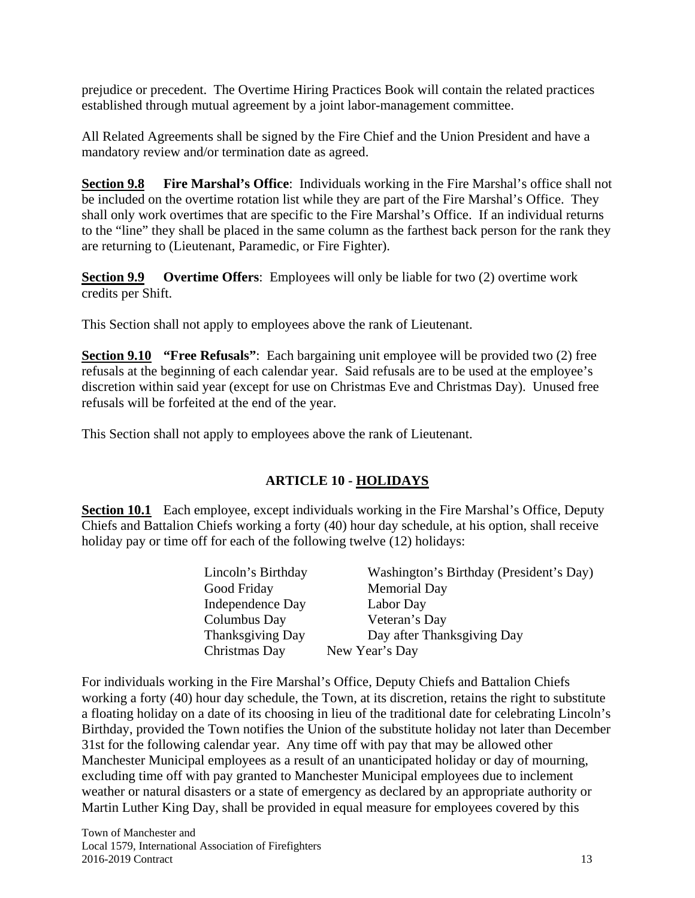prejudice or precedent. The Overtime Hiring Practices Book will contain the related practices established through mutual agreement by a joint labor-management committee.

All Related Agreements shall be signed by the Fire Chief and the Union President and have a mandatory review and/or termination date as agreed.

**Section 9.8 Fire Marshal's Office**: Individuals working in the Fire Marshal's office shall not be included on the overtime rotation list while they are part of the Fire Marshal's Office. They shall only work overtimes that are specific to the Fire Marshal's Office. If an individual returns to the "line" they shall be placed in the same column as the farthest back person for the rank they are returning to (Lieutenant, Paramedic, or Fire Fighter).

**Section 9.9 Overtime Offers**: Employees will only be liable for two (2) overtime work credits per Shift.

This Section shall not apply to employees above the rank of Lieutenant.

**Section 9.10 "Free Refusals"**: Each bargaining unit employee will be provided two (2) free refusals at the beginning of each calendar year. Said refusals are to be used at the employee's discretion within said year (except for use on Christmas Eve and Christmas Day). Unused free refusals will be forfeited at the end of the year.

This Section shall not apply to employees above the rank of Lieutenant.

#### **ARTICLE 10 - HOLIDAYS**

**Section 10.1** Each employee, except individuals working in the Fire Marshal's Office, Deputy Chiefs and Battalion Chiefs working a forty (40) hour day schedule, at his option, shall receive holiday pay or time off for each of the following twelve (12) holidays:

| Lincoln's Birthday | Washington's Birthday (President's Day) |
|--------------------|-----------------------------------------|
| Good Friday        | <b>Memorial Day</b>                     |
| Independence Day   | Labor Day                               |
| Columbus Day       | Veteran's Day                           |
| Thanksgiving Day   | Day after Thanksgiving Day              |
| Christmas Day      | New Year's Day                          |
|                    |                                         |

For individuals working in the Fire Marshal's Office, Deputy Chiefs and Battalion Chiefs working a forty (40) hour day schedule, the Town, at its discretion, retains the right to substitute a floating holiday on a date of its choosing in lieu of the traditional date for celebrating Lincoln's Birthday, provided the Town notifies the Union of the substitute holiday not later than December 31st for the following calendar year. Any time off with pay that may be allowed other Manchester Municipal employees as a result of an unanticipated holiday or day of mourning, excluding time off with pay granted to Manchester Municipal employees due to inclement weather or natural disasters or a state of emergency as declared by an appropriate authority or Martin Luther King Day, shall be provided in equal measure for employees covered by this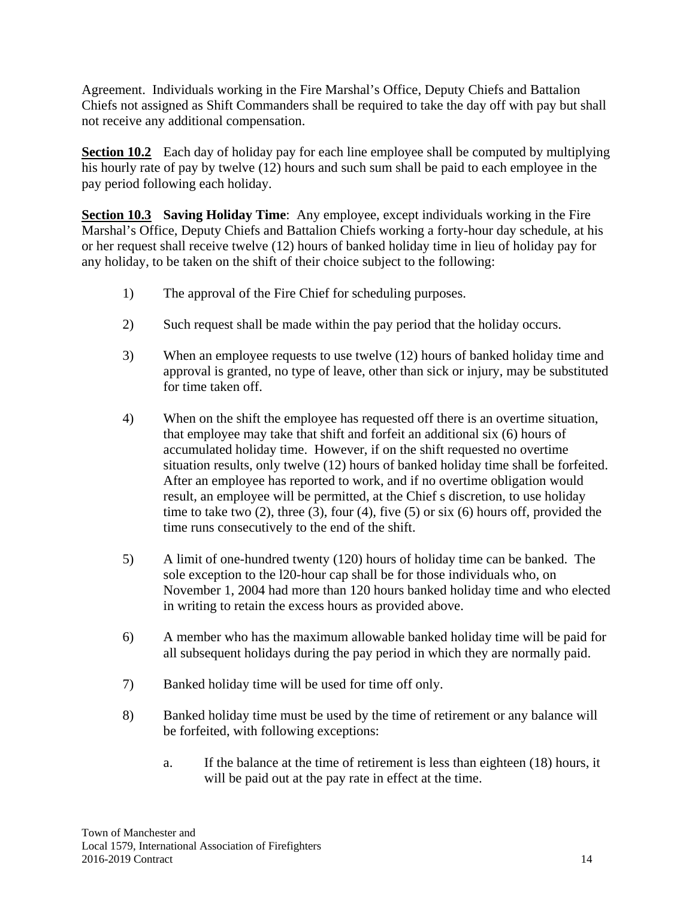Agreement. Individuals working in the Fire Marshal's Office, Deputy Chiefs and Battalion Chiefs not assigned as Shift Commanders shall be required to take the day off with pay but shall not receive any additional compensation.

**Section 10.2** Each day of holiday pay for each line employee shall be computed by multiplying his hourly rate of pay by twelve (12) hours and such sum shall be paid to each employee in the pay period following each holiday.

**Section 10.3 Saving Holiday Time**: Any employee, except individuals working in the Fire Marshal's Office, Deputy Chiefs and Battalion Chiefs working a forty-hour day schedule, at his or her request shall receive twelve (12) hours of banked holiday time in lieu of holiday pay for any holiday, to be taken on the shift of their choice subject to the following:

- 1) The approval of the Fire Chief for scheduling purposes.
- 2) Such request shall be made within the pay period that the holiday occurs.
- 3) When an employee requests to use twelve (12) hours of banked holiday time and approval is granted, no type of leave, other than sick or injury, may be substituted for time taken off.
- 4) When on the shift the employee has requested off there is an overtime situation, that employee may take that shift and forfeit an additional six (6) hours of accumulated holiday time. However, if on the shift requested no overtime situation results, only twelve (12) hours of banked holiday time shall be forfeited. After an employee has reported to work, and if no overtime obligation would result, an employee will be permitted, at the Chief s discretion, to use holiday time to take two  $(2)$ , three  $(3)$ , four  $(4)$ , five  $(5)$  or six  $(6)$  hours off, provided the time runs consecutively to the end of the shift.
- 5) A limit of one-hundred twenty (120) hours of holiday time can be banked. The sole exception to the l20-hour cap shall be for those individuals who, on November 1, 2004 had more than 120 hours banked holiday time and who elected in writing to retain the excess hours as provided above.
- 6) A member who has the maximum allowable banked holiday time will be paid for all subsequent holidays during the pay period in which they are normally paid.
- 7) Banked holiday time will be used for time off only.
- 8) Banked holiday time must be used by the time of retirement or any balance will be forfeited, with following exceptions:
	- a. If the balance at the time of retirement is less than eighteen (18) hours, it will be paid out at the pay rate in effect at the time.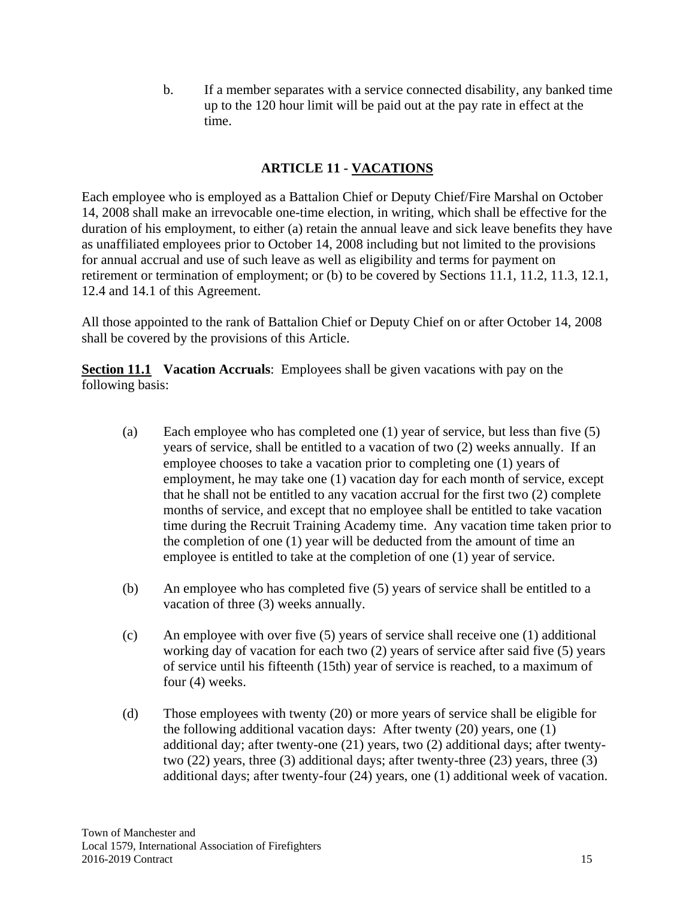b. If a member separates with a service connected disability, any banked time up to the 120 hour limit will be paid out at the pay rate in effect at the time.

#### **ARTICLE 11 - VACATIONS**

Each employee who is employed as a Battalion Chief or Deputy Chief/Fire Marshal on October 14, 2008 shall make an irrevocable one-time election, in writing, which shall be effective for the duration of his employment, to either (a) retain the annual leave and sick leave benefits they have as unaffiliated employees prior to October 14, 2008 including but not limited to the provisions for annual accrual and use of such leave as well as eligibility and terms for payment on retirement or termination of employment; or (b) to be covered by Sections 11.1, 11.2, 11.3, 12.1, 12.4 and 14.1 of this Agreement.

All those appointed to the rank of Battalion Chief or Deputy Chief on or after October 14, 2008 shall be covered by the provisions of this Article.

**Section 11.1** Vacation Accruals: Employees shall be given vacations with pay on the following basis:

- (a) Each employee who has completed one (1) year of service, but less than five (5) years of service, shall be entitled to a vacation of two (2) weeks annually. If an employee chooses to take a vacation prior to completing one (1) years of employment, he may take one (1) vacation day for each month of service, except that he shall not be entitled to any vacation accrual for the first two (2) complete months of service, and except that no employee shall be entitled to take vacation time during the Recruit Training Academy time. Any vacation time taken prior to the completion of one (1) year will be deducted from the amount of time an employee is entitled to take at the completion of one (1) year of service.
- (b) An employee who has completed five (5) years of service shall be entitled to a vacation of three (3) weeks annually.
- (c) An employee with over five (5) years of service shall receive one (1) additional working day of vacation for each two (2) years of service after said five (5) years of service until his fifteenth (15th) year of service is reached, to a maximum of four (4) weeks.
- (d) Those employees with twenty (20) or more years of service shall be eligible for the following additional vacation days: After twenty (20) years, one (1) additional day; after twenty-one (21) years, two (2) additional days; after twentytwo (22) years, three (3) additional days; after twenty-three (23) years, three (3) additional days; after twenty-four (24) years, one (1) additional week of vacation.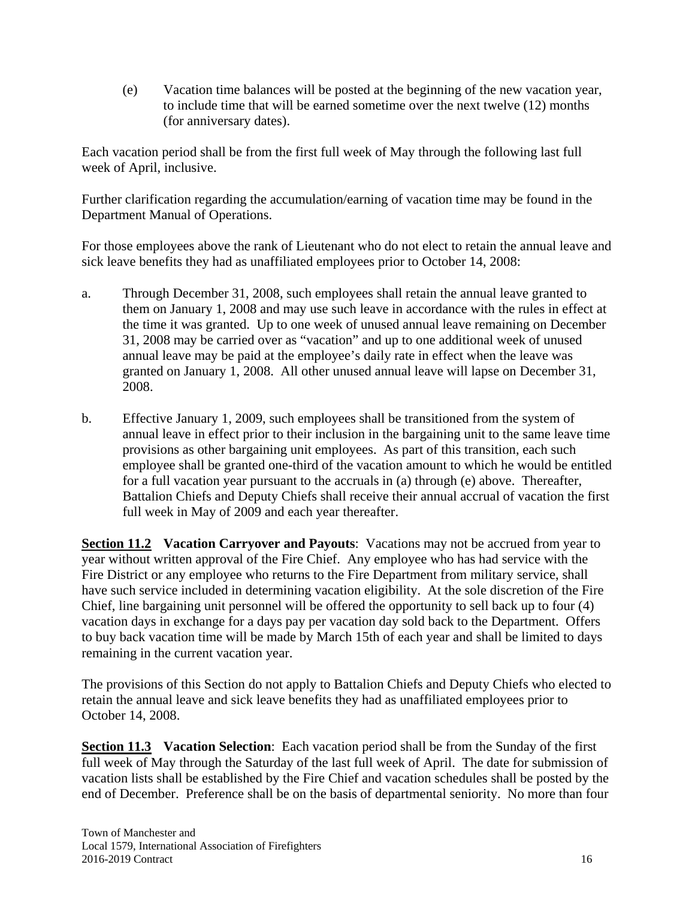(e) Vacation time balances will be posted at the beginning of the new vacation year, to include time that will be earned sometime over the next twelve (12) months (for anniversary dates).

Each vacation period shall be from the first full week of May through the following last full week of April, inclusive.

Further clarification regarding the accumulation/earning of vacation time may be found in the Department Manual of Operations.

For those employees above the rank of Lieutenant who do not elect to retain the annual leave and sick leave benefits they had as unaffiliated employees prior to October 14, 2008:

- a. Through December 31, 2008, such employees shall retain the annual leave granted to them on January 1, 2008 and may use such leave in accordance with the rules in effect at the time it was granted. Up to one week of unused annual leave remaining on December 31, 2008 may be carried over as "vacation" and up to one additional week of unused annual leave may be paid at the employee's daily rate in effect when the leave was granted on January 1, 2008. All other unused annual leave will lapse on December 31, 2008.
- b. Effective January 1, 2009, such employees shall be transitioned from the system of annual leave in effect prior to their inclusion in the bargaining unit to the same leave time provisions as other bargaining unit employees. As part of this transition, each such employee shall be granted one-third of the vacation amount to which he would be entitled for a full vacation year pursuant to the accruals in (a) through (e) above. Thereafter, Battalion Chiefs and Deputy Chiefs shall receive their annual accrual of vacation the first full week in May of 2009 and each year thereafter.

**Section 11.2 Vacation Carryover and Payouts**: Vacations may not be accrued from year to year without written approval of the Fire Chief. Any employee who has had service with the Fire District or any employee who returns to the Fire Department from military service, shall have such service included in determining vacation eligibility. At the sole discretion of the Fire Chief, line bargaining unit personnel will be offered the opportunity to sell back up to four (4) vacation days in exchange for a days pay per vacation day sold back to the Department. Offers to buy back vacation time will be made by March 15th of each year and shall be limited to days remaining in the current vacation year.

The provisions of this Section do not apply to Battalion Chiefs and Deputy Chiefs who elected to retain the annual leave and sick leave benefits they had as unaffiliated employees prior to October 14, 2008.

**Section 11.3** Vacation Selection: Each vacation period shall be from the Sunday of the first full week of May through the Saturday of the last full week of April. The date for submission of vacation lists shall be established by the Fire Chief and vacation schedules shall be posted by the end of December. Preference shall be on the basis of departmental seniority. No more than four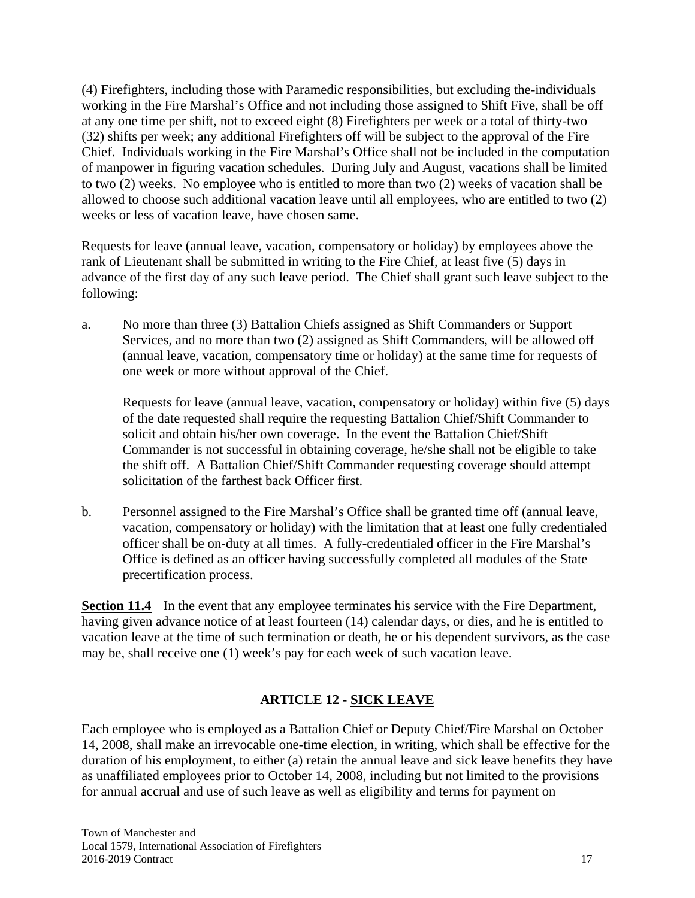(4) Firefighters, including those with Paramedic responsibilities, but excluding the-individuals working in the Fire Marshal's Office and not including those assigned to Shift Five, shall be off at any one time per shift, not to exceed eight (8) Firefighters per week or a total of thirty-two (32) shifts per week; any additional Firefighters off will be subject to the approval of the Fire Chief. Individuals working in the Fire Marshal's Office shall not be included in the computation of manpower in figuring vacation schedules. During July and August, vacations shall be limited to two (2) weeks. No employee who is entitled to more than two (2) weeks of vacation shall be allowed to choose such additional vacation leave until all employees, who are entitled to two (2) weeks or less of vacation leave, have chosen same.

Requests for leave (annual leave, vacation, compensatory or holiday) by employees above the rank of Lieutenant shall be submitted in writing to the Fire Chief, at least five (5) days in advance of the first day of any such leave period. The Chief shall grant such leave subject to the following:

a. No more than three (3) Battalion Chiefs assigned as Shift Commanders or Support Services, and no more than two (2) assigned as Shift Commanders, will be allowed off (annual leave, vacation, compensatory time or holiday) at the same time for requests of one week or more without approval of the Chief.

 Requests for leave (annual leave, vacation, compensatory or holiday) within five (5) days of the date requested shall require the requesting Battalion Chief/Shift Commander to solicit and obtain his/her own coverage. In the event the Battalion Chief/Shift Commander is not successful in obtaining coverage, he/she shall not be eligible to take the shift off. A Battalion Chief/Shift Commander requesting coverage should attempt solicitation of the farthest back Officer first.

b. Personnel assigned to the Fire Marshal's Office shall be granted time off (annual leave, vacation, compensatory or holiday) with the limitation that at least one fully credentialed officer shall be on-duty at all times. A fully-credentialed officer in the Fire Marshal's Office is defined as an officer having successfully completed all modules of the State precertification process.

**Section 11.4** In the event that any employee terminates his service with the Fire Department, having given advance notice of at least fourteen (14) calendar days, or dies, and he is entitled to vacation leave at the time of such termination or death, he or his dependent survivors, as the case may be, shall receive one (1) week's pay for each week of such vacation leave.

# **ARTICLE 12 - SICK LEAVE**

Each employee who is employed as a Battalion Chief or Deputy Chief/Fire Marshal on October 14, 2008, shall make an irrevocable one-time election, in writing, which shall be effective for the duration of his employment, to either (a) retain the annual leave and sick leave benefits they have as unaffiliated employees prior to October 14, 2008, including but not limited to the provisions for annual accrual and use of such leave as well as eligibility and terms for payment on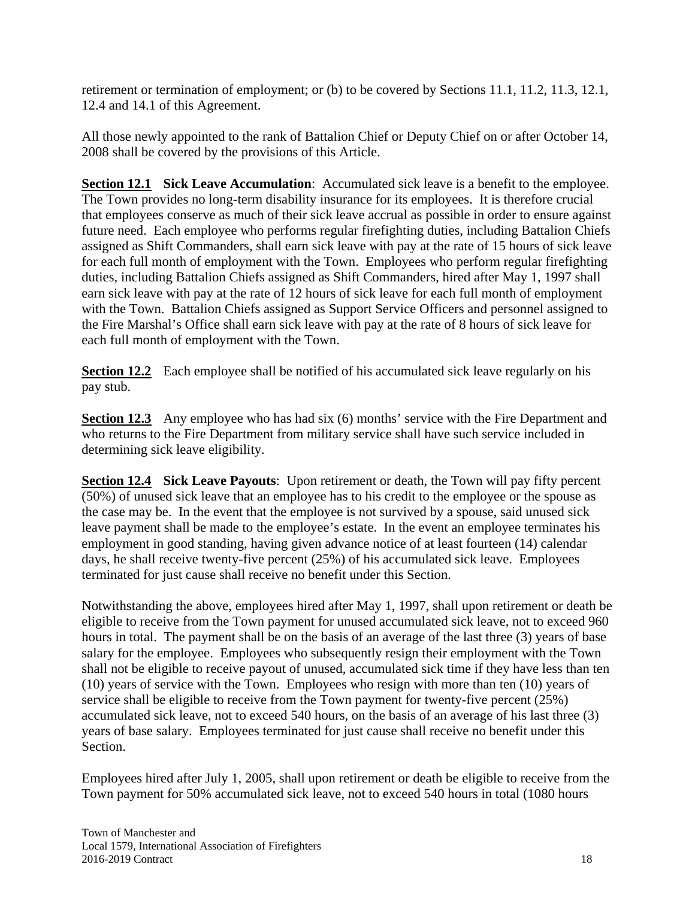retirement or termination of employment; or (b) to be covered by Sections 11.1, 11.2, 11.3, 12.1, 12.4 and 14.1 of this Agreement.

All those newly appointed to the rank of Battalion Chief or Deputy Chief on or after October 14, 2008 shall be covered by the provisions of this Article.

**Section 12.1** Sick Leave Accumulation: Accumulated sick leave is a benefit to the employee. The Town provides no long-term disability insurance for its employees. It is therefore crucial that employees conserve as much of their sick leave accrual as possible in order to ensure against future need. Each employee who performs regular firefighting duties, including Battalion Chiefs assigned as Shift Commanders, shall earn sick leave with pay at the rate of 15 hours of sick leave for each full month of employment with the Town. Employees who perform regular firefighting duties, including Battalion Chiefs assigned as Shift Commanders, hired after May 1, 1997 shall earn sick leave with pay at the rate of 12 hours of sick leave for each full month of employment with the Town. Battalion Chiefs assigned as Support Service Officers and personnel assigned to the Fire Marshal's Office shall earn sick leave with pay at the rate of 8 hours of sick leave for each full month of employment with the Town.

**Section 12.2** Each employee shall be notified of his accumulated sick leave regularly on his pay stub.

**Section 12.3** Any employee who has had six (6) months' service with the Fire Department and who returns to the Fire Department from military service shall have such service included in determining sick leave eligibility.

**Section 12.4 Sick Leave Payouts**: Upon retirement or death, the Town will pay fifty percent (50%) of unused sick leave that an employee has to his credit to the employee or the spouse as the case may be. In the event that the employee is not survived by a spouse, said unused sick leave payment shall be made to the employee's estate. In the event an employee terminates his employment in good standing, having given advance notice of at least fourteen (14) calendar days, he shall receive twenty-five percent (25%) of his accumulated sick leave. Employees terminated for just cause shall receive no benefit under this Section.

Notwithstanding the above, employees hired after May 1, 1997, shall upon retirement or death be eligible to receive from the Town payment for unused accumulated sick leave, not to exceed 960 hours in total. The payment shall be on the basis of an average of the last three (3) years of base salary for the employee. Employees who subsequently resign their employment with the Town shall not be eligible to receive payout of unused, accumulated sick time if they have less than ten (10) years of service with the Town. Employees who resign with more than ten (10) years of service shall be eligible to receive from the Town payment for twenty-five percent (25%) accumulated sick leave, not to exceed 540 hours, on the basis of an average of his last three (3) years of base salary. Employees terminated for just cause shall receive no benefit under this Section.

Employees hired after July 1, 2005, shall upon retirement or death be eligible to receive from the Town payment for 50% accumulated sick leave, not to exceed 540 hours in total (1080 hours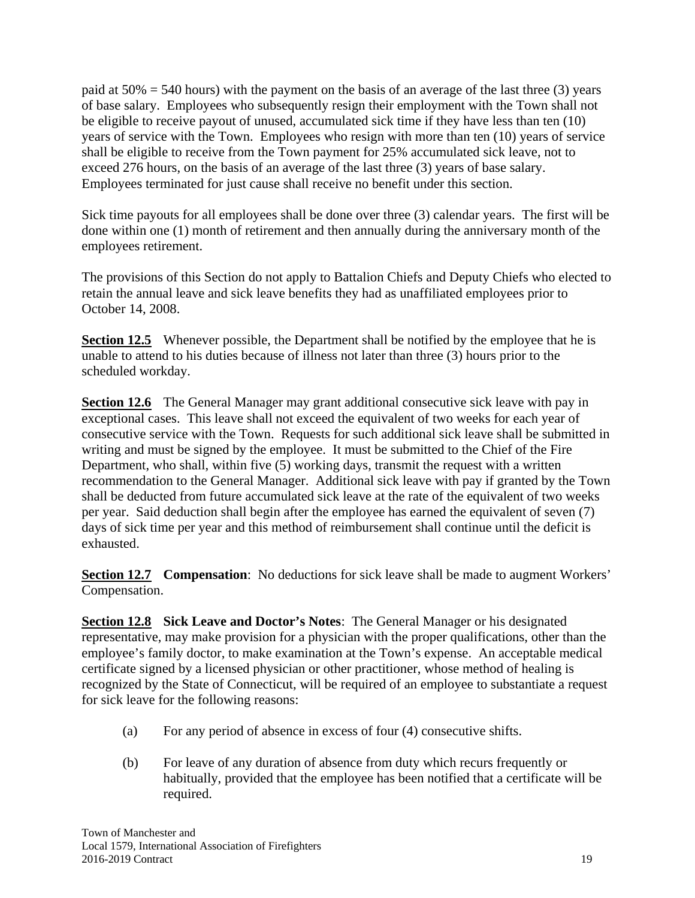paid at  $50\% = 540$  hours) with the payment on the basis of an average of the last three (3) years of base salary. Employees who subsequently resign their employment with the Town shall not be eligible to receive payout of unused, accumulated sick time if they have less than ten (10) years of service with the Town. Employees who resign with more than ten (10) years of service shall be eligible to receive from the Town payment for 25% accumulated sick leave, not to exceed 276 hours, on the basis of an average of the last three (3) years of base salary. Employees terminated for just cause shall receive no benefit under this section.

Sick time payouts for all employees shall be done over three (3) calendar years. The first will be done within one (1) month of retirement and then annually during the anniversary month of the employees retirement.

The provisions of this Section do not apply to Battalion Chiefs and Deputy Chiefs who elected to retain the annual leave and sick leave benefits they had as unaffiliated employees prior to October 14, 2008.

**Section 12.5** Whenever possible, the Department shall be notified by the employee that he is unable to attend to his duties because of illness not later than three (3) hours prior to the scheduled workday.

**Section 12.6** The General Manager may grant additional consecutive sick leave with pay in exceptional cases. This leave shall not exceed the equivalent of two weeks for each year of consecutive service with the Town. Requests for such additional sick leave shall be submitted in writing and must be signed by the employee. It must be submitted to the Chief of the Fire Department, who shall, within five (5) working days, transmit the request with a written recommendation to the General Manager. Additional sick leave with pay if granted by the Town shall be deducted from future accumulated sick leave at the rate of the equivalent of two weeks per year. Said deduction shall begin after the employee has earned the equivalent of seven (7) days of sick time per year and this method of reimbursement shall continue until the deficit is exhausted.

**Section 12.7 Compensation:** No deductions for sick leave shall be made to augment Workers' Compensation.

**Section 12.8 Sick Leave and Doctor's Notes**: The General Manager or his designated representative, may make provision for a physician with the proper qualifications, other than the employee's family doctor, to make examination at the Town's expense. An acceptable medical certificate signed by a licensed physician or other practitioner, whose method of healing is recognized by the State of Connecticut, will be required of an employee to substantiate a request for sick leave for the following reasons:

- (a) For any period of absence in excess of four (4) consecutive shifts.
- (b) For leave of any duration of absence from duty which recurs frequently or habitually, provided that the employee has been notified that a certificate will be required.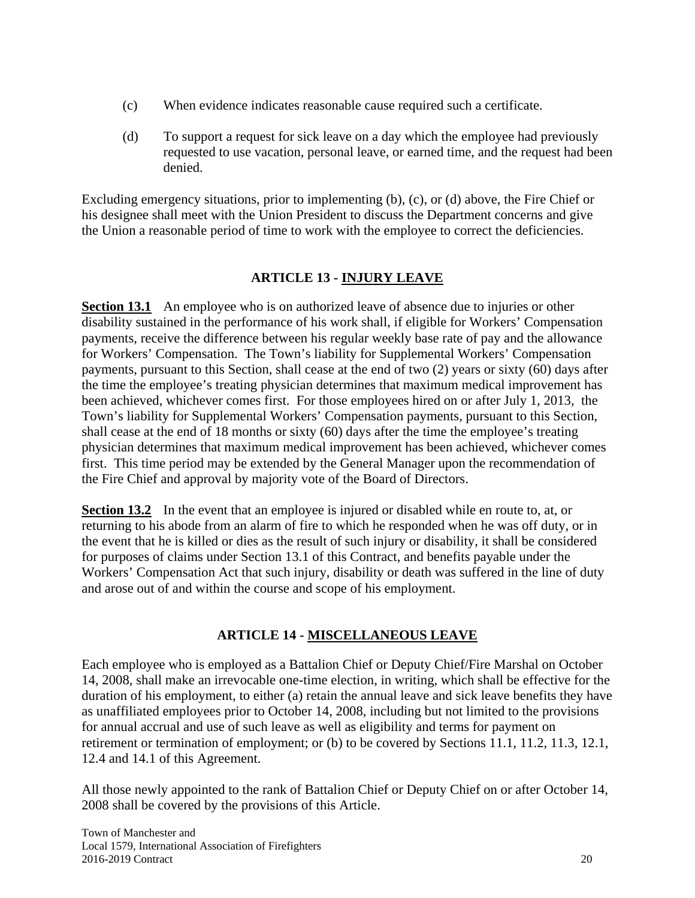- (c) When evidence indicates reasonable cause required such a certificate.
- (d) To support a request for sick leave on a day which the employee had previously requested to use vacation, personal leave, or earned time, and the request had been denied.

Excluding emergency situations, prior to implementing (b), (c), or (d) above, the Fire Chief or his designee shall meet with the Union President to discuss the Department concerns and give the Union a reasonable period of time to work with the employee to correct the deficiencies.

#### **ARTICLE 13 - INJURY LEAVE**

**Section 13.1** An employee who is on authorized leave of absence due to injuries or other disability sustained in the performance of his work shall, if eligible for Workers' Compensation payments, receive the difference between his regular weekly base rate of pay and the allowance for Workers' Compensation. The Town's liability for Supplemental Workers' Compensation payments, pursuant to this Section, shall cease at the end of two (2) years or sixty (60) days after the time the employee's treating physician determines that maximum medical improvement has been achieved, whichever comes first. For those employees hired on or after July 1, 2013, the Town's liability for Supplemental Workers' Compensation payments, pursuant to this Section, shall cease at the end of 18 months or sixty (60) days after the time the employee's treating physician determines that maximum medical improvement has been achieved, whichever comes first. This time period may be extended by the General Manager upon the recommendation of the Fire Chief and approval by majority vote of the Board of Directors.

**Section 13.2** In the event that an employee is injured or disabled while en route to, at, or returning to his abode from an alarm of fire to which he responded when he was off duty, or in the event that he is killed or dies as the result of such injury or disability, it shall be considered for purposes of claims under Section 13.1 of this Contract, and benefits payable under the Workers' Compensation Act that such injury, disability or death was suffered in the line of duty and arose out of and within the course and scope of his employment.

#### **ARTICLE 14 - MISCELLANEOUS LEAVE**

Each employee who is employed as a Battalion Chief or Deputy Chief/Fire Marshal on October 14, 2008, shall make an irrevocable one-time election, in writing, which shall be effective for the duration of his employment, to either (a) retain the annual leave and sick leave benefits they have as unaffiliated employees prior to October 14, 2008, including but not limited to the provisions for annual accrual and use of such leave as well as eligibility and terms for payment on retirement or termination of employment; or (b) to be covered by Sections 11.1, 11.2, 11.3, 12.1, 12.4 and 14.1 of this Agreement.

All those newly appointed to the rank of Battalion Chief or Deputy Chief on or after October 14, 2008 shall be covered by the provisions of this Article.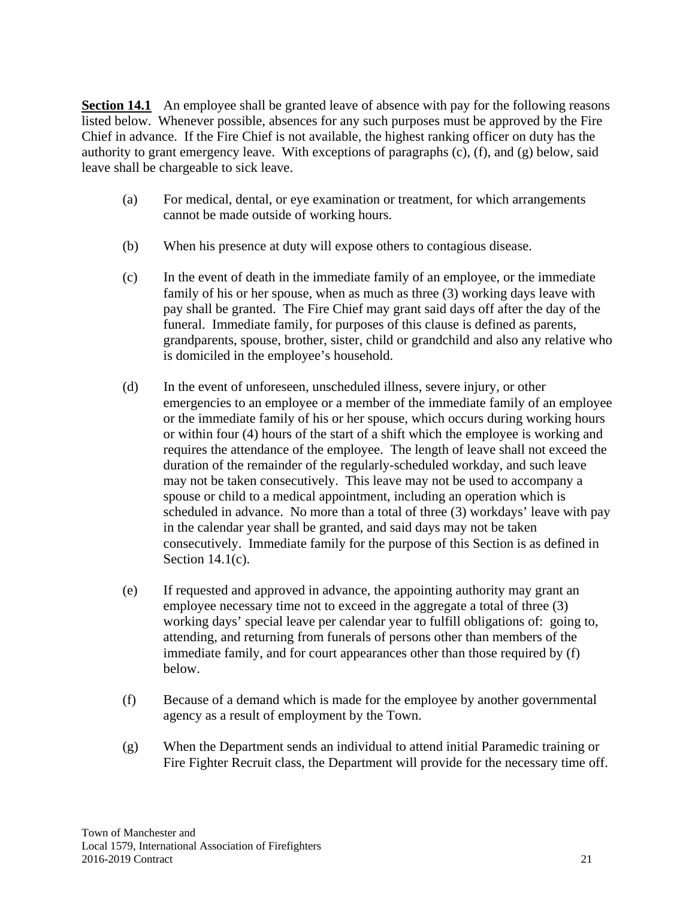**Section 14.1** An employee shall be granted leave of absence with pay for the following reasons listed below. Whenever possible, absences for any such purposes must be approved by the Fire Chief in advance. If the Fire Chief is not available, the highest ranking officer on duty has the authority to grant emergency leave. With exceptions of paragraphs (c), (f), and (g) below, said leave shall be chargeable to sick leave.

- (a) For medical, dental, or eye examination or treatment, for which arrangements cannot be made outside of working hours.
- (b) When his presence at duty will expose others to contagious disease.
- (c) In the event of death in the immediate family of an employee, or the immediate family of his or her spouse, when as much as three (3) working days leave with pay shall be granted. The Fire Chief may grant said days off after the day of the funeral. Immediate family, for purposes of this clause is defined as parents, grandparents, spouse, brother, sister, child or grandchild and also any relative who is domiciled in the employee's household.
- (d) In the event of unforeseen, unscheduled illness, severe injury, or other emergencies to an employee or a member of the immediate family of an employee or the immediate family of his or her spouse, which occurs during working hours or within four (4) hours of the start of a shift which the employee is working and requires the attendance of the employee. The length of leave shall not exceed the duration of the remainder of the regularly-scheduled workday, and such leave may not be taken consecutively. This leave may not be used to accompany a spouse or child to a medical appointment, including an operation which is scheduled in advance. No more than a total of three (3) workdays' leave with pay in the calendar year shall be granted, and said days may not be taken consecutively. Immediate family for the purpose of this Section is as defined in Section  $14.1(c)$ .
- (e) If requested and approved in advance, the appointing authority may grant an employee necessary time not to exceed in the aggregate a total of three (3) working days' special leave per calendar year to fulfill obligations of: going to, attending, and returning from funerals of persons other than members of the immediate family, and for court appearances other than those required by (f) below.
- (f) Because of a demand which is made for the employee by another governmental agency as a result of employment by the Town.
- (g) When the Department sends an individual to attend initial Paramedic training or Fire Fighter Recruit class, the Department will provide for the necessary time off.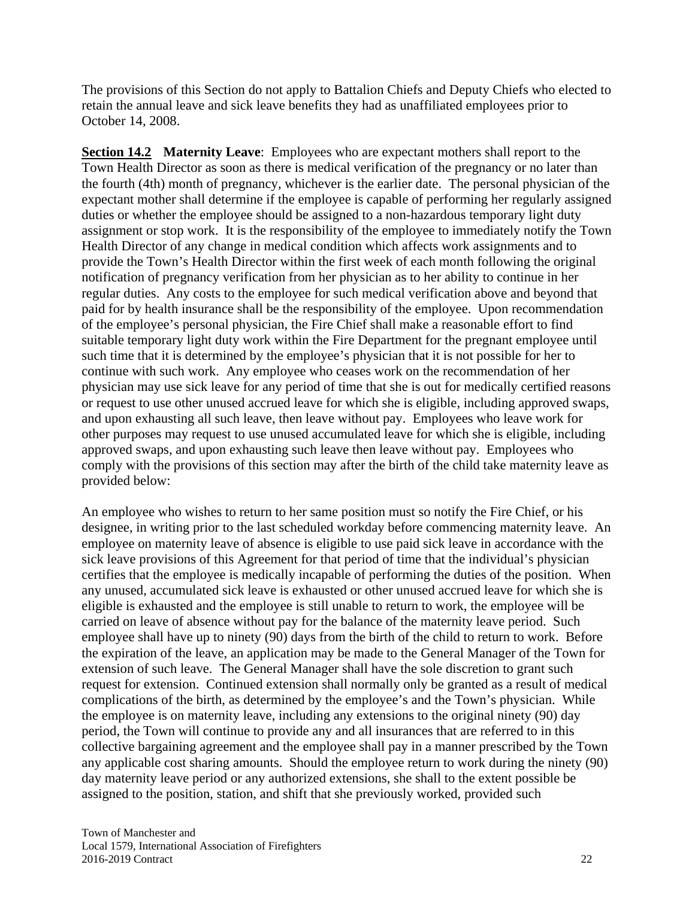The provisions of this Section do not apply to Battalion Chiefs and Deputy Chiefs who elected to retain the annual leave and sick leave benefits they had as unaffiliated employees prior to October 14, 2008.

**Section 14.2 Maternity Leave**: Employees who are expectant mothers shall report to the Town Health Director as soon as there is medical verification of the pregnancy or no later than the fourth (4th) month of pregnancy, whichever is the earlier date. The personal physician of the expectant mother shall determine if the employee is capable of performing her regularly assigned duties or whether the employee should be assigned to a non-hazardous temporary light duty assignment or stop work. It is the responsibility of the employee to immediately notify the Town Health Director of any change in medical condition which affects work assignments and to provide the Town's Health Director within the first week of each month following the original notification of pregnancy verification from her physician as to her ability to continue in her regular duties. Any costs to the employee for such medical verification above and beyond that paid for by health insurance shall be the responsibility of the employee. Upon recommendation of the employee's personal physician, the Fire Chief shall make a reasonable effort to find suitable temporary light duty work within the Fire Department for the pregnant employee until such time that it is determined by the employee's physician that it is not possible for her to continue with such work. Any employee who ceases work on the recommendation of her physician may use sick leave for any period of time that she is out for medically certified reasons or request to use other unused accrued leave for which she is eligible, including approved swaps, and upon exhausting all such leave, then leave without pay. Employees who leave work for other purposes may request to use unused accumulated leave for which she is eligible, including approved swaps, and upon exhausting such leave then leave without pay. Employees who comply with the provisions of this section may after the birth of the child take maternity leave as provided below:

An employee who wishes to return to her same position must so notify the Fire Chief, or his designee, in writing prior to the last scheduled workday before commencing maternity leave. An employee on maternity leave of absence is eligible to use paid sick leave in accordance with the sick leave provisions of this Agreement for that period of time that the individual's physician certifies that the employee is medically incapable of performing the duties of the position. When any unused, accumulated sick leave is exhausted or other unused accrued leave for which she is eligible is exhausted and the employee is still unable to return to work, the employee will be carried on leave of absence without pay for the balance of the maternity leave period. Such employee shall have up to ninety (90) days from the birth of the child to return to work. Before the expiration of the leave, an application may be made to the General Manager of the Town for extension of such leave. The General Manager shall have the sole discretion to grant such request for extension. Continued extension shall normally only be granted as a result of medical complications of the birth, as determined by the employee's and the Town's physician. While the employee is on maternity leave, including any extensions to the original ninety (90) day period, the Town will continue to provide any and all insurances that are referred to in this collective bargaining agreement and the employee shall pay in a manner prescribed by the Town any applicable cost sharing amounts. Should the employee return to work during the ninety (90) day maternity leave period or any authorized extensions, she shall to the extent possible be assigned to the position, station, and shift that she previously worked, provided such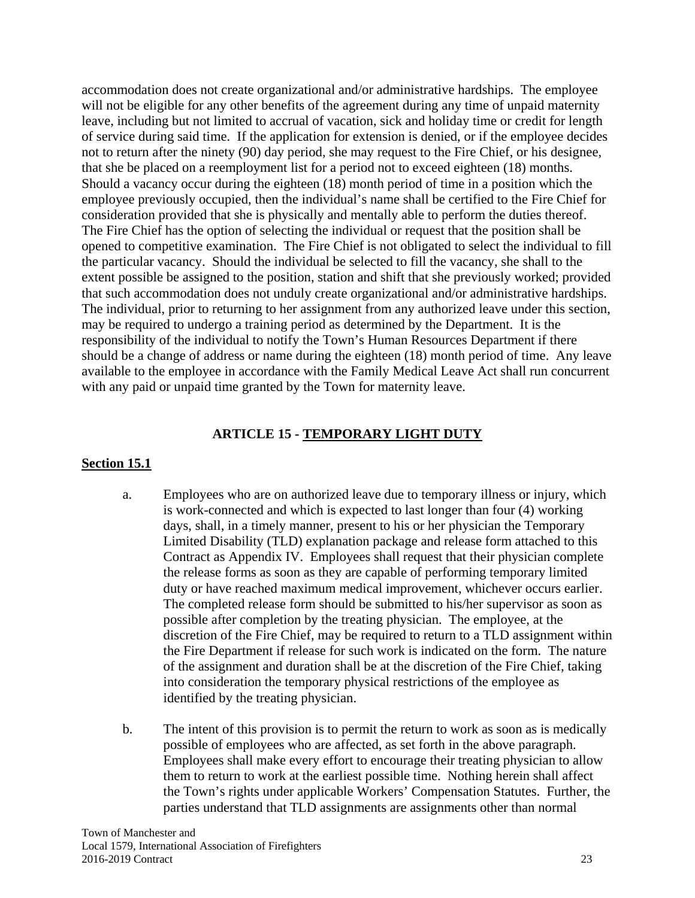accommodation does not create organizational and/or administrative hardships. The employee will not be eligible for any other benefits of the agreement during any time of unpaid maternity leave, including but not limited to accrual of vacation, sick and holiday time or credit for length of service during said time. If the application for extension is denied, or if the employee decides not to return after the ninety (90) day period, she may request to the Fire Chief, or his designee, that she be placed on a reemployment list for a period not to exceed eighteen (18) months. Should a vacancy occur during the eighteen (18) month period of time in a position which the employee previously occupied, then the individual's name shall be certified to the Fire Chief for consideration provided that she is physically and mentally able to perform the duties thereof. The Fire Chief has the option of selecting the individual or request that the position shall be opened to competitive examination. The Fire Chief is not obligated to select the individual to fill the particular vacancy. Should the individual be selected to fill the vacancy, she shall to the extent possible be assigned to the position, station and shift that she previously worked; provided that such accommodation does not unduly create organizational and/or administrative hardships. The individual, prior to returning to her assignment from any authorized leave under this section, may be required to undergo a training period as determined by the Department. It is the responsibility of the individual to notify the Town's Human Resources Department if there should be a change of address or name during the eighteen (18) month period of time. Any leave available to the employee in accordance with the Family Medical Leave Act shall run concurrent with any paid or unpaid time granted by the Town for maternity leave.

#### **ARTICLE 15 - TEMPORARY LIGHT DUTY**

#### **Section 15.1**

- a. Employees who are on authorized leave due to temporary illness or injury, which is work-connected and which is expected to last longer than four (4) working days, shall, in a timely manner, present to his or her physician the Temporary Limited Disability (TLD) explanation package and release form attached to this Contract as Appendix IV. Employees shall request that their physician complete the release forms as soon as they are capable of performing temporary limited duty or have reached maximum medical improvement, whichever occurs earlier. The completed release form should be submitted to his/her supervisor as soon as possible after completion by the treating physician. The employee, at the discretion of the Fire Chief, may be required to return to a TLD assignment within the Fire Department if release for such work is indicated on the form. The nature of the assignment and duration shall be at the discretion of the Fire Chief, taking into consideration the temporary physical restrictions of the employee as identified by the treating physician.
- b. The intent of this provision is to permit the return to work as soon as is medically possible of employees who are affected, as set forth in the above paragraph. Employees shall make every effort to encourage their treating physician to allow them to return to work at the earliest possible time. Nothing herein shall affect the Town's rights under applicable Workers' Compensation Statutes. Further, the parties understand that TLD assignments are assignments other than normal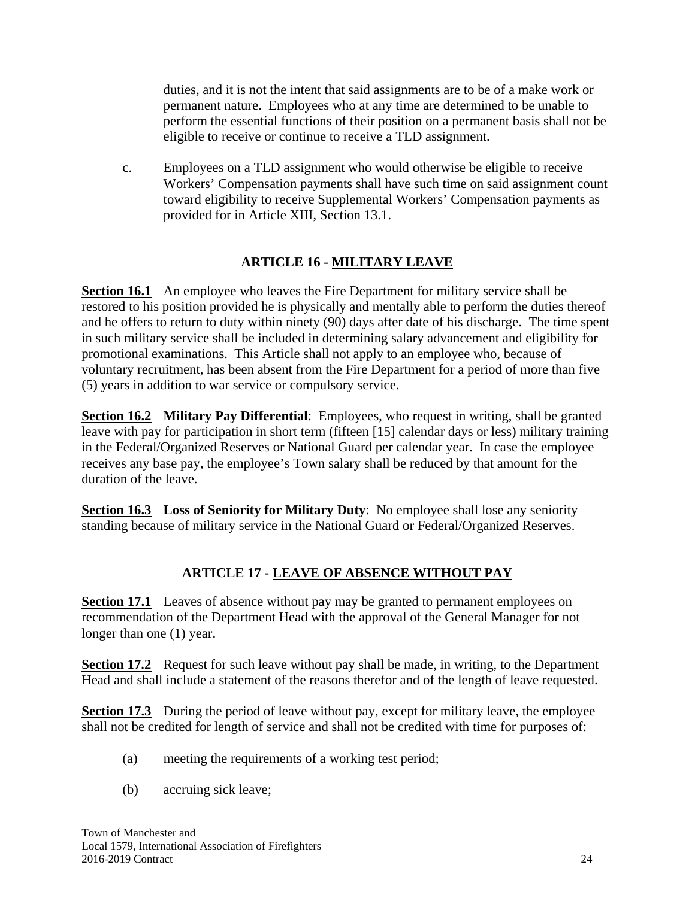duties, and it is not the intent that said assignments are to be of a make work or permanent nature. Employees who at any time are determined to be unable to perform the essential functions of their position on a permanent basis shall not be eligible to receive or continue to receive a TLD assignment.

 c. Employees on a TLD assignment who would otherwise be eligible to receive Workers' Compensation payments shall have such time on said assignment count toward eligibility to receive Supplemental Workers' Compensation payments as provided for in Article XIII, Section 13.1.

### **ARTICLE 16 - MILITARY LEAVE**

**Section 16.1** An employee who leaves the Fire Department for military service shall be restored to his position provided he is physically and mentally able to perform the duties thereof and he offers to return to duty within ninety (90) days after date of his discharge. The time spent in such military service shall be included in determining salary advancement and eligibility for promotional examinations. This Article shall not apply to an employee who, because of voluntary recruitment, has been absent from the Fire Department for a period of more than five (5) years in addition to war service or compulsory service.

**Section 16.2 Military Pay Differential**: Employees, who request in writing, shall be granted leave with pay for participation in short term (fifteen [15] calendar days or less) military training in the Federal/Organized Reserves or National Guard per calendar year. In case the employee receives any base pay, the employee's Town salary shall be reduced by that amount for the duration of the leave.

**Section 16.3 Loss of Seniority for Military Duty**: No employee shall lose any seniority standing because of military service in the National Guard or Federal/Organized Reserves.

#### **ARTICLE 17 - LEAVE OF ABSENCE WITHOUT PAY**

**Section 17.1** Leaves of absence without pay may be granted to permanent employees on recommendation of the Department Head with the approval of the General Manager for not longer than one  $(1)$  year.

**Section 17.2** Request for such leave without pay shall be made, in writing, to the Department Head and shall include a statement of the reasons therefor and of the length of leave requested.

**Section 17.3** During the period of leave without pay, except for military leave, the employee shall not be credited for length of service and shall not be credited with time for purposes of:

- (a) meeting the requirements of a working test period;
- (b) accruing sick leave;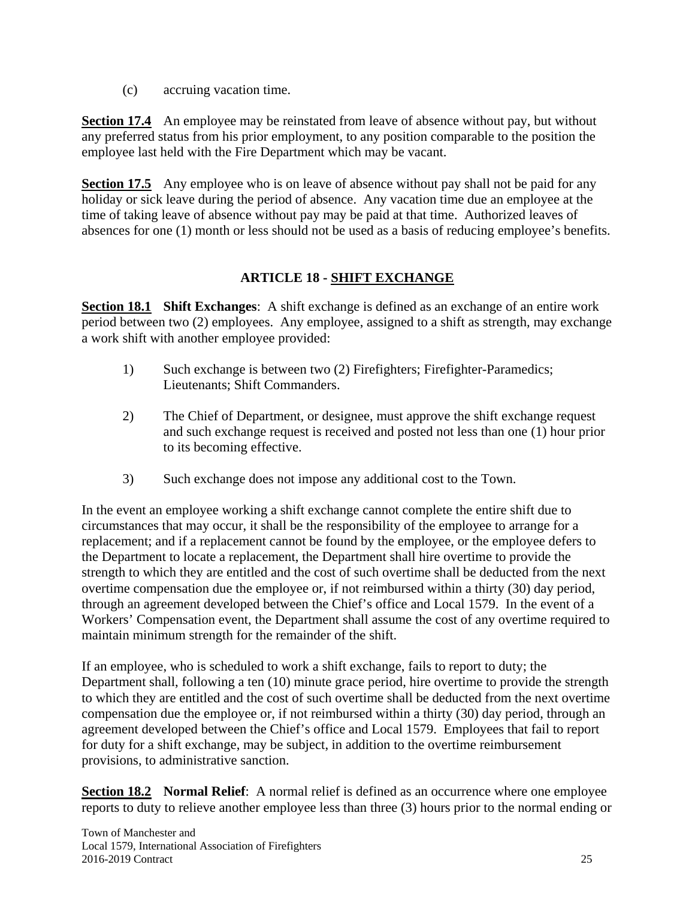(c) accruing vacation time.

**Section 17.4** An employee may be reinstated from leave of absence without pay, but without any preferred status from his prior employment, to any position comparable to the position the employee last held with the Fire Department which may be vacant.

**Section 17.5** Any employee who is on leave of absence without pay shall not be paid for any holiday or sick leave during the period of absence. Any vacation time due an employee at the time of taking leave of absence without pay may be paid at that time. Authorized leaves of absences for one (1) month or less should not be used as a basis of reducing employee's benefits.

# **ARTICLE 18 - SHIFT EXCHANGE**

**Section 18.1 Shift Exchanges**: A shift exchange is defined as an exchange of an entire work period between two (2) employees. Any employee, assigned to a shift as strength, may exchange a work shift with another employee provided:

- 1) Such exchange is between two (2) Firefighters; Firefighter-Paramedics; Lieutenants; Shift Commanders.
- 2) The Chief of Department, or designee, must approve the shift exchange request and such exchange request is received and posted not less than one (1) hour prior to its becoming effective.
- 3) Such exchange does not impose any additional cost to the Town.

In the event an employee working a shift exchange cannot complete the entire shift due to circumstances that may occur, it shall be the responsibility of the employee to arrange for a replacement; and if a replacement cannot be found by the employee, or the employee defers to the Department to locate a replacement, the Department shall hire overtime to provide the strength to which they are entitled and the cost of such overtime shall be deducted from the next overtime compensation due the employee or, if not reimbursed within a thirty (30) day period, through an agreement developed between the Chief's office and Local 1579. In the event of a Workers' Compensation event, the Department shall assume the cost of any overtime required to maintain minimum strength for the remainder of the shift.

If an employee, who is scheduled to work a shift exchange, fails to report to duty; the Department shall, following a ten (10) minute grace period, hire overtime to provide the strength to which they are entitled and the cost of such overtime shall be deducted from the next overtime compensation due the employee or, if not reimbursed within a thirty (30) day period, through an agreement developed between the Chief's office and Local 1579. Employees that fail to report for duty for a shift exchange, may be subject, in addition to the overtime reimbursement provisions, to administrative sanction.

**Section 18.2 Normal Relief:** A normal relief is defined as an occurrence where one employee reports to duty to relieve another employee less than three (3) hours prior to the normal ending or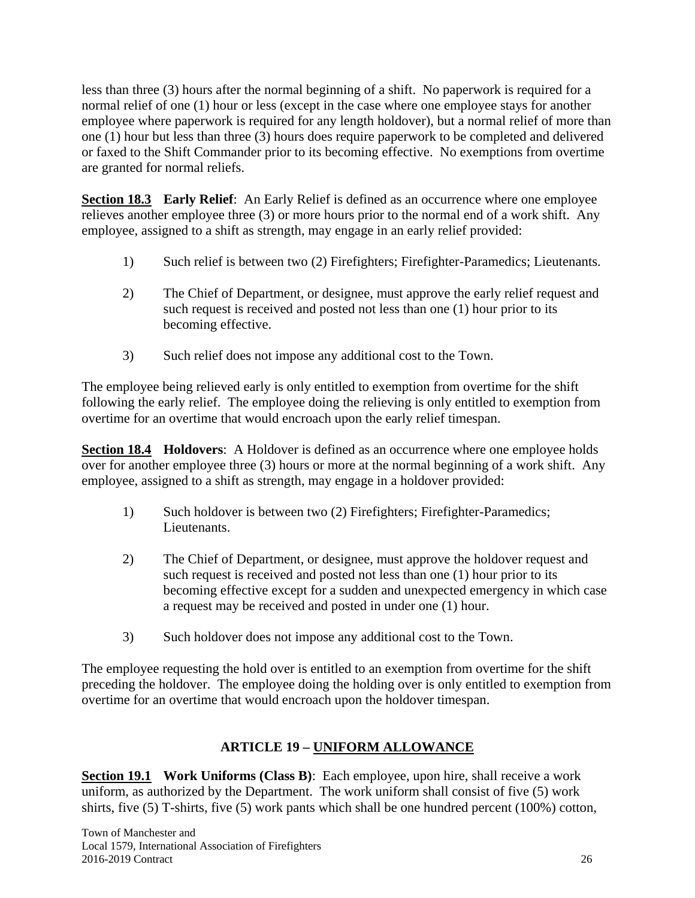less than three (3) hours after the normal beginning of a shift. No paperwork is required for a normal relief of one (1) hour or less (except in the case where one employee stays for another employee where paperwork is required for any length holdover), but a normal relief of more than one (1) hour but less than three (3) hours does require paperwork to be completed and delivered or faxed to the Shift Commander prior to its becoming effective. No exemptions from overtime are granted for normal reliefs.

**Section 18.3** Early Relief: An Early Relief is defined as an occurrence where one employee relieves another employee three (3) or more hours prior to the normal end of a work shift. Any employee, assigned to a shift as strength, may engage in an early relief provided:

- 1) Such relief is between two (2) Firefighters; Firefighter-Paramedics; Lieutenants.
- 2) The Chief of Department, or designee, must approve the early relief request and such request is received and posted not less than one (1) hour prior to its becoming effective.
- 3) Such relief does not impose any additional cost to the Town.

The employee being relieved early is only entitled to exemption from overtime for the shift following the early relief. The employee doing the relieving is only entitled to exemption from overtime for an overtime that would encroach upon the early relief timespan.

**Section 18.4** Holdovers: A Holdover is defined as an occurrence where one employee holds over for another employee three (3) hours or more at the normal beginning of a work shift. Any employee, assigned to a shift as strength, may engage in a holdover provided:

- 1) Such holdover is between two (2) Firefighters; Firefighter-Paramedics; Lieutenants.
- 2) The Chief of Department, or designee, must approve the holdover request and such request is received and posted not less than one (1) hour prior to its becoming effective except for a sudden and unexpected emergency in which case a request may be received and posted in under one (1) hour.
- 3) Such holdover does not impose any additional cost to the Town.

The employee requesting the hold over is entitled to an exemption from overtime for the shift preceding the holdover. The employee doing the holding over is only entitled to exemption from overtime for an overtime that would encroach upon the holdover timespan.

# **ARTICLE 19 – UNIFORM ALLOWANCE**

**Section 19.1 Work Uniforms (Class B)**: Each employee, upon hire, shall receive a work uniform, as authorized by the Department. The work uniform shall consist of five (5) work shirts, five (5) T-shirts, five (5) work pants which shall be one hundred percent (100%) cotton,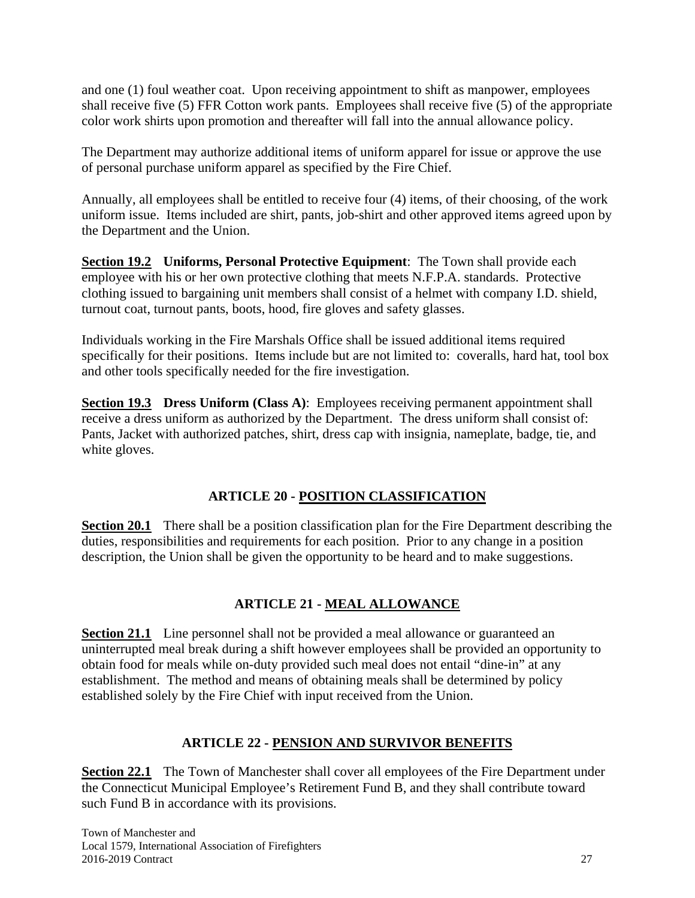and one (1) foul weather coat. Upon receiving appointment to shift as manpower, employees shall receive five (5) FFR Cotton work pants. Employees shall receive five (5) of the appropriate color work shirts upon promotion and thereafter will fall into the annual allowance policy.

The Department may authorize additional items of uniform apparel for issue or approve the use of personal purchase uniform apparel as specified by the Fire Chief.

Annually, all employees shall be entitled to receive four (4) items, of their choosing, of the work uniform issue. Items included are shirt, pants, job-shirt and other approved items agreed upon by the Department and the Union.

**Section 19.2 Uniforms, Personal Protective Equipment**: The Town shall provide each employee with his or her own protective clothing that meets N.F.P.A. standards. Protective clothing issued to bargaining unit members shall consist of a helmet with company I.D. shield, turnout coat, turnout pants, boots, hood, fire gloves and safety glasses.

Individuals working in the Fire Marshals Office shall be issued additional items required specifically for their positions. Items include but are not limited to: coveralls, hard hat, tool box and other tools specifically needed for the fire investigation.

**Section 19.3 Dress Uniform (Class A):** Employees receiving permanent appointment shall receive a dress uniform as authorized by the Department. The dress uniform shall consist of: Pants, Jacket with authorized patches, shirt, dress cap with insignia, nameplate, badge, tie, and white gloves.

#### **ARTICLE 20 - POSITION CLASSIFICATION**

**Section 20.1** There shall be a position classification plan for the Fire Department describing the duties, responsibilities and requirements for each position. Prior to any change in a position description, the Union shall be given the opportunity to be heard and to make suggestions.

# **ARTICLE 21 - MEAL ALLOWANCE**

**Section 21.1** Line personnel shall not be provided a meal allowance or guaranteed an uninterrupted meal break during a shift however employees shall be provided an opportunity to obtain food for meals while on-duty provided such meal does not entail "dine-in" at any establishment. The method and means of obtaining meals shall be determined by policy established solely by the Fire Chief with input received from the Union.

# **ARTICLE 22 - PENSION AND SURVIVOR BENEFITS**

**Section 22.1** The Town of Manchester shall cover all employees of the Fire Department under the Connecticut Municipal Employee's Retirement Fund B, and they shall contribute toward such Fund B in accordance with its provisions.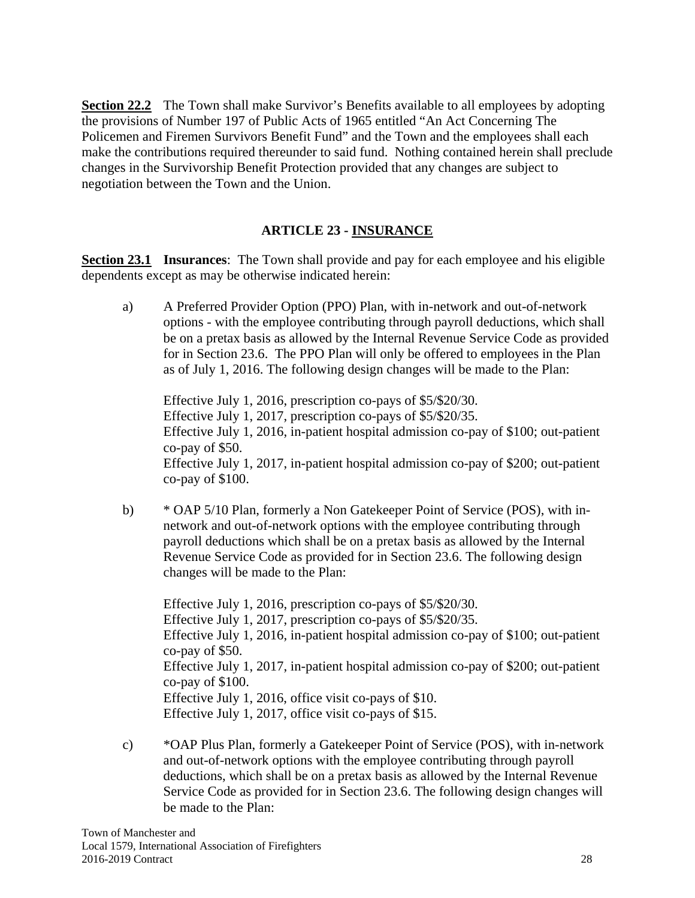**Section 22.2** The Town shall make Survivor's Benefits available to all employees by adopting the provisions of Number 197 of Public Acts of 1965 entitled "An Act Concerning The Policemen and Firemen Survivors Benefit Fund" and the Town and the employees shall each make the contributions required thereunder to said fund. Nothing contained herein shall preclude changes in the Survivorship Benefit Protection provided that any changes are subject to negotiation between the Town and the Union.

#### **ARTICLE 23 - INSURANCE**

**Section 23.1 Insurances:** The Town shall provide and pay for each employee and his eligible dependents except as may be otherwise indicated herein:

 a) A Preferred Provider Option (PPO) Plan, with in-network and out-of-network options - with the employee contributing through payroll deductions, which shall be on a pretax basis as allowed by the Internal Revenue Service Code as provided for in Section 23.6. The PPO Plan will only be offered to employees in the Plan as of July 1, 2016. The following design changes will be made to the Plan:

Effective July 1, 2016, prescription co-pays of \$5/\$20/30. Effective July 1, 2017, prescription co-pays of \$5/\$20/35. Effective July 1, 2016, in-patient hospital admission co-pay of \$100; out-patient co-pay of \$50. Effective July 1, 2017, in-patient hospital admission co-pay of \$200; out-patient co-pay of \$100.

 b) \* OAP 5/10 Plan, formerly a Non Gatekeeper Point of Service (POS), with innetwork and out-of-network options with the employee contributing through payroll deductions which shall be on a pretax basis as allowed by the Internal Revenue Service Code as provided for in Section 23.6. The following design changes will be made to the Plan:

Effective July 1, 2016, prescription co-pays of \$5/\$20/30. Effective July 1, 2017, prescription co-pays of \$5/\$20/35. Effective July 1, 2016, in-patient hospital admission co-pay of \$100; out-patient co-pay of \$50. Effective July 1, 2017, in-patient hospital admission co-pay of \$200; out-patient co-pay of \$100. Effective July 1, 2016, office visit co-pays of \$10. Effective July 1, 2017, office visit co-pays of \$15.

 c) \*OAP Plus Plan, formerly a Gatekeeper Point of Service (POS), with in-network and out-of-network options with the employee contributing through payroll deductions, which shall be on a pretax basis as allowed by the Internal Revenue Service Code as provided for in Section 23.6. The following design changes will be made to the Plan: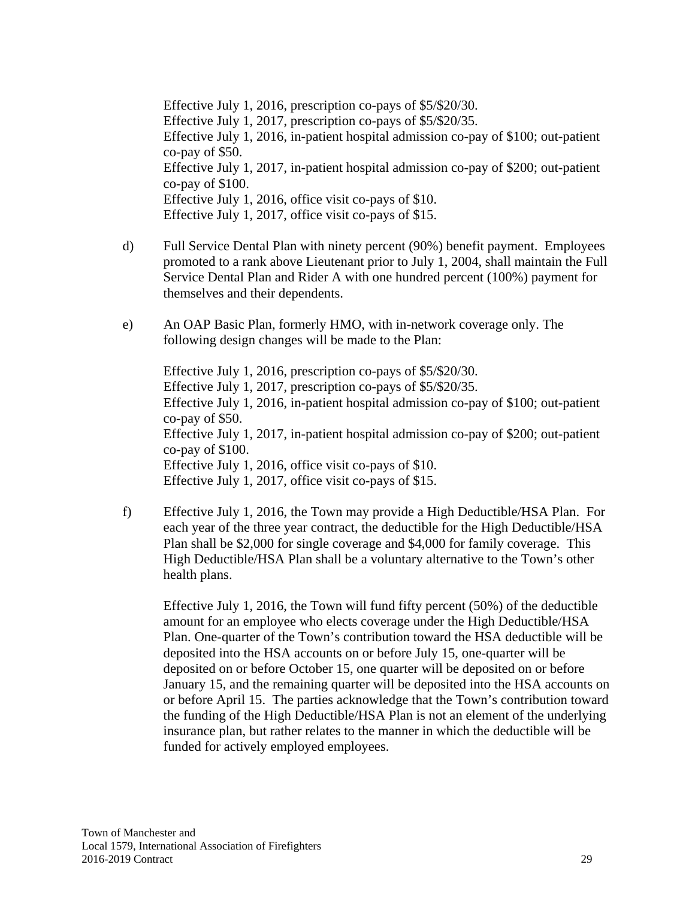Effective July 1, 2016, prescription co-pays of \$5/\$20/30. Effective July 1, 2017, prescription co-pays of \$5/\$20/35. Effective July 1, 2016, in-patient hospital admission co-pay of \$100; out-patient co-pay of \$50. Effective July 1, 2017, in-patient hospital admission co-pay of \$200; out-patient co-pay of \$100. Effective July 1, 2016, office visit co-pays of \$10. Effective July 1, 2017, office visit co-pays of \$15.

- d) Full Service Dental Plan with ninety percent (90%) benefit payment. Employees promoted to a rank above Lieutenant prior to July 1, 2004, shall maintain the Full Service Dental Plan and Rider A with one hundred percent (100%) payment for themselves and their dependents.
- e) An OAP Basic Plan, formerly HMO, with in-network coverage only. The following design changes will be made to the Plan:

Effective July 1, 2016, prescription co-pays of \$5/\$20/30. Effective July 1, 2017, prescription co-pays of \$5/\$20/35. Effective July 1, 2016, in-patient hospital admission co-pay of \$100; out-patient co-pay of \$50. Effective July 1, 2017, in-patient hospital admission co-pay of \$200; out-patient co-pay of \$100. Effective July 1, 2016, office visit co-pays of \$10. Effective July 1, 2017, office visit co-pays of \$15.

 f) Effective July 1, 2016, the Town may provide a High Deductible/HSA Plan. For each year of the three year contract, the deductible for the High Deductible/HSA Plan shall be \$2,000 for single coverage and \$4,000 for family coverage. This High Deductible/HSA Plan shall be a voluntary alternative to the Town's other health plans.

Effective July 1, 2016, the Town will fund fifty percent (50%) of the deductible amount for an employee who elects coverage under the High Deductible/HSA Plan. One-quarter of the Town's contribution toward the HSA deductible will be deposited into the HSA accounts on or before July 15, one-quarter will be deposited on or before October 15, one quarter will be deposited on or before January 15, and the remaining quarter will be deposited into the HSA accounts on or before April 15. The parties acknowledge that the Town's contribution toward the funding of the High Deductible/HSA Plan is not an element of the underlying insurance plan, but rather relates to the manner in which the deductible will be funded for actively employed employees.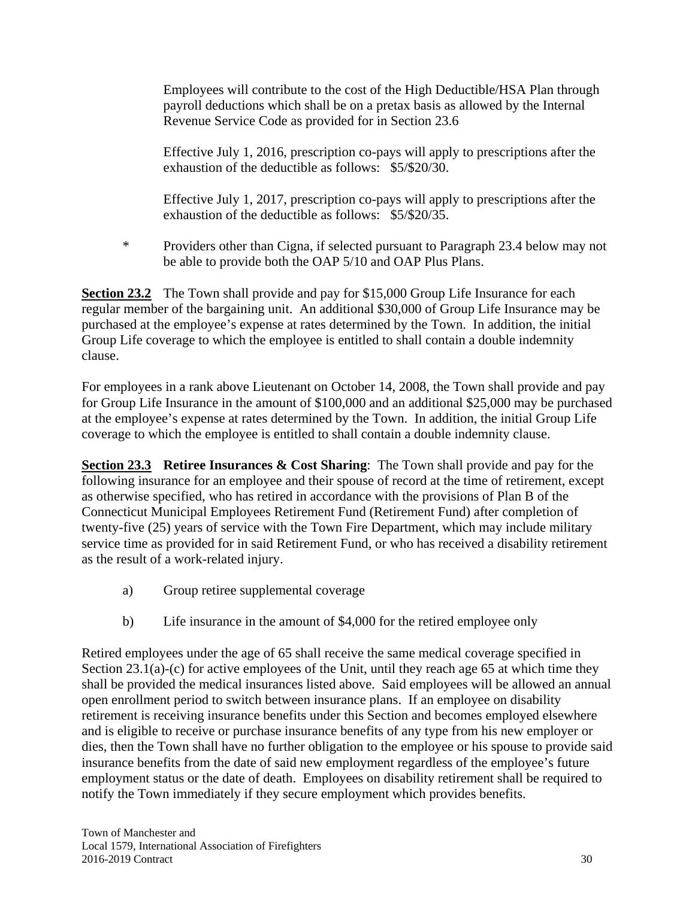Employees will contribute to the cost of the High Deductible/HSA Plan through payroll deductions which shall be on a pretax basis as allowed by the Internal Revenue Service Code as provided for in Section 23.6

Effective July 1, 2016, prescription co-pays will apply to prescriptions after the exhaustion of the deductible as follows: \$5/\$20/30.

Effective July 1, 2017, prescription co-pays will apply to prescriptions after the exhaustion of the deductible as follows: \$5/\$20/35.

 \* Providers other than Cigna, if selected pursuant to Paragraph 23.4 below may not be able to provide both the OAP 5/10 and OAP Plus Plans.

**Section 23.2** The Town shall provide and pay for \$15,000 Group Life Insurance for each regular member of the bargaining unit. An additional \$30,000 of Group Life Insurance may be purchased at the employee's expense at rates determined by the Town. In addition, the initial Group Life coverage to which the employee is entitled to shall contain a double indemnity clause.

For employees in a rank above Lieutenant on October 14, 2008, the Town shall provide and pay for Group Life Insurance in the amount of \$100,000 and an additional \$25,000 may be purchased at the employee's expense at rates determined by the Town. In addition, the initial Group Life coverage to which the employee is entitled to shall contain a double indemnity clause.

**Section 23.3 Retiree Insurances & Cost Sharing:** The Town shall provide and pay for the following insurance for an employee and their spouse of record at the time of retirement, except as otherwise specified, who has retired in accordance with the provisions of Plan B of the Connecticut Municipal Employees Retirement Fund (Retirement Fund) after completion of twenty-five (25) years of service with the Town Fire Department, which may include military service time as provided for in said Retirement Fund, or who has received a disability retirement as the result of a work-related injury.

- a) Group retiree supplemental coverage
- b) Life insurance in the amount of \$4,000 for the retired employee only

Retired employees under the age of 65 shall receive the same medical coverage specified in Section 23.1(a)-(c) for active employees of the Unit, until they reach age 65 at which time they shall be provided the medical insurances listed above. Said employees will be allowed an annual open enrollment period to switch between insurance plans. If an employee on disability retirement is receiving insurance benefits under this Section and becomes employed elsewhere and is eligible to receive or purchase insurance benefits of any type from his new employer or dies, then the Town shall have no further obligation to the employee or his spouse to provide said insurance benefits from the date of said new employment regardless of the employee's future employment status or the date of death. Employees on disability retirement shall be required to notify the Town immediately if they secure employment which provides benefits.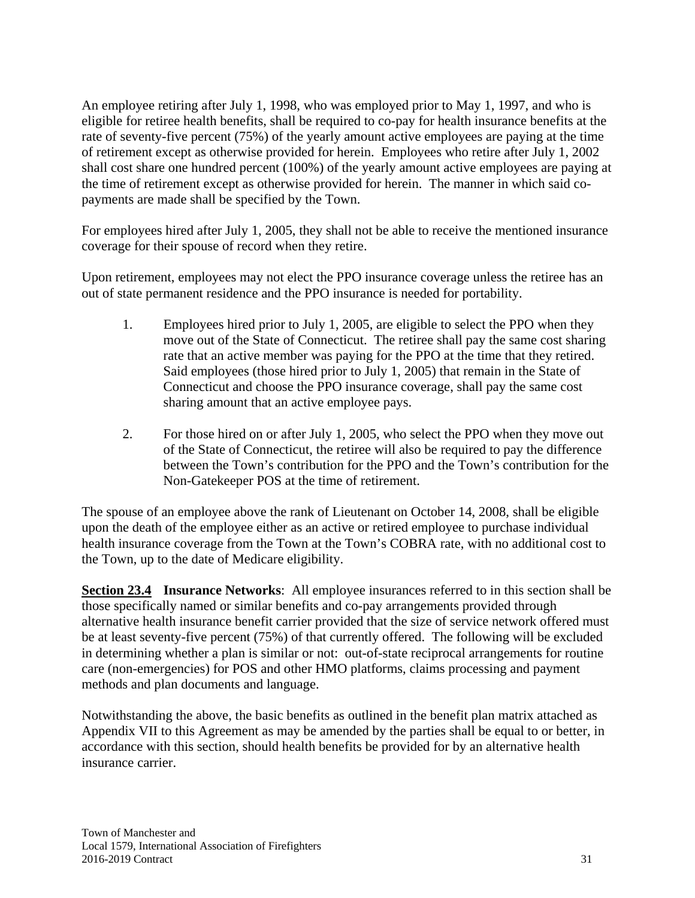An employee retiring after July 1, 1998, who was employed prior to May 1, 1997, and who is eligible for retiree health benefits, shall be required to co-pay for health insurance benefits at the rate of seventy-five percent (75%) of the yearly amount active employees are paying at the time of retirement except as otherwise provided for herein. Employees who retire after July 1, 2002 shall cost share one hundred percent (100%) of the yearly amount active employees are paying at the time of retirement except as otherwise provided for herein. The manner in which said copayments are made shall be specified by the Town.

For employees hired after July 1, 2005, they shall not be able to receive the mentioned insurance coverage for their spouse of record when they retire.

Upon retirement, employees may not elect the PPO insurance coverage unless the retiree has an out of state permanent residence and the PPO insurance is needed for portability.

- 1. Employees hired prior to July 1, 2005, are eligible to select the PPO when they move out of the State of Connecticut. The retiree shall pay the same cost sharing rate that an active member was paying for the PPO at the time that they retired. Said employees (those hired prior to July 1, 2005) that remain in the State of Connecticut and choose the PPO insurance coverage, shall pay the same cost sharing amount that an active employee pays.
- 2. For those hired on or after July 1, 2005, who select the PPO when they move out of the State of Connecticut, the retiree will also be required to pay the difference between the Town's contribution for the PPO and the Town's contribution for the Non-Gatekeeper POS at the time of retirement.

The spouse of an employee above the rank of Lieutenant on October 14, 2008, shall be eligible upon the death of the employee either as an active or retired employee to purchase individual health insurance coverage from the Town at the Town's COBRA rate, with no additional cost to the Town, up to the date of Medicare eligibility.

**Section 23.4 Insurance Networks**: All employee insurances referred to in this section shall be those specifically named or similar benefits and co-pay arrangements provided through alternative health insurance benefit carrier provided that the size of service network offered must be at least seventy-five percent (75%) of that currently offered. The following will be excluded in determining whether a plan is similar or not: out-of-state reciprocal arrangements for routine care (non-emergencies) for POS and other HMO platforms, claims processing and payment methods and plan documents and language.

Notwithstanding the above, the basic benefits as outlined in the benefit plan matrix attached as Appendix VII to this Agreement as may be amended by the parties shall be equal to or better, in accordance with this section, should health benefits be provided for by an alternative health insurance carrier.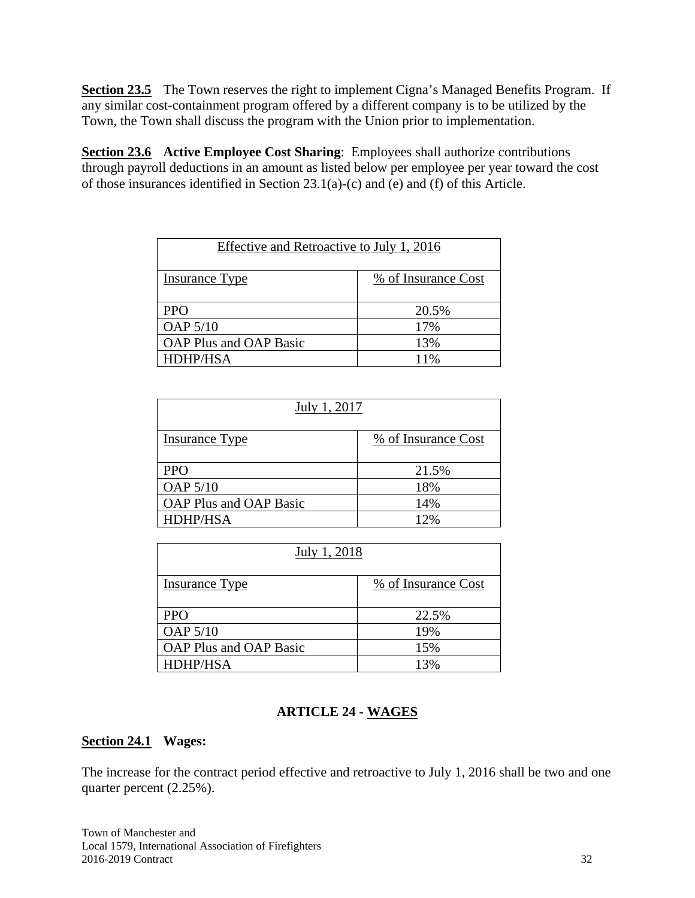**Section 23.5** The Town reserves the right to implement Cigna's Managed Benefits Program. If any similar cost-containment program offered by a different company is to be utilized by the Town, the Town shall discuss the program with the Union prior to implementation.

**Section 23.6 Active Employee Cost Sharing**: Employees shall authorize contributions through payroll deductions in an amount as listed below per employee per year toward the cost of those insurances identified in Section 23.1(a)-(c) and (e) and (f) of this Article.

| Effective and Retroactive to July 1, 2016 |                     |  |  |
|-------------------------------------------|---------------------|--|--|
| <b>Insurance Type</b>                     | % of Insurance Cost |  |  |
| <b>PPO</b>                                | 20.5%               |  |  |
| <b>OAP 5/10</b>                           | 17%                 |  |  |
| <b>OAP Plus and OAP Basic</b>             | 13%                 |  |  |
| HDHP/HSA                                  | 11%                 |  |  |

| July 1, 2017                  |                     |  |
|-------------------------------|---------------------|--|
| <b>Insurance Type</b>         | % of Insurance Cost |  |
| <b>PPO</b>                    | 21.5%               |  |
| <b>OAP 5/10</b>               | 18%                 |  |
| <b>OAP Plus and OAP Basic</b> | 14%                 |  |
| HDHP/HSA                      | 12%                 |  |

| July 1, 2018                  |                     |  |  |
|-------------------------------|---------------------|--|--|
| <b>Insurance Type</b>         | % of Insurance Cost |  |  |
| <b>PPO</b>                    | 22.5%               |  |  |
| <b>OAP 5/10</b>               | 19%                 |  |  |
| <b>OAP Plus and OAP Basic</b> | 15%                 |  |  |
| <b>HDHP/HSA</b>               | 13%                 |  |  |

#### **ARTICLE 24 - WAGES**

#### **Section 24.1 Wages:**

The increase for the contract period effective and retroactive to July 1, 2016 shall be two and one quarter percent (2.25%).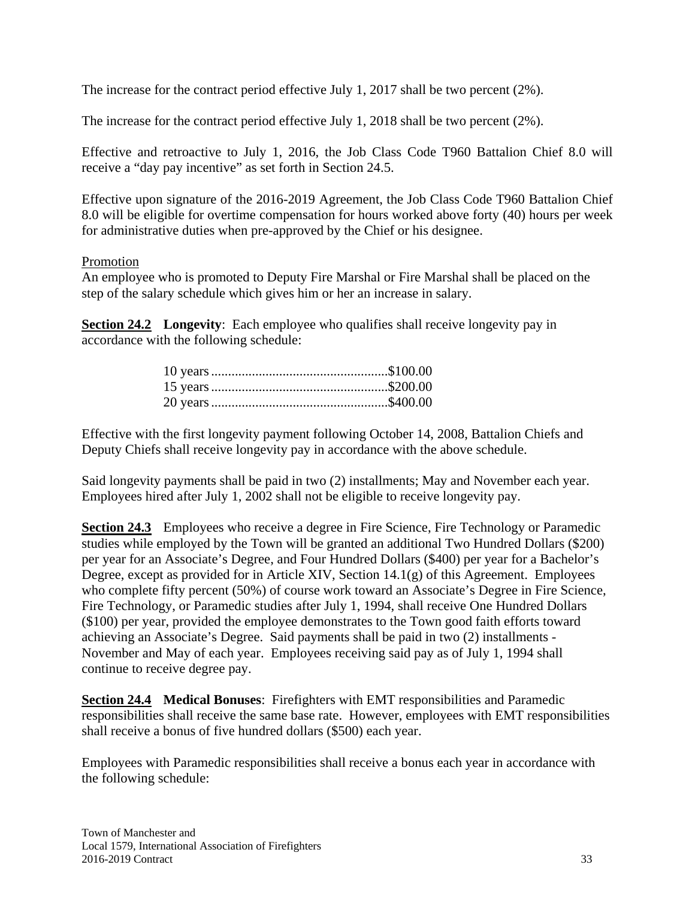The increase for the contract period effective July 1, 2017 shall be two percent (2%).

The increase for the contract period effective July 1, 2018 shall be two percent (2%).

Effective and retroactive to July 1, 2016, the Job Class Code T960 Battalion Chief 8.0 will receive a "day pay incentive" as set forth in Section 24.5.

Effective upon signature of the 2016-2019 Agreement, the Job Class Code T960 Battalion Chief 8.0 will be eligible for overtime compensation for hours worked above forty (40) hours per week for administrative duties when pre-approved by the Chief or his designee.

#### Promotion

An employee who is promoted to Deputy Fire Marshal or Fire Marshal shall be placed on the step of the salary schedule which gives him or her an increase in salary.

**Section 24.2** Longevity: Each employee who qualifies shall receive longevity pay in accordance with the following schedule:

Effective with the first longevity payment following October 14, 2008, Battalion Chiefs and Deputy Chiefs shall receive longevity pay in accordance with the above schedule.

Said longevity payments shall be paid in two (2) installments; May and November each year. Employees hired after July 1, 2002 shall not be eligible to receive longevity pay.

**Section 24.3** Employees who receive a degree in Fire Science, Fire Technology or Paramedic studies while employed by the Town will be granted an additional Two Hundred Dollars (\$200) per year for an Associate's Degree, and Four Hundred Dollars (\$400) per year for a Bachelor's Degree, except as provided for in Article XIV, Section 14.1(g) of this Agreement. Employees who complete fifty percent (50%) of course work toward an Associate's Degree in Fire Science, Fire Technology, or Paramedic studies after July 1, 1994, shall receive One Hundred Dollars (\$100) per year, provided the employee demonstrates to the Town good faith efforts toward achieving an Associate's Degree. Said payments shall be paid in two (2) installments - November and May of each year. Employees receiving said pay as of July 1, 1994 shall continue to receive degree pay.

**Section 24.4 Medical Bonuses**: Firefighters with EMT responsibilities and Paramedic responsibilities shall receive the same base rate. However, employees with EMT responsibilities shall receive a bonus of five hundred dollars (\$500) each year.

Employees with Paramedic responsibilities shall receive a bonus each year in accordance with the following schedule: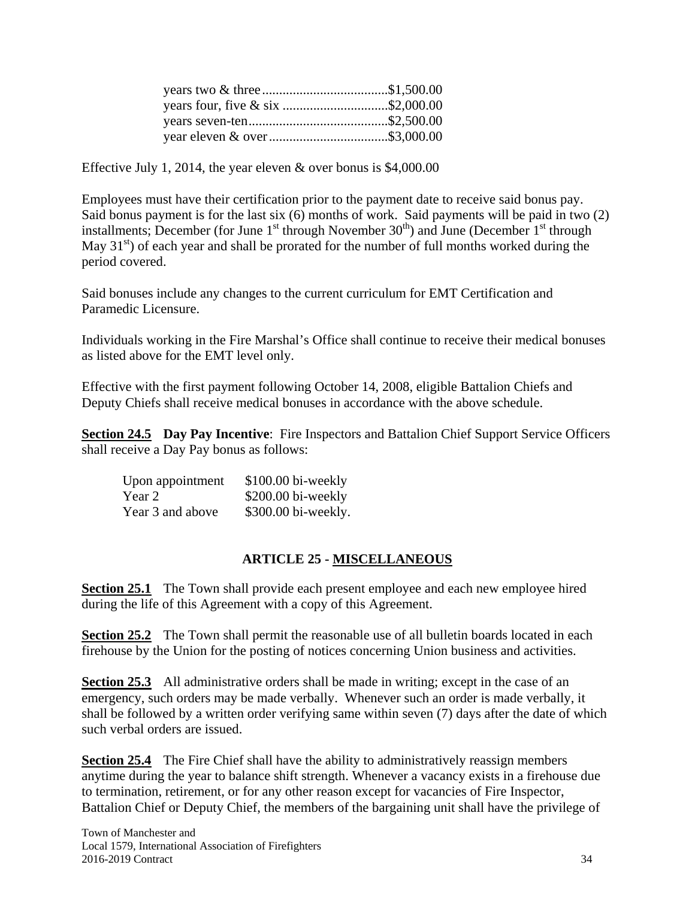| years four, five & six \$2,000.00 |  |
|-----------------------------------|--|
|                                   |  |
|                                   |  |

Effective July 1, 2014, the year eleven & over bonus is \$4,000.00

Employees must have their certification prior to the payment date to receive said bonus pay. Said bonus payment is for the last six (6) months of work. Said payments will be paid in two (2) installments; December (for June  $1<sup>st</sup>$  through November  $30<sup>th</sup>$ ) and June (December  $1<sup>st</sup>$  through May  $31<sup>st</sup>$ ) of each year and shall be prorated for the number of full months worked during the period covered.

Said bonuses include any changes to the current curriculum for EMT Certification and Paramedic Licensure.

Individuals working in the Fire Marshal's Office shall continue to receive their medical bonuses as listed above for the EMT level only.

Effective with the first payment following October 14, 2008, eligible Battalion Chiefs and Deputy Chiefs shall receive medical bonuses in accordance with the above schedule.

**Section 24.5 Day Pay Incentive**: Fire Inspectors and Battalion Chief Support Service Officers shall receive a Day Pay bonus as follows:

| Upon appointment | $$100.00$ bi-weekly |
|------------------|---------------------|
| Year 2           | \$200.00 bi-weekly  |
| Year 3 and above | \$300.00 bi-weekly. |

# **ARTICLE 25 - MISCELLANEOUS**

**Section 25.1** The Town shall provide each present employee and each new employee hired during the life of this Agreement with a copy of this Agreement.

**Section 25.2** The Town shall permit the reasonable use of all bulletin boards located in each firehouse by the Union for the posting of notices concerning Union business and activities.

**Section 25.3** All administrative orders shall be made in writing; except in the case of an emergency, such orders may be made verbally. Whenever such an order is made verbally, it shall be followed by a written order verifying same within seven (7) days after the date of which such verbal orders are issued.

**Section 25.4** The Fire Chief shall have the ability to administratively reassign members anytime during the year to balance shift strength. Whenever a vacancy exists in a firehouse due to termination, retirement, or for any other reason except for vacancies of Fire Inspector, Battalion Chief or Deputy Chief, the members of the bargaining unit shall have the privilege of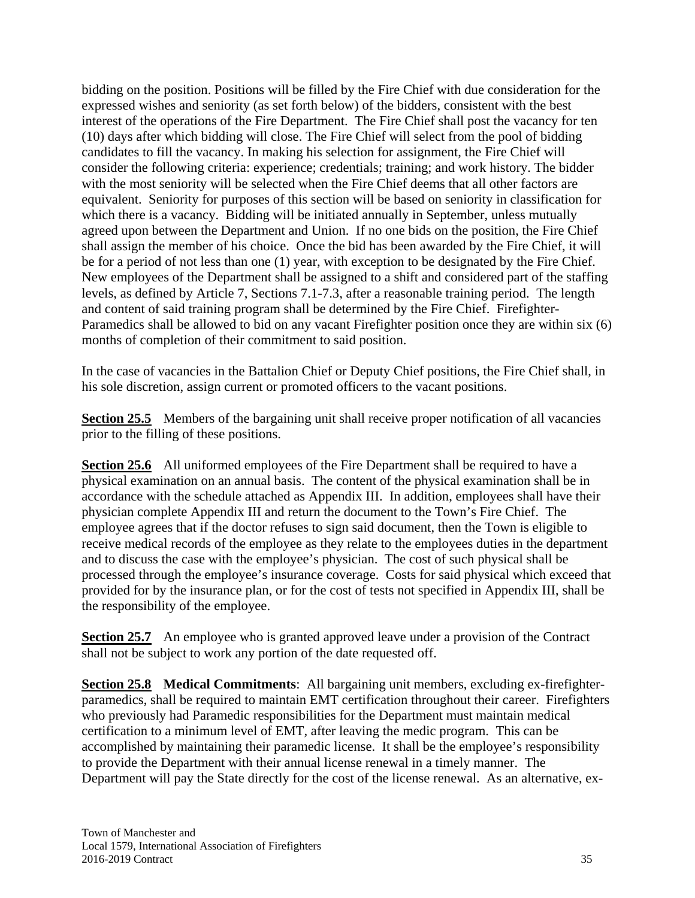bidding on the position. Positions will be filled by the Fire Chief with due consideration for the expressed wishes and seniority (as set forth below) of the bidders, consistent with the best interest of the operations of the Fire Department. The Fire Chief shall post the vacancy for ten (10) days after which bidding will close. The Fire Chief will select from the pool of bidding candidates to fill the vacancy. In making his selection for assignment, the Fire Chief will consider the following criteria: experience; credentials; training; and work history. The bidder with the most seniority will be selected when the Fire Chief deems that all other factors are equivalent. Seniority for purposes of this section will be based on seniority in classification for which there is a vacancy. Bidding will be initiated annually in September, unless mutually agreed upon between the Department and Union. If no one bids on the position, the Fire Chief shall assign the member of his choice. Once the bid has been awarded by the Fire Chief, it will be for a period of not less than one (1) year, with exception to be designated by the Fire Chief. New employees of the Department shall be assigned to a shift and considered part of the staffing levels, as defined by Article 7, Sections 7.1-7.3, after a reasonable training period. The length and content of said training program shall be determined by the Fire Chief. Firefighter-Paramedics shall be allowed to bid on any vacant Firefighter position once they are within six (6) months of completion of their commitment to said position.

In the case of vacancies in the Battalion Chief or Deputy Chief positions, the Fire Chief shall, in his sole discretion, assign current or promoted officers to the vacant positions.

**Section 25.5** Members of the bargaining unit shall receive proper notification of all vacancies prior to the filling of these positions.

**Section 25.6** All uniformed employees of the Fire Department shall be required to have a physical examination on an annual basis. The content of the physical examination shall be in accordance with the schedule attached as Appendix III. In addition, employees shall have their physician complete Appendix III and return the document to the Town's Fire Chief. The employee agrees that if the doctor refuses to sign said document, then the Town is eligible to receive medical records of the employee as they relate to the employees duties in the department and to discuss the case with the employee's physician. The cost of such physical shall be processed through the employee's insurance coverage. Costs for said physical which exceed that provided for by the insurance plan, or for the cost of tests not specified in Appendix III, shall be the responsibility of the employee.

**Section 25.7** An employee who is granted approved leave under a provision of the Contract shall not be subject to work any portion of the date requested off.

**Section 25.8 Medical Commitments**: All bargaining unit members, excluding ex-firefighterparamedics, shall be required to maintain EMT certification throughout their career. Firefighters who previously had Paramedic responsibilities for the Department must maintain medical certification to a minimum level of EMT, after leaving the medic program. This can be accomplished by maintaining their paramedic license. It shall be the employee's responsibility to provide the Department with their annual license renewal in a timely manner. The Department will pay the State directly for the cost of the license renewal. As an alternative, ex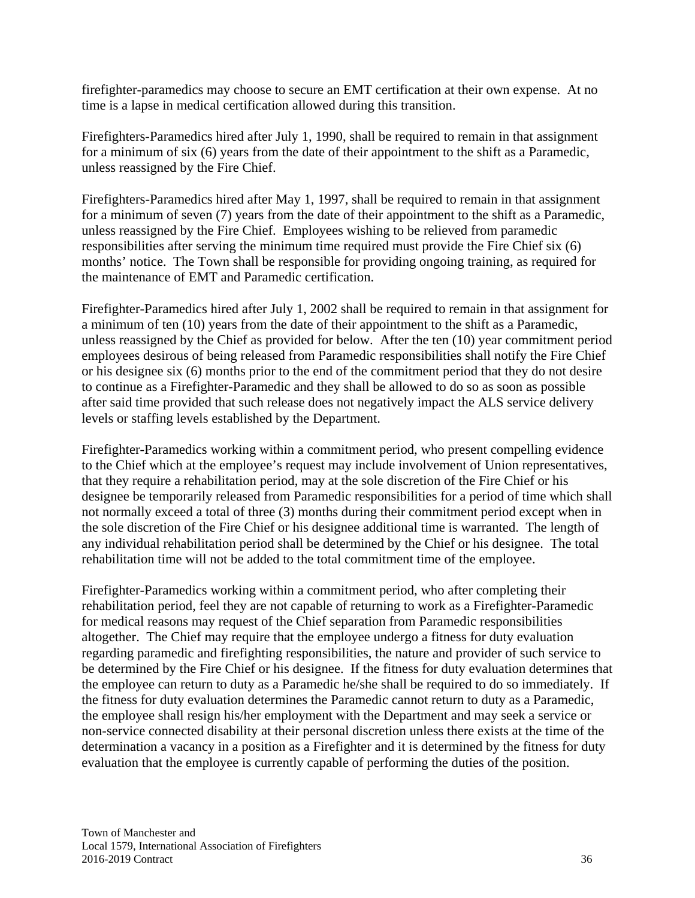firefighter-paramedics may choose to secure an EMT certification at their own expense. At no time is a lapse in medical certification allowed during this transition.

Firefighters-Paramedics hired after July 1, 1990, shall be required to remain in that assignment for a minimum of six (6) years from the date of their appointment to the shift as a Paramedic, unless reassigned by the Fire Chief.

Firefighters-Paramedics hired after May 1, 1997, shall be required to remain in that assignment for a minimum of seven (7) years from the date of their appointment to the shift as a Paramedic, unless reassigned by the Fire Chief. Employees wishing to be relieved from paramedic responsibilities after serving the minimum time required must provide the Fire Chief six (6) months' notice. The Town shall be responsible for providing ongoing training, as required for the maintenance of EMT and Paramedic certification.

Firefighter-Paramedics hired after July 1, 2002 shall be required to remain in that assignment for a minimum of ten (10) years from the date of their appointment to the shift as a Paramedic, unless reassigned by the Chief as provided for below. After the ten (10) year commitment period employees desirous of being released from Paramedic responsibilities shall notify the Fire Chief or his designee six (6) months prior to the end of the commitment period that they do not desire to continue as a Firefighter-Paramedic and they shall be allowed to do so as soon as possible after said time provided that such release does not negatively impact the ALS service delivery levels or staffing levels established by the Department.

Firefighter-Paramedics working within a commitment period, who present compelling evidence to the Chief which at the employee's request may include involvement of Union representatives, that they require a rehabilitation period, may at the sole discretion of the Fire Chief or his designee be temporarily released from Paramedic responsibilities for a period of time which shall not normally exceed a total of three (3) months during their commitment period except when in the sole discretion of the Fire Chief or his designee additional time is warranted. The length of any individual rehabilitation period shall be determined by the Chief or his designee. The total rehabilitation time will not be added to the total commitment time of the employee.

Firefighter-Paramedics working within a commitment period, who after completing their rehabilitation period, feel they are not capable of returning to work as a Firefighter-Paramedic for medical reasons may request of the Chief separation from Paramedic responsibilities altogether. The Chief may require that the employee undergo a fitness for duty evaluation regarding paramedic and firefighting responsibilities, the nature and provider of such service to be determined by the Fire Chief or his designee. If the fitness for duty evaluation determines that the employee can return to duty as a Paramedic he/she shall be required to do so immediately. If the fitness for duty evaluation determines the Paramedic cannot return to duty as a Paramedic, the employee shall resign his/her employment with the Department and may seek a service or non-service connected disability at their personal discretion unless there exists at the time of the determination a vacancy in a position as a Firefighter and it is determined by the fitness for duty evaluation that the employee is currently capable of performing the duties of the position.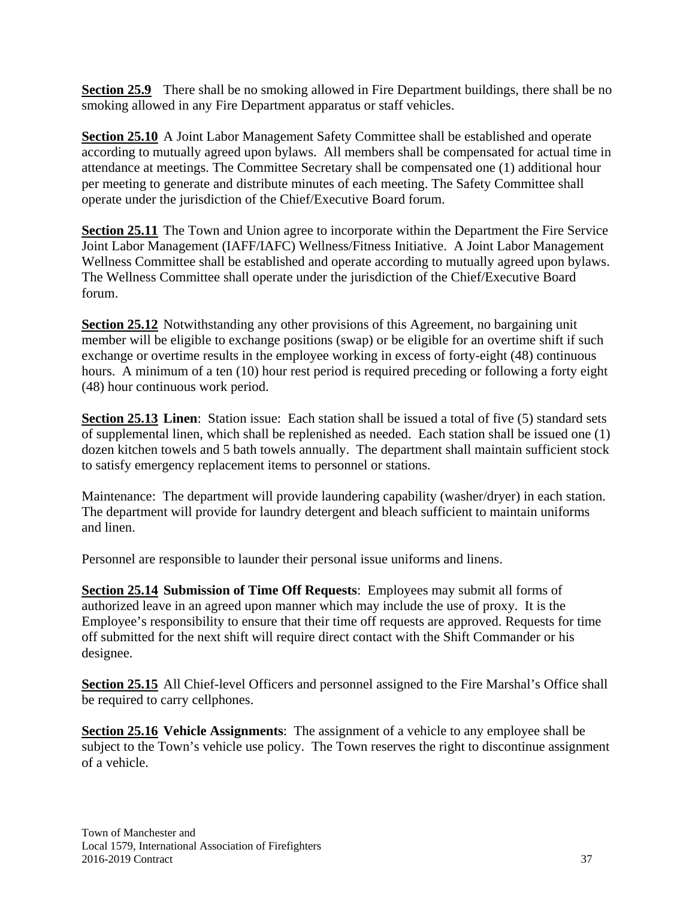**Section 25.9** There shall be no smoking allowed in Fire Department buildings, there shall be no smoking allowed in any Fire Department apparatus or staff vehicles.

**Section 25.10** A Joint Labor Management Safety Committee shall be established and operate according to mutually agreed upon bylaws. All members shall be compensated for actual time in attendance at meetings. The Committee Secretary shall be compensated one (1) additional hour per meeting to generate and distribute minutes of each meeting. The Safety Committee shall operate under the jurisdiction of the Chief/Executive Board forum.

**Section 25.11** The Town and Union agree to incorporate within the Department the Fire Service Joint Labor Management (IAFF/IAFC) Wellness/Fitness Initiative. A Joint Labor Management Wellness Committee shall be established and operate according to mutually agreed upon bylaws. The Wellness Committee shall operate under the jurisdiction of the Chief/Executive Board forum.

**Section 25.12** Notwithstanding any other provisions of this Agreement, no bargaining unit member will be eligible to exchange positions (swap) or be eligible for an overtime shift if such exchange or overtime results in the employee working in excess of forty-eight (48) continuous hours. A minimum of a ten (10) hour rest period is required preceding or following a forty eight (48) hour continuous work period.

**Section 25.13 Linen:** Station issue: Each station shall be issued a total of five (5) standard sets of supplemental linen, which shall be replenished as needed. Each station shall be issued one (1) dozen kitchen towels and 5 bath towels annually. The department shall maintain sufficient stock to satisfy emergency replacement items to personnel or stations.

Maintenance: The department will provide laundering capability (washer/dryer) in each station. The department will provide for laundry detergent and bleach sufficient to maintain uniforms and linen.

Personnel are responsible to launder their personal issue uniforms and linens.

**Section 25.14 Submission of Time Off Requests**: Employees may submit all forms of authorized leave in an agreed upon manner which may include the use of proxy. It is the Employee's responsibility to ensure that their time off requests are approved. Requests for time off submitted for the next shift will require direct contact with the Shift Commander or his designee.

**Section 25.15** All Chief-level Officers and personnel assigned to the Fire Marshal's Office shall be required to carry cellphones.

**Section 25.16 Vehicle Assignments**: The assignment of a vehicle to any employee shall be subject to the Town's vehicle use policy. The Town reserves the right to discontinue assignment of a vehicle.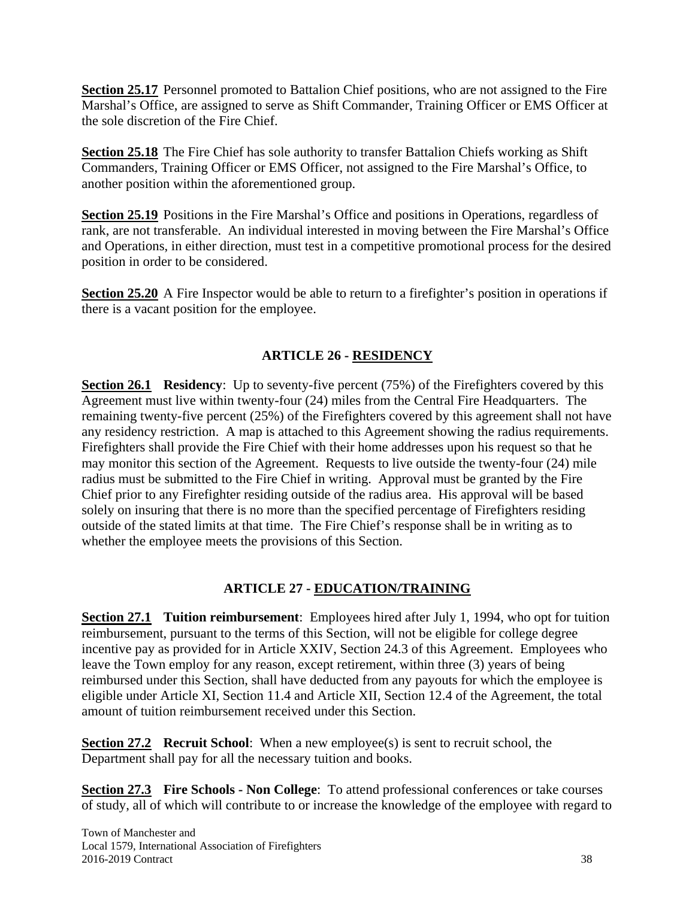**Section 25.17** Personnel promoted to Battalion Chief positions, who are not assigned to the Fire Marshal's Office, are assigned to serve as Shift Commander, Training Officer or EMS Officer at the sole discretion of the Fire Chief.

**Section 25.18** The Fire Chief has sole authority to transfer Battalion Chiefs working as Shift Commanders, Training Officer or EMS Officer, not assigned to the Fire Marshal's Office, to another position within the aforementioned group.

**Section 25.19** Positions in the Fire Marshal's Office and positions in Operations, regardless of rank, are not transferable. An individual interested in moving between the Fire Marshal's Office and Operations, in either direction, must test in a competitive promotional process for the desired position in order to be considered.

**Section 25.20** A Fire Inspector would be able to return to a firefighter's position in operations if there is a vacant position for the employee.

# **ARTICLE 26 - RESIDENCY**

**Section 26.1** Residency: Up to seventy-five percent (75%) of the Firefighters covered by this Agreement must live within twenty-four (24) miles from the Central Fire Headquarters. The remaining twenty-five percent (25%) of the Firefighters covered by this agreement shall not have any residency restriction. A map is attached to this Agreement showing the radius requirements. Firefighters shall provide the Fire Chief with their home addresses upon his request so that he may monitor this section of the Agreement. Requests to live outside the twenty-four (24) mile radius must be submitted to the Fire Chief in writing. Approval must be granted by the Fire Chief prior to any Firefighter residing outside of the radius area. His approval will be based solely on insuring that there is no more than the specified percentage of Firefighters residing outside of the stated limits at that time. The Fire Chief's response shall be in writing as to whether the employee meets the provisions of this Section.

# **ARTICLE 27 - EDUCATION/TRAINING**

**Section 27.1 Tuition reimbursement**: Employees hired after July 1, 1994, who opt for tuition reimbursement, pursuant to the terms of this Section, will not be eligible for college degree incentive pay as provided for in Article XXIV, Section 24.3 of this Agreement. Employees who leave the Town employ for any reason, except retirement, within three (3) years of being reimbursed under this Section, shall have deducted from any payouts for which the employee is eligible under Article XI, Section 11.4 and Article XII, Section 12.4 of the Agreement, the total amount of tuition reimbursement received under this Section.

**Section 27.2 Recruit School:** When a new employee(s) is sent to recruit school, the Department shall pay for all the necessary tuition and books.

**Section 27.3 Fire Schools - Non College**: To attend professional conferences or take courses of study, all of which will contribute to or increase the knowledge of the employee with regard to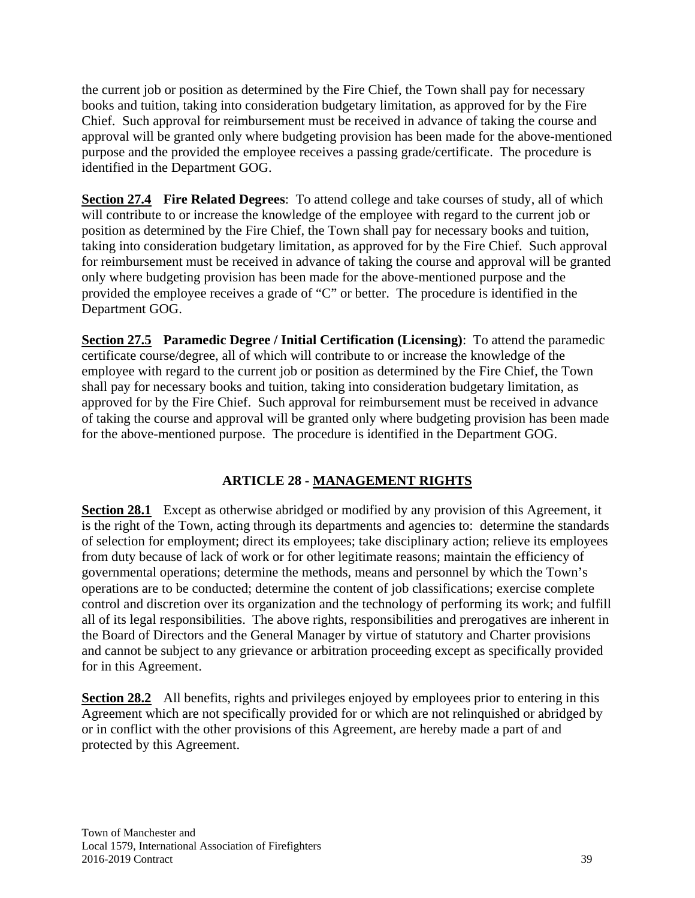the current job or position as determined by the Fire Chief, the Town shall pay for necessary books and tuition, taking into consideration budgetary limitation, as approved for by the Fire Chief. Such approval for reimbursement must be received in advance of taking the course and approval will be granted only where budgeting provision has been made for the above-mentioned purpose and the provided the employee receives a passing grade/certificate. The procedure is identified in the Department GOG.

**Section 27.4 Fire Related Degrees**: To attend college and take courses of study, all of which will contribute to or increase the knowledge of the employee with regard to the current job or position as determined by the Fire Chief, the Town shall pay for necessary books and tuition, taking into consideration budgetary limitation, as approved for by the Fire Chief. Such approval for reimbursement must be received in advance of taking the course and approval will be granted only where budgeting provision has been made for the above-mentioned purpose and the provided the employee receives a grade of "C" or better. The procedure is identified in the Department GOG.

**Section 27.5 Paramedic Degree / Initial Certification (Licensing)**: To attend the paramedic certificate course/degree, all of which will contribute to or increase the knowledge of the employee with regard to the current job or position as determined by the Fire Chief, the Town shall pay for necessary books and tuition, taking into consideration budgetary limitation, as approved for by the Fire Chief. Such approval for reimbursement must be received in advance of taking the course and approval will be granted only where budgeting provision has been made for the above-mentioned purpose. The procedure is identified in the Department GOG.

# **ARTICLE 28 - MANAGEMENT RIGHTS**

**Section 28.1** Except as otherwise abridged or modified by any provision of this Agreement, it is the right of the Town, acting through its departments and agencies to: determine the standards of selection for employment; direct its employees; take disciplinary action; relieve its employees from duty because of lack of work or for other legitimate reasons; maintain the efficiency of governmental operations; determine the methods, means and personnel by which the Town's operations are to be conducted; determine the content of job classifications; exercise complete control and discretion over its organization and the technology of performing its work; and fulfill all of its legal responsibilities. The above rights, responsibilities and prerogatives are inherent in the Board of Directors and the General Manager by virtue of statutory and Charter provisions and cannot be subject to any grievance or arbitration proceeding except as specifically provided for in this Agreement.

**Section 28.2** All benefits, rights and privileges enjoyed by employees prior to entering in this Agreement which are not specifically provided for or which are not relinquished or abridged by or in conflict with the other provisions of this Agreement, are hereby made a part of and protected by this Agreement.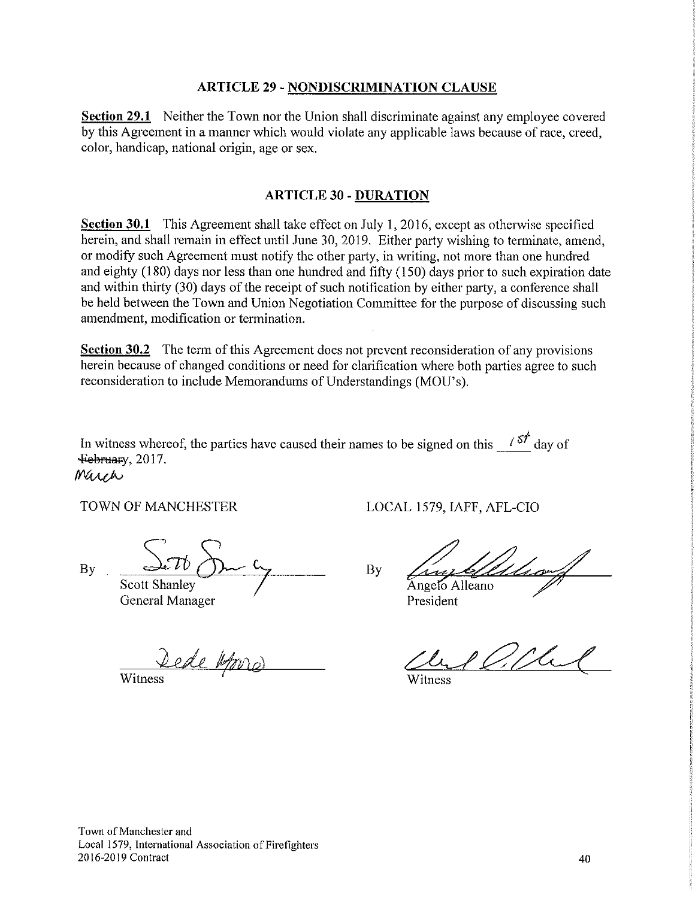#### **ARTICLE 29 - NONDISCRIMINATION CLAUSE**

**Section 29.1** Neither the Town nor the Union shall discriminate against any employee covered by this Agreement in a manner which would violate any applicable laws because of race, creed, color, handicap, national origin, age or sex.

#### **ARTICLE 30 - DURATION**

**Section 30.1** This Agreement shall take effect on July 1, 2016, except as otherwise specified herein, and shall remain in effect until June 30, 2019. Either party wishing to terminate, amend, or modify such Agreement must notify the other party, in writing, not more than one hundred and eighty (180) days nor less than one hundred and fifty (150) days prior to such expiration date and within thirty (30) days of the receipt of such notification by either party, a conference shall be held between the Town and Union Negotiation Committee for the purpose of discussing such amendment, modification or termination.

Section 30.2 The term of this Agreement does not prevent reconsideration of any provisions herein because of changed conditions or need for clarification where both parties agree to such reconsideration to include Memorandums of Understandings (MOU's).

In witness whereof, the parties have caused their names to be signed on this  $\frac{1}{57}$  day of February, 2017. March

TOWN OF MANCHESTER

LOCAL 1579, IAFF, AFL-CIO

**By** 

Scott Shanley

General Manager

Dede Atorio

Witness

Angelo Alleano

President

By

Witness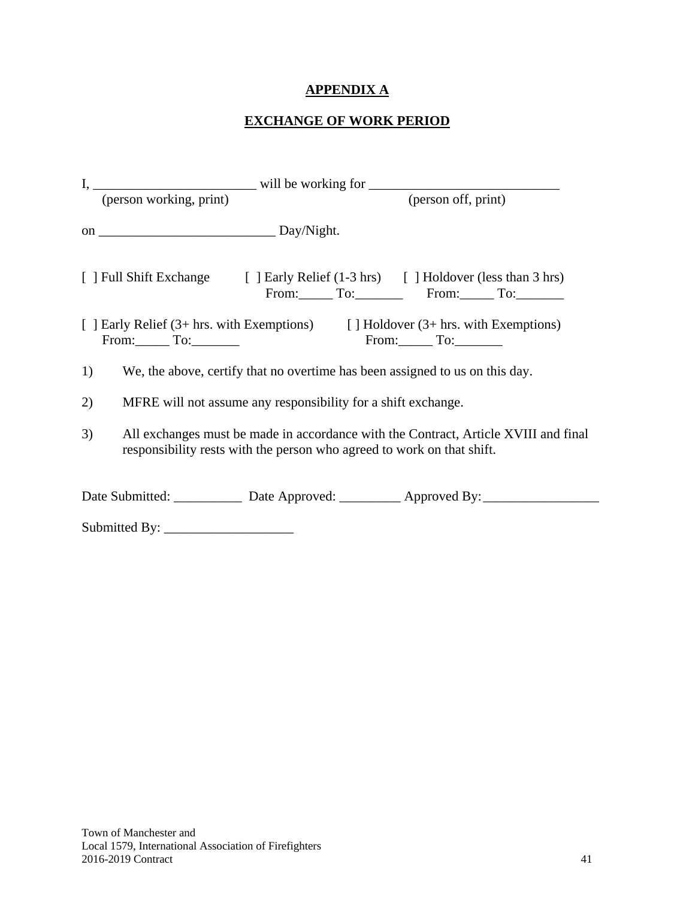# **APPENDIX A**

# **EXCHANGE OF WORK PERIOD**

|    | (person working, print)                                                                                                                                       |                                                               | (person off, print)                                                                                      |  |  |  |  |
|----|---------------------------------------------------------------------------------------------------------------------------------------------------------------|---------------------------------------------------------------|----------------------------------------------------------------------------------------------------------|--|--|--|--|
|    |                                                                                                                                                               |                                                               |                                                                                                          |  |  |  |  |
|    |                                                                                                                                                               |                                                               | [ ] Full Shift Exchange [ ] Early Relief (1-3 hrs) [ ] Holdover (less than 3 hrs)<br>From: To: From: To: |  |  |  |  |
|    | $From: \_ To: \_$                                                                                                                                             |                                                               | [ ] Early Relief (3+ hrs. with Exemptions) [ ] Holdover (3+ hrs. with Exemptions)<br>$From:$ To:         |  |  |  |  |
| 1) |                                                                                                                                                               |                                                               | We, the above, certify that no overtime has been assigned to us on this day.                             |  |  |  |  |
| 2) |                                                                                                                                                               | MFRE will not assume any responsibility for a shift exchange. |                                                                                                          |  |  |  |  |
| 3) | All exchanges must be made in accordance with the Contract, Article XVIII and final<br>responsibility rests with the person who agreed to work on that shift. |                                                               |                                                                                                          |  |  |  |  |
|    |                                                                                                                                                               |                                                               | Date Submitted: _____________ Date Approved: __________ Approved By: ____________                        |  |  |  |  |
|    |                                                                                                                                                               |                                                               |                                                                                                          |  |  |  |  |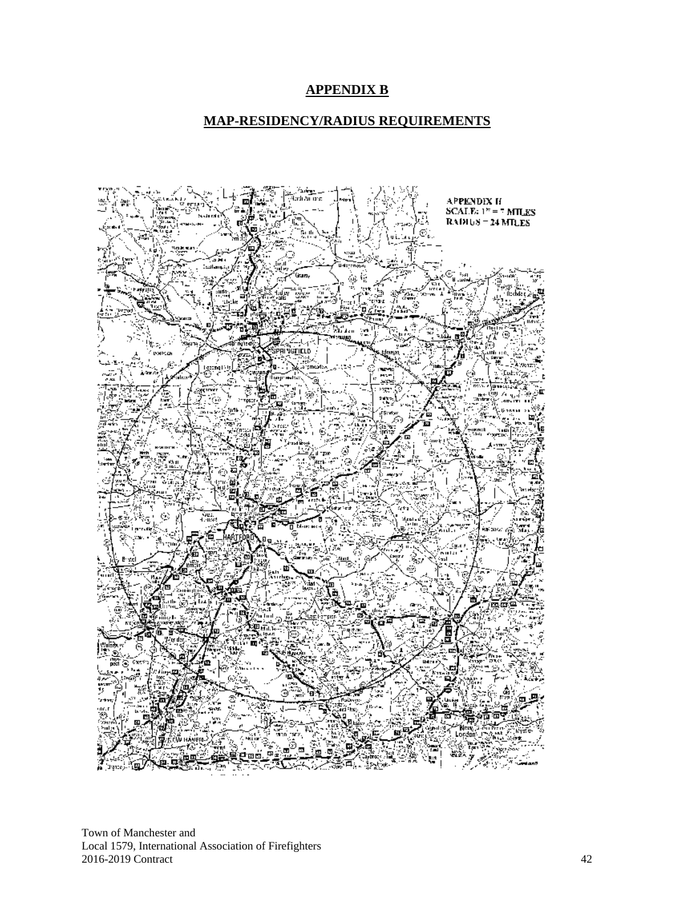# **APPENDIX B**

#### **MAP-RESIDENCY/RADIUS REQUIREMENTS**



Town of Manchester and Local 1579, International Association of Firefighters 2016-2019 Contract 42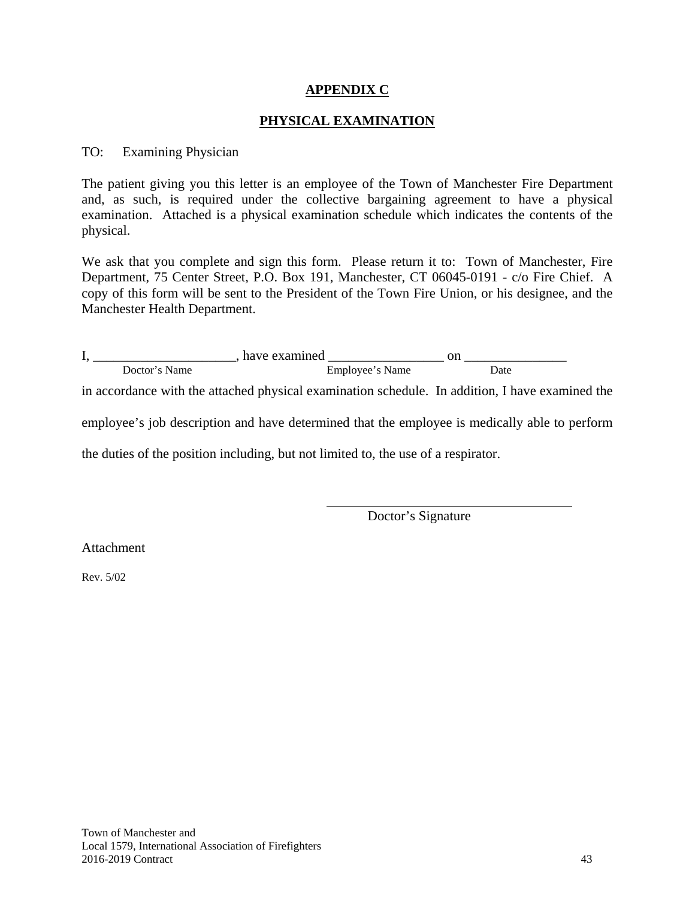## **APPENDIX C**

# **PHYSICAL EXAMINATION**

#### TO: Examining Physician

The patient giving you this letter is an employee of the Town of Manchester Fire Department and, as such, is required under the collective bargaining agreement to have a physical examination. Attached is a physical examination schedule which indicates the contents of the physical.

We ask that you complete and sign this form. Please return it to: Town of Manchester, Fire Department, 75 Center Street, P.O. Box 191, Manchester, CT 06045-0191 - c/o Fire Chief. A copy of this form will be sent to the President of the Town Fire Union, or his designee, and the Manchester Health Department.

I, \_\_\_\_\_\_\_\_\_\_\_\_\_\_\_\_\_\_\_\_\_, have examined \_\_\_\_\_\_\_\_\_\_\_\_\_\_\_\_\_ on \_\_\_\_\_\_\_\_\_\_\_\_\_\_\_ Doctor's Name Employee's Name Date

in accordance with the attached physical examination schedule. In addition, I have examined the

employee's job description and have determined that the employee is medically able to perform

the duties of the position including, but not limited to, the use of a respirator.

Doctor's Signature

Attachment

Rev. 5/02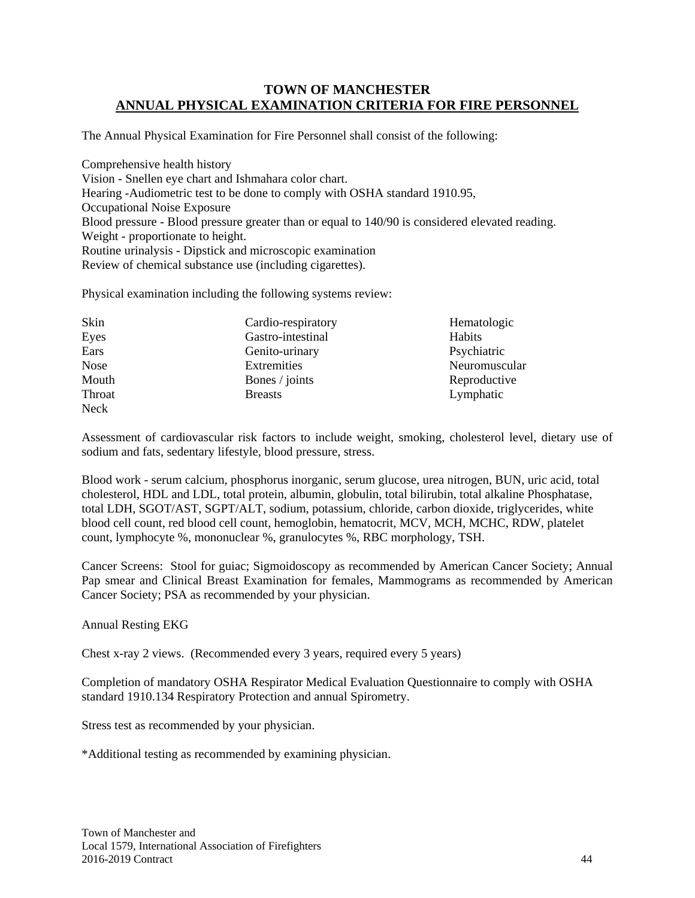#### **TOWN OF MANCHESTER ANNUAL PHYSICAL EXAMINATION CRITERIA FOR FIRE PERSONNEL**

The Annual Physical Examination for Fire Personnel shall consist of the following:

Comprehensive health history Vision - Snellen eye chart and Ishmahara color chart. Hearing -Audiometric test to be done to comply with OSHA standard 1910.95, Occupational Noise Exposure Blood pressure - Blood pressure greater than or equal to 140/90 is considered elevated reading. Weight - proportionate to height. Routine urinalysis - Dipstick and microscopic examination Review of chemical substance use (including cigarettes).

Physical examination including the following systems review:

| Skin        | Cardio-respiratory | Hematologic   |
|-------------|--------------------|---------------|
| Eyes        | Gastro-intestinal  | Habits        |
| Ears        | Genito-urinary     | Psychiatric   |
| <b>Nose</b> | Extremities        | Neuromuscular |
| Mouth       | Bones / joints     | Reproductive  |
| Throat      | <b>Breasts</b>     | Lymphatic     |
| <b>Neck</b> |                    |               |

Assessment of cardiovascular risk factors to include weight, smoking, cholesterol level, dietary use of sodium and fats, sedentary lifestyle, blood pressure, stress.

Blood work - serum calcium, phosphorus inorganic, serum glucose, urea nitrogen, BUN, uric acid, total cholesterol, HDL and LDL, total protein, albumin, globulin, total bilirubin, total alkaline Phosphatase, total LDH, SGOT/AST, SGPT/ALT, sodium, potassium, chloride, carbon dioxide, triglycerides, white blood cell count, red blood cell count, hemoglobin, hematocrit, MCV, MCH, MCHC, RDW, platelet count, lymphocyte %, mononuclear %, granulocytes %, RBC morphology, TSH.

Cancer Screens: Stool for guiac; Sigmoidoscopy as recommended by American Cancer Society; Annual Pap smear and Clinical Breast Examination for females, Mammograms as recommended by American Cancer Society; PSA as recommended by your physician.

#### Annual Resting EKG

Chest x-ray 2 views. (Recommended every 3 years, required every 5 years)

Completion of mandatory OSHA Respirator Medical Evaluation Questionnaire to comply with OSHA standard 1910.134 Respiratory Protection and annual Spirometry.

Stress test as recommended by your physician.

\*Additional testing as recommended by examining physician.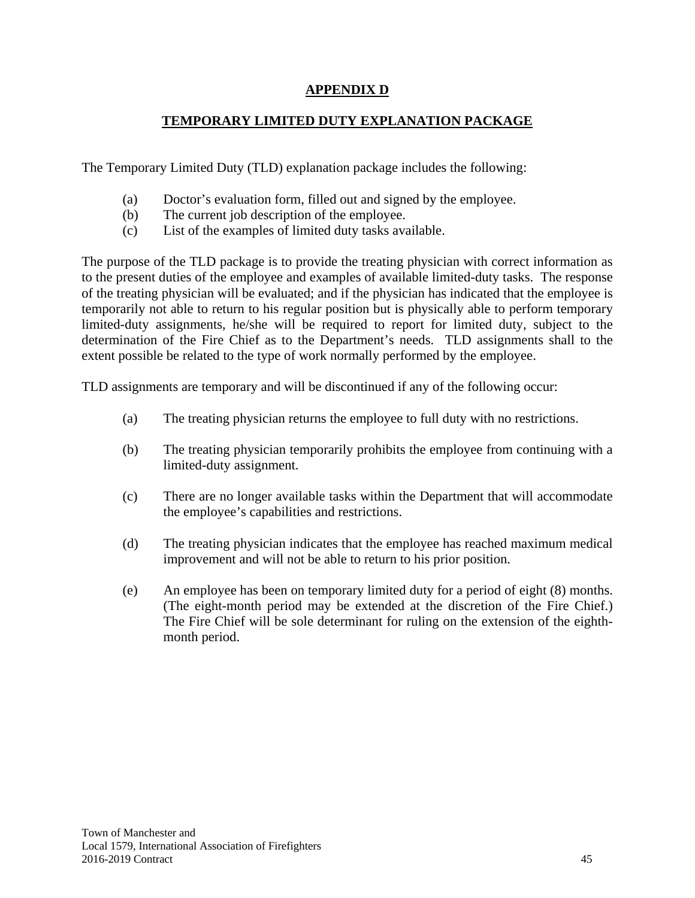# **APPENDIX D**

# **TEMPORARY LIMITED DUTY EXPLANATION PACKAGE**

The Temporary Limited Duty (TLD) explanation package includes the following:

- (a) Doctor's evaluation form, filled out and signed by the employee.
- (b) The current job description of the employee.
- (c) List of the examples of limited duty tasks available.

The purpose of the TLD package is to provide the treating physician with correct information as to the present duties of the employee and examples of available limited-duty tasks. The response of the treating physician will be evaluated; and if the physician has indicated that the employee is temporarily not able to return to his regular position but is physically able to perform temporary limited-duty assignments, he/she will be required to report for limited duty, subject to the determination of the Fire Chief as to the Department's needs. TLD assignments shall to the extent possible be related to the type of work normally performed by the employee.

TLD assignments are temporary and will be discontinued if any of the following occur:

- (a) The treating physician returns the employee to full duty with no restrictions.
- (b) The treating physician temporarily prohibits the employee from continuing with a limited-duty assignment.
- (c) There are no longer available tasks within the Department that will accommodate the employee's capabilities and restrictions.
- (d) The treating physician indicates that the employee has reached maximum medical improvement and will not be able to return to his prior position.
- (e) An employee has been on temporary limited duty for a period of eight (8) months. (The eight-month period may be extended at the discretion of the Fire Chief.) The Fire Chief will be sole determinant for ruling on the extension of the eighthmonth period.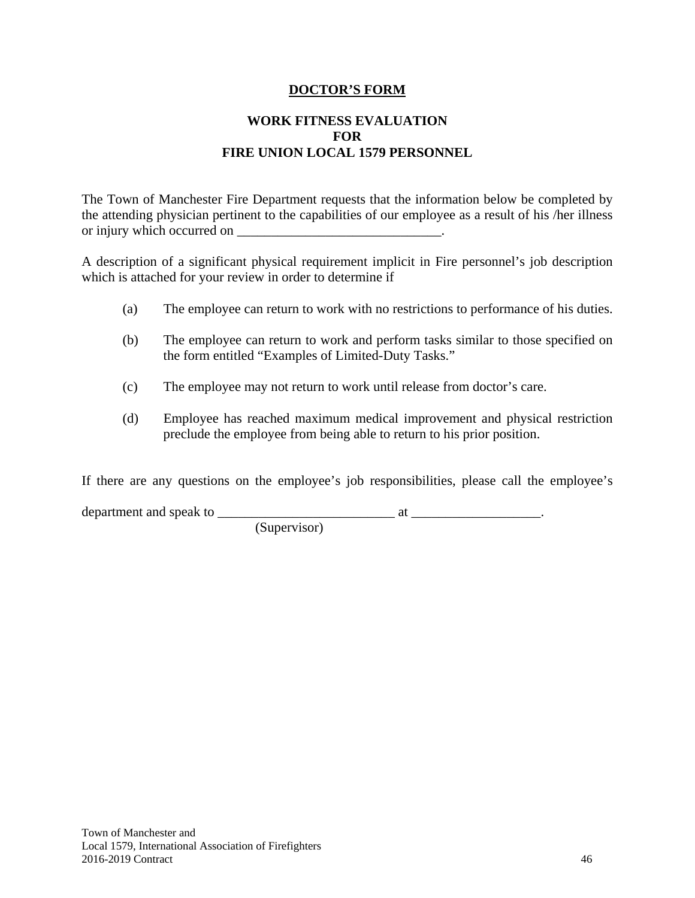#### **DOCTOR'S FORM**

# **WORK FITNESS EVALUATION FOR FIRE UNION LOCAL 1579 PERSONNEL**

The Town of Manchester Fire Department requests that the information below be completed by the attending physician pertinent to the capabilities of our employee as a result of his /her illness or injury which occurred on  $\Box$ 

A description of a significant physical requirement implicit in Fire personnel's job description which is attached for your review in order to determine if

- (a) The employee can return to work with no restrictions to performance of his duties.
- (b) The employee can return to work and perform tasks similar to those specified on the form entitled "Examples of Limited-Duty Tasks."
- (c) The employee may not return to work until release from doctor's care.
- (d) Employee has reached maximum medical improvement and physical restriction preclude the employee from being able to return to his prior position.

If there are any questions on the employee's job responsibilities, please call the employee's

department and speak to \_\_\_\_\_\_\_\_\_\_\_\_\_\_\_\_\_\_\_\_\_\_\_\_\_\_ at \_\_\_\_\_\_\_\_\_\_\_\_\_\_\_\_\_\_\_.

(Supervisor)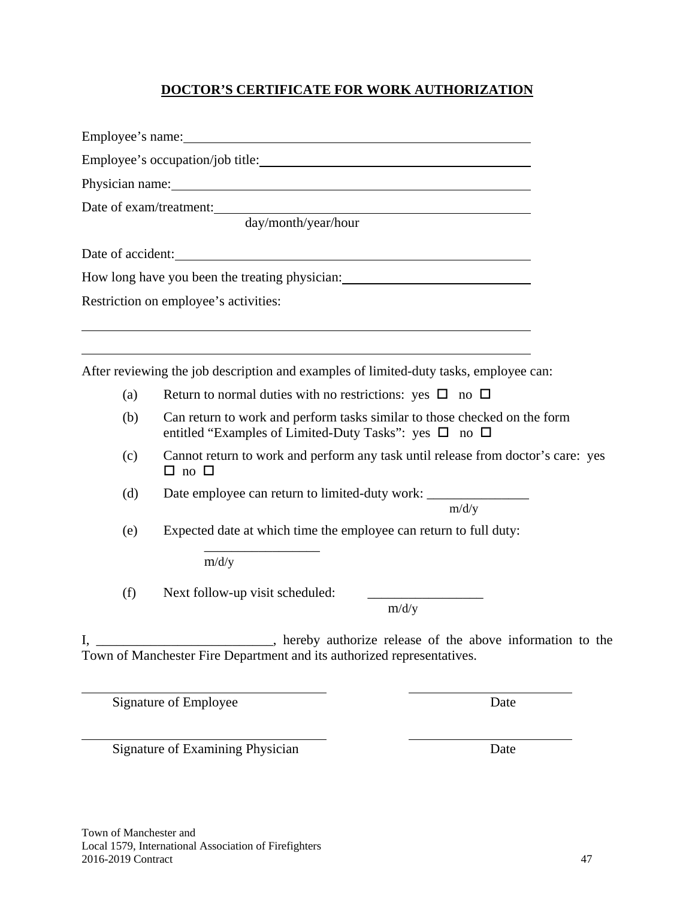# **DOCTOR'S CERTIFICATE FOR WORK AUTHORIZATION**

|     | Employee's occupation/job title:                                                                                                                                                                                               |  |
|-----|--------------------------------------------------------------------------------------------------------------------------------------------------------------------------------------------------------------------------------|--|
|     | Physician name: Note of the state of the state of the state of the state of the state of the state of the state of the state of the state of the state of the state of the state of the state of the state of the state of the |  |
|     | Date of exam/treatment:<br>day/month/year/hour                                                                                                                                                                                 |  |
|     | Date of accident:                                                                                                                                                                                                              |  |
|     | How long have you been the treating physician: _________________________________                                                                                                                                               |  |
|     | Restriction on employee's activities:                                                                                                                                                                                          |  |
|     | After reviewing the job description and examples of limited-duty tasks, employee can:                                                                                                                                          |  |
| (a) | Return to normal duties with no restrictions: yes $\Box$ no $\Box$                                                                                                                                                             |  |
| (b) | Can return to work and perform tasks similar to those checked on the form<br>entitled "Examples of Limited-Duty Tasks": yes $\square$ no $\square$                                                                             |  |
| (c) | Cannot return to work and perform any task until release from doctor's care: yes<br>$\Box$ no $\Box$                                                                                                                           |  |
| (d) | m/d/y                                                                                                                                                                                                                          |  |
| (e) | Expected date at which time the employee can return to full duty:                                                                                                                                                              |  |
|     | m/d/y                                                                                                                                                                                                                          |  |
| (f) | Next follow-up visit scheduled:<br>m/d/y                                                                                                                                                                                       |  |
|     | . hereby authorize release of the above information to the<br>Town of Manchester Fire Department and its authorized representatives.                                                                                           |  |

Signature of Employee Date

 $\overline{a}$ 

Signature of Examining Physician Date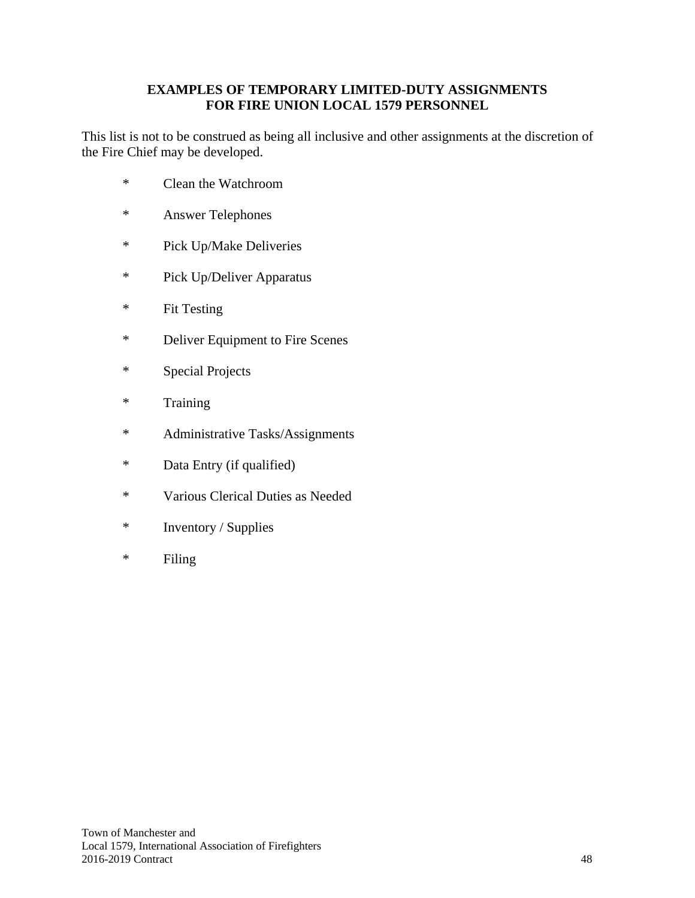## **EXAMPLES OF TEMPORARY LIMITED-DUTY ASSIGNMENTS FOR FIRE UNION LOCAL 1579 PERSONNEL**

This list is not to be construed as being all inclusive and other assignments at the discretion of the Fire Chief may be developed.

- \* Clean the Watchroom
- \* Answer Telephones
- \* Pick Up/Make Deliveries
- \* Pick Up/Deliver Apparatus
- \* Fit Testing
- \* Deliver Equipment to Fire Scenes
- \* Special Projects
- \* Training
- \* Administrative Tasks/Assignments
- \* Data Entry (if qualified)
- \* Various Clerical Duties as Needed
- \* Inventory / Supplies
- \* Filing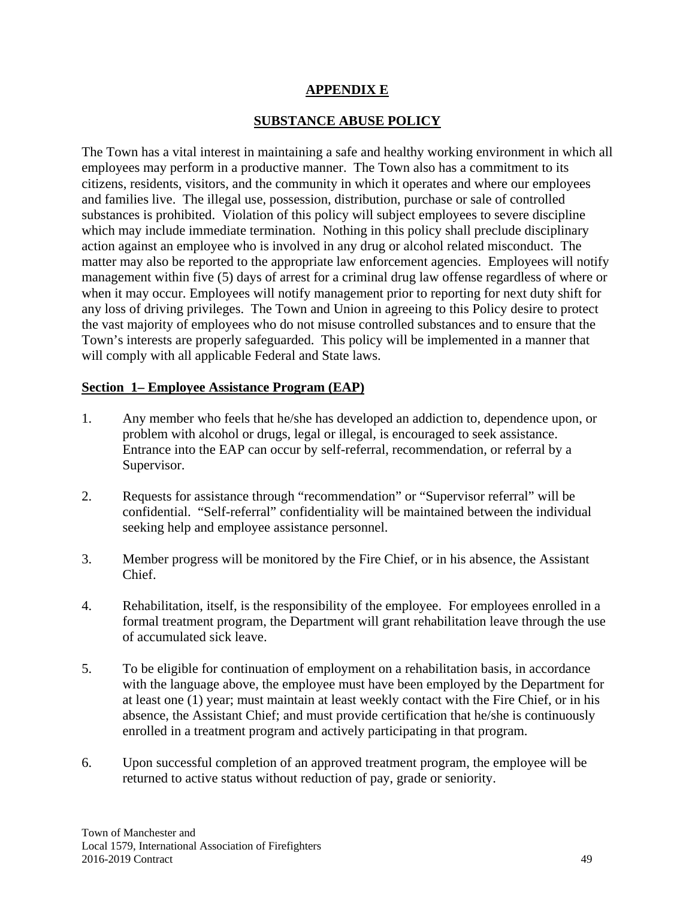# **APPENDIX E**

# **SUBSTANCE ABUSE POLICY**

The Town has a vital interest in maintaining a safe and healthy working environment in which all employees may perform in a productive manner. The Town also has a commitment to its citizens, residents, visitors, and the community in which it operates and where our employees and families live. The illegal use, possession, distribution, purchase or sale of controlled substances is prohibited. Violation of this policy will subject employees to severe discipline which may include immediate termination. Nothing in this policy shall preclude disciplinary action against an employee who is involved in any drug or alcohol related misconduct. The matter may also be reported to the appropriate law enforcement agencies. Employees will notify management within five (5) days of arrest for a criminal drug law offense regardless of where or when it may occur. Employees will notify management prior to reporting for next duty shift for any loss of driving privileges. The Town and Union in agreeing to this Policy desire to protect the vast majority of employees who do not misuse controlled substances and to ensure that the Town's interests are properly safeguarded. This policy will be implemented in a manner that will comply with all applicable Federal and State laws.

# **Section 1– Employee Assistance Program (EAP)**

- 1. Any member who feels that he/she has developed an addiction to, dependence upon, or problem with alcohol or drugs, legal or illegal, is encouraged to seek assistance. Entrance into the EAP can occur by self-referral, recommendation, or referral by a Supervisor.
- 2. Requests for assistance through "recommendation" or "Supervisor referral" will be confidential. "Self-referral" confidentiality will be maintained between the individual seeking help and employee assistance personnel.
- 3. Member progress will be monitored by the Fire Chief, or in his absence, the Assistant Chief.
- 4. Rehabilitation, itself, is the responsibility of the employee. For employees enrolled in a formal treatment program, the Department will grant rehabilitation leave through the use of accumulated sick leave.
- 5. To be eligible for continuation of employment on a rehabilitation basis, in accordance with the language above, the employee must have been employed by the Department for at least one (1) year; must maintain at least weekly contact with the Fire Chief, or in his absence, the Assistant Chief; and must provide certification that he/she is continuously enrolled in a treatment program and actively participating in that program.
- 6. Upon successful completion of an approved treatment program, the employee will be returned to active status without reduction of pay, grade or seniority.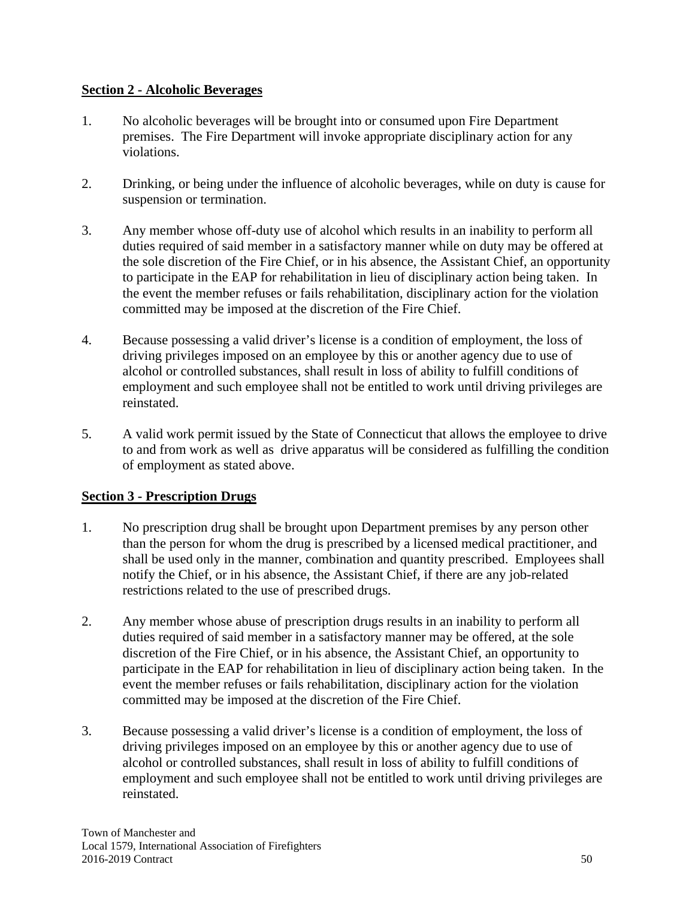# **Section 2 - Alcoholic Beverages**

- 1. No alcoholic beverages will be brought into or consumed upon Fire Department premises. The Fire Department will invoke appropriate disciplinary action for any violations.
- 2. Drinking, or being under the influence of alcoholic beverages, while on duty is cause for suspension or termination.
- 3. Any member whose off-duty use of alcohol which results in an inability to perform all duties required of said member in a satisfactory manner while on duty may be offered at the sole discretion of the Fire Chief, or in his absence, the Assistant Chief, an opportunity to participate in the EAP for rehabilitation in lieu of disciplinary action being taken. In the event the member refuses or fails rehabilitation, disciplinary action for the violation committed may be imposed at the discretion of the Fire Chief.
- 4. Because possessing a valid driver's license is a condition of employment, the loss of driving privileges imposed on an employee by this or another agency due to use of alcohol or controlled substances, shall result in loss of ability to fulfill conditions of employment and such employee shall not be entitled to work until driving privileges are reinstated.
- 5. A valid work permit issued by the State of Connecticut that allows the employee to drive to and from work as well as drive apparatus will be considered as fulfilling the condition of employment as stated above.

# **Section 3 - Prescription Drugs**

- 1. No prescription drug shall be brought upon Department premises by any person other than the person for whom the drug is prescribed by a licensed medical practitioner, and shall be used only in the manner, combination and quantity prescribed. Employees shall notify the Chief, or in his absence, the Assistant Chief, if there are any job-related restrictions related to the use of prescribed drugs.
- 2. Any member whose abuse of prescription drugs results in an inability to perform all duties required of said member in a satisfactory manner may be offered, at the sole discretion of the Fire Chief, or in his absence, the Assistant Chief, an opportunity to participate in the EAP for rehabilitation in lieu of disciplinary action being taken. In the event the member refuses or fails rehabilitation, disciplinary action for the violation committed may be imposed at the discretion of the Fire Chief.
- 3. Because possessing a valid driver's license is a condition of employment, the loss of driving privileges imposed on an employee by this or another agency due to use of alcohol or controlled substances, shall result in loss of ability to fulfill conditions of employment and such employee shall not be entitled to work until driving privileges are reinstated.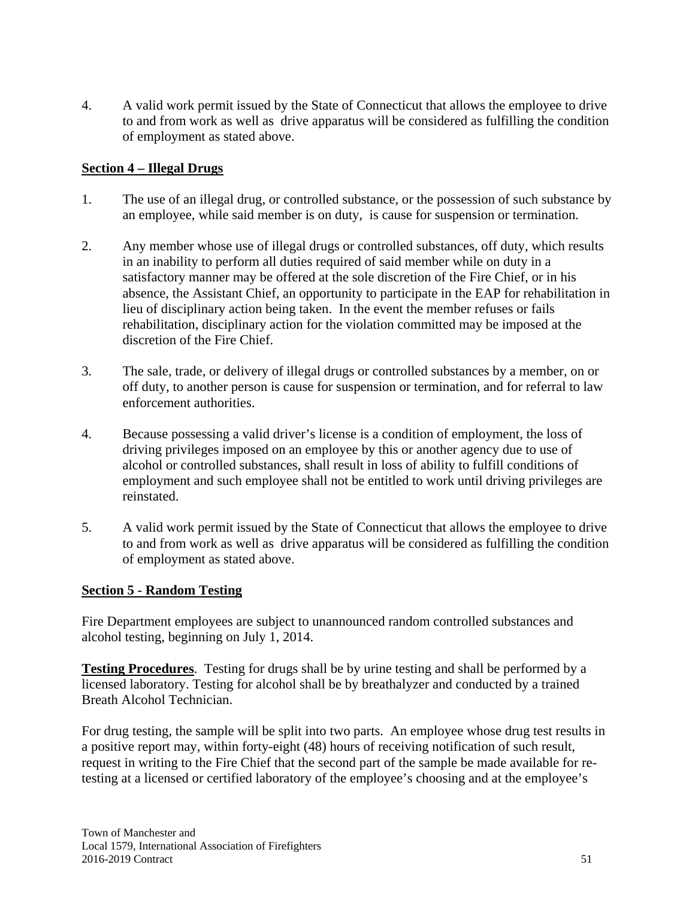4. A valid work permit issued by the State of Connecticut that allows the employee to drive to and from work as well as drive apparatus will be considered as fulfilling the condition of employment as stated above.

# **Section 4 – Illegal Drugs**

- 1. The use of an illegal drug, or controlled substance, or the possession of such substance by an employee, while said member is on duty, is cause for suspension or termination.
- 2. Any member whose use of illegal drugs or controlled substances, off duty, which results in an inability to perform all duties required of said member while on duty in a satisfactory manner may be offered at the sole discretion of the Fire Chief, or in his absence, the Assistant Chief, an opportunity to participate in the EAP for rehabilitation in lieu of disciplinary action being taken. In the event the member refuses or fails rehabilitation, disciplinary action for the violation committed may be imposed at the discretion of the Fire Chief.
- 3. The sale, trade, or delivery of illegal drugs or controlled substances by a member, on or off duty, to another person is cause for suspension or termination, and for referral to law enforcement authorities.
- 4. Because possessing a valid driver's license is a condition of employment, the loss of driving privileges imposed on an employee by this or another agency due to use of alcohol or controlled substances, shall result in loss of ability to fulfill conditions of employment and such employee shall not be entitled to work until driving privileges are reinstated.
- 5. A valid work permit issued by the State of Connecticut that allows the employee to drive to and from work as well as drive apparatus will be considered as fulfilling the condition of employment as stated above.

# **Section 5 - Random Testing**

Fire Department employees are subject to unannounced random controlled substances and alcohol testing, beginning on July 1, 2014.

**Testing Procedures**. Testing for drugs shall be by urine testing and shall be performed by a licensed laboratory. Testing for alcohol shall be by breathalyzer and conducted by a trained Breath Alcohol Technician.

For drug testing, the sample will be split into two parts. An employee whose drug test results in a positive report may, within forty-eight (48) hours of receiving notification of such result, request in writing to the Fire Chief that the second part of the sample be made available for retesting at a licensed or certified laboratory of the employee's choosing and at the employee's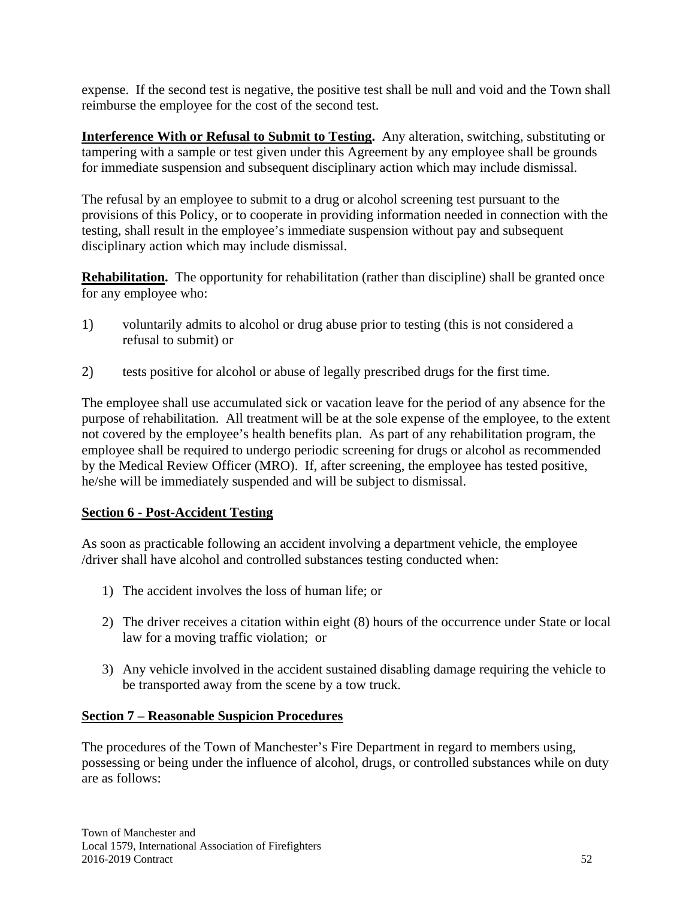expense. If the second test is negative, the positive test shall be null and void and the Town shall reimburse the employee for the cost of the second test.

**Interference With or Refusal to Submit to Testing.** Any alteration, switching, substituting or tampering with a sample or test given under this Agreement by any employee shall be grounds for immediate suspension and subsequent disciplinary action which may include dismissal.

The refusal by an employee to submit to a drug or alcohol screening test pursuant to the provisions of this Policy, or to cooperate in providing information needed in connection with the testing, shall result in the employee's immediate suspension without pay and subsequent disciplinary action which may include dismissal.

**Rehabilitation.** The opportunity for rehabilitation (rather than discipline) shall be granted once for any employee who:

- 1) voluntarily admits to alcohol or drug abuse prior to testing (this is not considered a refusal to submit) or
- 2) tests positive for alcohol or abuse of legally prescribed drugs for the first time.

The employee shall use accumulated sick or vacation leave for the period of any absence for the purpose of rehabilitation. All treatment will be at the sole expense of the employee, to the extent not covered by the employee's health benefits plan. As part of any rehabilitation program, the employee shall be required to undergo periodic screening for drugs or alcohol as recommended by the Medical Review Officer (MRO). If, after screening, the employee has tested positive, he/she will be immediately suspended and will be subject to dismissal.

# **Section 6 - Post-Accident Testing**

As soon as practicable following an accident involving a department vehicle, the employee /driver shall have alcohol and controlled substances testing conducted when:

- 1) The accident involves the loss of human life; or
- 2) The driver receives a citation within eight (8) hours of the occurrence under State or local law for a moving traffic violation; or
- 3) Any vehicle involved in the accident sustained disabling damage requiring the vehicle to be transported away from the scene by a tow truck.

# **Section 7 – Reasonable Suspicion Procedures**

The procedures of the Town of Manchester's Fire Department in regard to members using, possessing or being under the influence of alcohol, drugs, or controlled substances while on duty are as follows: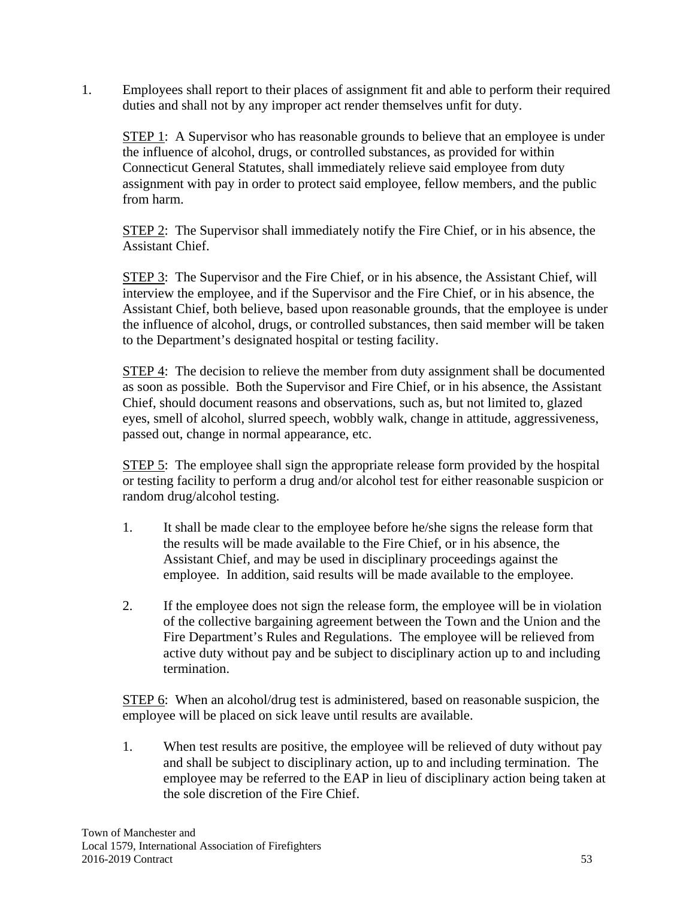1. Employees shall report to their places of assignment fit and able to perform their required duties and shall not by any improper act render themselves unfit for duty.

**STEP 1:** A Supervisor who has reasonable grounds to believe that an employee is under the influence of alcohol, drugs, or controlled substances, as provided for within Connecticut General Statutes, shall immediately relieve said employee from duty assignment with pay in order to protect said employee, fellow members, and the public from harm.

STEP 2: The Supervisor shall immediately notify the Fire Chief, or in his absence, the Assistant Chief.

STEP 3: The Supervisor and the Fire Chief, or in his absence, the Assistant Chief, will interview the employee, and if the Supervisor and the Fire Chief, or in his absence, the Assistant Chief, both believe, based upon reasonable grounds, that the employee is under the influence of alcohol, drugs, or controlled substances, then said member will be taken to the Department's designated hospital or testing facility.

**STEP 4:** The decision to relieve the member from duty assignment shall be documented as soon as possible. Both the Supervisor and Fire Chief, or in his absence, the Assistant Chief, should document reasons and observations, such as, but not limited to, glazed eyes, smell of alcohol, slurred speech, wobbly walk, change in attitude, aggressiveness, passed out, change in normal appearance, etc.

STEP 5: The employee shall sign the appropriate release form provided by the hospital or testing facility to perform a drug and/or alcohol test for either reasonable suspicion or random drug/alcohol testing.

- 1. It shall be made clear to the employee before he/she signs the release form that the results will be made available to the Fire Chief, or in his absence, the Assistant Chief, and may be used in disciplinary proceedings against the employee. In addition, said results will be made available to the employee.
- 2. If the employee does not sign the release form, the employee will be in violation of the collective bargaining agreement between the Town and the Union and the Fire Department's Rules and Regulations. The employee will be relieved from active duty without pay and be subject to disciplinary action up to and including termination.

STEP 6: When an alcohol/drug test is administered, based on reasonable suspicion, the employee will be placed on sick leave until results are available.

1. When test results are positive, the employee will be relieved of duty without pay and shall be subject to disciplinary action, up to and including termination. The employee may be referred to the EAP in lieu of disciplinary action being taken at the sole discretion of the Fire Chief.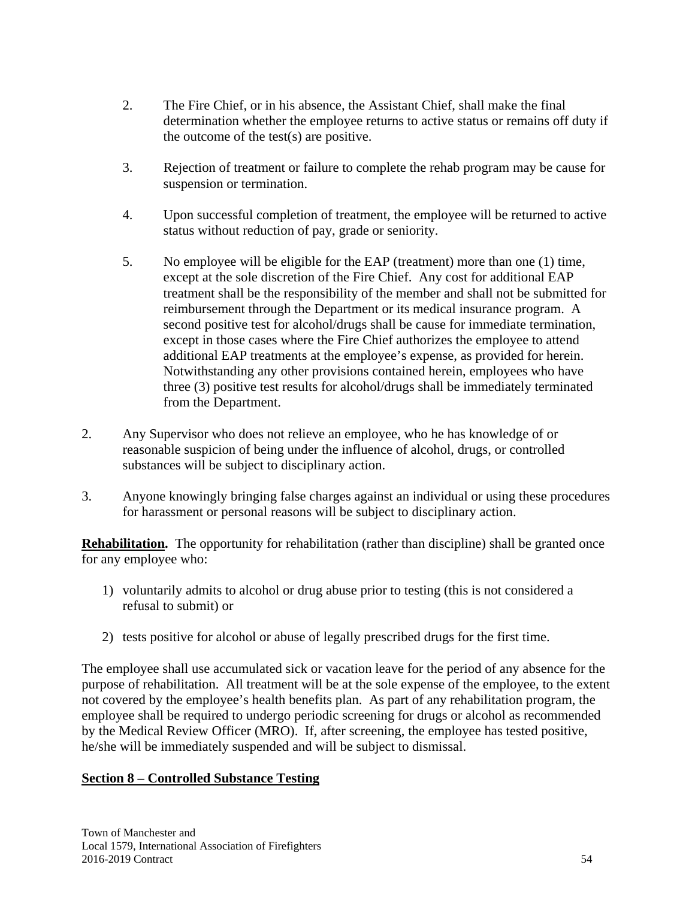- 2. The Fire Chief, or in his absence, the Assistant Chief, shall make the final determination whether the employee returns to active status or remains off duty if the outcome of the test(s) are positive.
- 3. Rejection of treatment or failure to complete the rehab program may be cause for suspension or termination.
- 4. Upon successful completion of treatment, the employee will be returned to active status without reduction of pay, grade or seniority.
- 5. No employee will be eligible for the EAP (treatment) more than one (1) time, except at the sole discretion of the Fire Chief. Any cost for additional EAP treatment shall be the responsibility of the member and shall not be submitted for reimbursement through the Department or its medical insurance program. A second positive test for alcohol/drugs shall be cause for immediate termination, except in those cases where the Fire Chief authorizes the employee to attend additional EAP treatments at the employee's expense, as provided for herein. Notwithstanding any other provisions contained herein, employees who have three (3) positive test results for alcohol/drugs shall be immediately terminated from the Department.
- 2. Any Supervisor who does not relieve an employee, who he has knowledge of or reasonable suspicion of being under the influence of alcohol, drugs, or controlled substances will be subject to disciplinary action.
- 3. Anyone knowingly bringing false charges against an individual or using these procedures for harassment or personal reasons will be subject to disciplinary action.

**Rehabilitation.** The opportunity for rehabilitation (rather than discipline) shall be granted once for any employee who:

- 1) voluntarily admits to alcohol or drug abuse prior to testing (this is not considered a refusal to submit) or
- 2) tests positive for alcohol or abuse of legally prescribed drugs for the first time.

The employee shall use accumulated sick or vacation leave for the period of any absence for the purpose of rehabilitation. All treatment will be at the sole expense of the employee, to the extent not covered by the employee's health benefits plan. As part of any rehabilitation program, the employee shall be required to undergo periodic screening for drugs or alcohol as recommended by the Medical Review Officer (MRO). If, after screening, the employee has tested positive, he/she will be immediately suspended and will be subject to dismissal.

# **Section 8 – Controlled Substance Testing**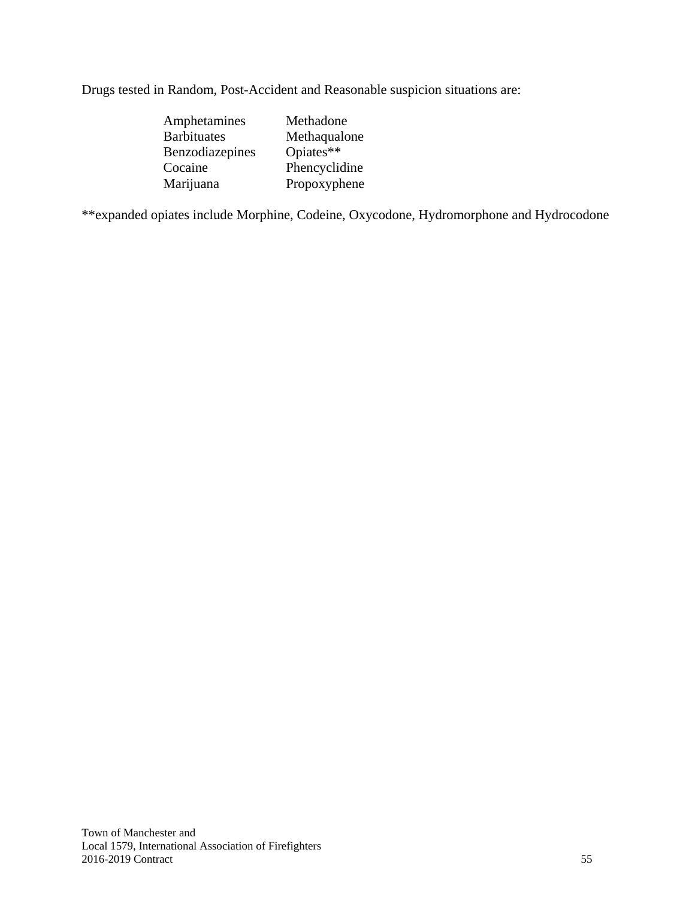Drugs tested in Random, Post-Accident and Reasonable suspicion situations are:

| Amphetamines       | Methadone     |
|--------------------|---------------|
| <b>Barbituates</b> | Methaqualone  |
| Benzodiazepines    | Opiates**     |
| Cocaine            | Phencyclidine |
| Marijuana          | Propoxyphene  |

\*\*expanded opiates include Morphine, Codeine, Oxycodone, Hydromorphone and Hydrocodone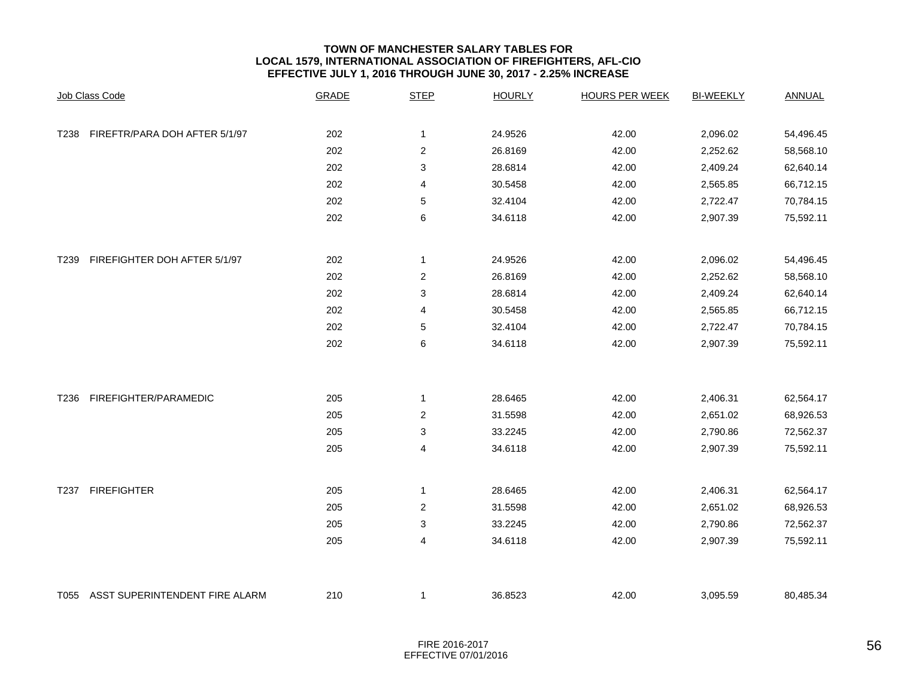#### **TOWN OF MANCHESTER SALARY TABLES FOR LOCAL 1579, INTERNATIONAL ASSOCIATION OF FIREFIGHTERS, AFL-CIO EFFECTIVE JULY 1, 2016 THROUGH JUNE 30, 2017 - 2.25% INCREASE**

|                  | Job Class Code                 | <b>GRADE</b> | <b>STEP</b>               | <b>HOURLY</b> | <b>HOURS PER WEEK</b> | <b>BI-WEEKLY</b> | <b>ANNUAL</b> |
|------------------|--------------------------------|--------------|---------------------------|---------------|-----------------------|------------------|---------------|
| T238             | FIREFTR/PARA DOH AFTER 5/1/97  | 202          | 1                         | 24.9526       | 42.00                 | 2,096.02         | 54,496.45     |
|                  |                                | 202          | $\overline{\mathbf{c}}$   | 26.8169       | 42.00                 | 2,252.62         | 58,568.10     |
|                  |                                | 202          | 3                         | 28.6814       | 42.00                 | 2,409.24         | 62,640.14     |
|                  |                                | 202          | 4                         | 30.5458       | 42.00                 | 2,565.85         | 66,712.15     |
|                  |                                | 202          | $\mathbf 5$               | 32.4104       | 42.00                 | 2,722.47         | 70,784.15     |
|                  |                                | 202          | 6                         | 34.6118       | 42.00                 | 2,907.39         | 75,592.11     |
|                  |                                |              |                           |               |                       |                  |               |
| T <sub>239</sub> | FIREFIGHTER DOH AFTER 5/1/97   | 202          | 1                         | 24.9526       | 42.00                 | 2,096.02         | 54,496.45     |
|                  |                                | 202          | $\overline{c}$            | 26.8169       | 42.00                 | 2,252.62         | 58,568.10     |
|                  |                                | 202          | $\ensuremath{\mathsf{3}}$ | 28.6814       | 42.00                 | 2,409.24         | 62,640.14     |
|                  |                                | 202          | $\overline{4}$            | 30.5458       | 42.00                 | 2,565.85         | 66,712.15     |
|                  |                                | 202          | 5                         | 32.4104       | 42.00                 | 2,722.47         | 70,784.15     |
|                  |                                | 202          | 6                         | 34.6118       | 42.00                 | 2,907.39         | 75,592.11     |
|                  |                                |              |                           |               |                       |                  |               |
| T236             | FIREFIGHTER/PARAMEDIC          | 205          | 1                         | 28.6465       | 42.00                 | 2,406.31         | 62,564.17     |
|                  |                                | 205          | $\overline{c}$            | 31.5598       | 42.00                 | 2,651.02         | 68,926.53     |
|                  |                                | 205          | 3                         | 33.2245       | 42.00                 | 2,790.86         | 72,562.37     |
|                  |                                | 205          | 4                         | 34.6118       | 42.00                 | 2,907.39         | 75,592.11     |
| T237             | <b>FIREFIGHTER</b>             | 205          | $\mathbf{1}$              | 28.6465       | 42.00                 | 2,406.31         | 62,564.17     |
|                  |                                | 205          | $\overline{\mathbf{c}}$   | 31.5598       | 42.00                 | 2,651.02         | 68,926.53     |
|                  |                                | 205          | 3                         | 33.2245       | 42.00                 | 2,790.86         | 72,562.37     |
|                  |                                | 205          | 4                         | 34.6118       | 42.00                 | 2,907.39         | 75,592.11     |
| T055             | ASST SUPERINTENDENT FIRE ALARM | 210          | $\mathbf 1$               | 36.8523       | 42.00                 | 3,095.59         | 80,485.34     |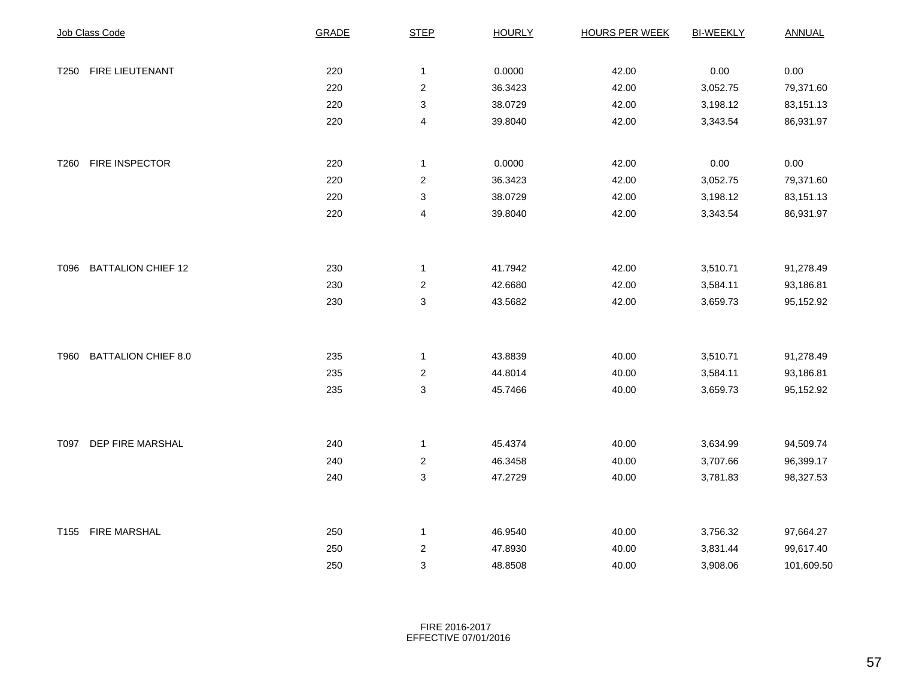|      | Job Class Code             | <b>GRADE</b> | <b>STEP</b>               | <b>HOURLY</b> | <b>HOURS PER WEEK</b> | <b>BI-WEEKLY</b> | <b>ANNUAL</b> |
|------|----------------------------|--------------|---------------------------|---------------|-----------------------|------------------|---------------|
|      |                            |              |                           |               |                       |                  |               |
| T250 | FIRE LIEUTENANT            | 220          | $\mathbf{1}$              | 0.0000        | 42.00                 | 0.00             | 0.00          |
|      |                            | 220          | $\boldsymbol{2}$          | 36.3423       | 42.00                 | 3,052.75         | 79,371.60     |
|      |                            | 220          | 3                         | 38.0729       | 42.00                 | 3,198.12         | 83,151.13     |
|      |                            | 220          | $\overline{\mathbf{4}}$   | 39.8040       | 42.00                 | 3,343.54         | 86,931.97     |
|      |                            |              |                           |               |                       |                  |               |
| T260 | FIRE INSPECTOR             | 220          | $\mathbf{1}$              | 0.0000        | 42.00                 | 0.00             | 0.00          |
|      |                            | 220          | $\overline{2}$            | 36.3423       | 42.00                 | 3,052.75         | 79,371.60     |
|      |                            | 220          | 3                         | 38.0729       | 42.00                 | 3,198.12         | 83,151.13     |
|      |                            | 220          | 4                         | 39.8040       | 42.00                 | 3,343.54         | 86,931.97     |
|      |                            |              |                           |               |                       |                  |               |
| T096 | <b>BATTALION CHIEF 12</b>  | 230          | $\mathbf{1}$              | 41.7942       | 42.00                 | 3,510.71         | 91,278.49     |
|      |                            | 230          | $\overline{c}$            | 42.6680       | 42.00                 | 3,584.11         | 93,186.81     |
|      |                            | 230          | 3                         | 43.5682       | 42.00                 | 3,659.73         | 95,152.92     |
|      |                            |              |                           |               |                       |                  |               |
| T960 | <b>BATTALION CHIEF 8.0</b> | 235          | $\mathbf{1}$              | 43.8839       | 40.00                 | 3,510.71         | 91,278.49     |
|      |                            | 235          | $\overline{c}$            | 44.8014       | 40.00                 | 3,584.11         | 93,186.81     |
|      |                            | 235          | $\ensuremath{\mathsf{3}}$ | 45.7466       | 40.00                 | 3,659.73         | 95,152.92     |
|      |                            |              |                           |               |                       |                  |               |
|      | T097 DEP FIRE MARSHAL      | 240          | $\mathbf{1}$              | 45.4374       | 40.00                 | 3,634.99         | 94,509.74     |
|      |                            | 240          | $\overline{c}$            | 46.3458       | 40.00                 | 3,707.66         | 96,399.17     |
|      |                            | 240          | $\ensuremath{\mathsf{3}}$ | 47.2729       | 40.00                 | 3,781.83         | 98,327.53     |
|      |                            |              |                           |               |                       |                  |               |
|      | T155 FIRE MARSHAL          | 250          | $\mathbf{1}$              | 46.9540       | 40.00                 | 3,756.32         | 97,664.27     |
|      |                            | 250          | $\boldsymbol{2}$          | 47.8930       | 40.00                 | 3,831.44         | 99,617.40     |
|      |                            | 250          | $\ensuremath{\mathsf{3}}$ | 48.8508       | 40.00                 | 3,908.06         | 101,609.50    |

FIRE 2016-2017 EFFECTIVE 07/01/2016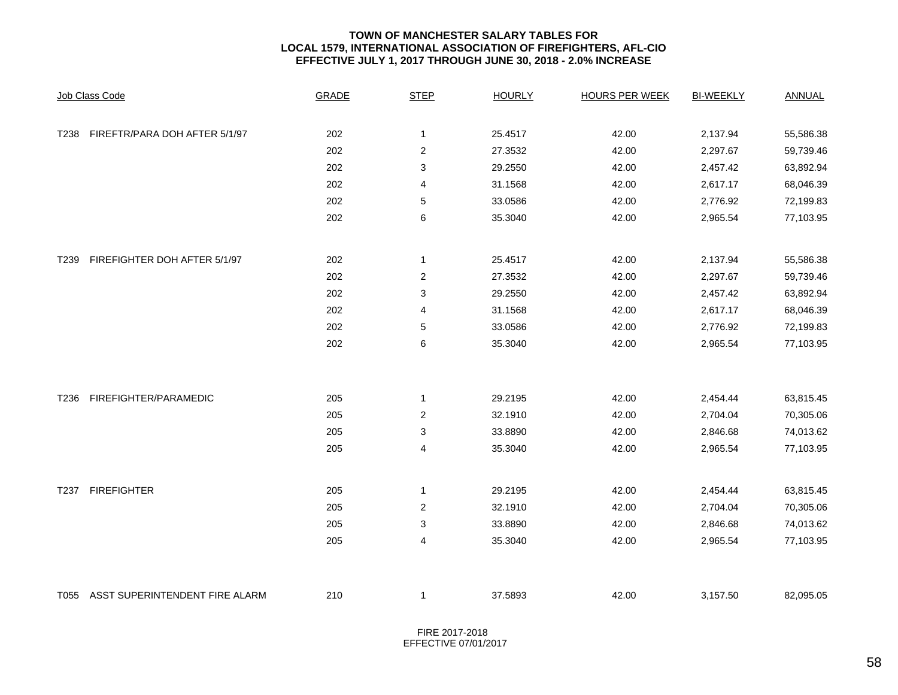#### **TOWN OF MANCHESTER SALARY TABLES FOR LOCAL 1579, INTERNATIONAL ASSOCIATION OF FIREFIGHTERS, AFL-CIO EFFECTIVE JULY 1, 2017 THROUGH JUNE 30, 2018 - 2.0% INCREASE**

|      | Job Class Code                 | <b>GRADE</b> | <b>STEP</b>      | <b>HOURLY</b> | <b>HOURS PER WEEK</b> | <b>BI-WEEKLY</b> | <b>ANNUAL</b> |
|------|--------------------------------|--------------|------------------|---------------|-----------------------|------------------|---------------|
| T238 | FIREFTR/PARA DOH AFTER 5/1/97  | 202          | 1                | 25.4517       | 42.00                 | 2,137.94         | 55,586.38     |
|      |                                | 202          | $\mathbf 2$      | 27.3532       | 42.00                 | 2,297.67         | 59,739.46     |
|      |                                | 202          | 3                | 29.2550       | 42.00                 | 2,457.42         | 63,892.94     |
|      |                                | 202          | 4                | 31.1568       | 42.00                 | 2,617.17         | 68,046.39     |
|      |                                | 202          | 5                | 33.0586       | 42.00                 | 2,776.92         | 72,199.83     |
|      |                                | 202          | 6                | 35.3040       | 42.00                 | 2,965.54         | 77,103.95     |
|      |                                |              |                  |               |                       |                  |               |
| T239 | FIREFIGHTER DOH AFTER 5/1/97   | 202          | 1                | 25.4517       | 42.00                 | 2,137.94         | 55,586.38     |
|      |                                | 202          | 2                | 27.3532       | 42.00                 | 2,297.67         | 59,739.46     |
|      |                                | 202          | 3                | 29.2550       | 42.00                 | 2,457.42         | 63,892.94     |
|      |                                | 202          | 4                | 31.1568       | 42.00                 | 2,617.17         | 68,046.39     |
|      |                                | 202          | 5                | 33.0586       | 42.00                 | 2,776.92         | 72,199.83     |
|      |                                | 202          | 6                | 35.3040       | 42.00                 | 2,965.54         | 77,103.95     |
|      |                                |              |                  |               |                       |                  |               |
| T236 | FIREFIGHTER/PARAMEDIC          | 205          | 1                | 29.2195       | 42.00                 | 2,454.44         | 63,815.45     |
|      |                                | 205          | $\boldsymbol{2}$ | 32.1910       | 42.00                 | 2,704.04         | 70,305.06     |
|      |                                | 205          | 3                | 33.8890       | 42.00                 | 2,846.68         | 74,013.62     |
|      |                                | 205          | 4                | 35.3040       | 42.00                 | 2,965.54         | 77,103.95     |
| T237 | <b>FIREFIGHTER</b>             | 205          | 1                | 29.2195       | 42.00                 | 2,454.44         | 63,815.45     |
|      |                                | 205          | $\boldsymbol{2}$ | 32.1910       | 42.00                 | 2,704.04         | 70,305.06     |
|      |                                | 205          | 3                | 33.8890       | 42.00                 | 2,846.68         | 74,013.62     |
|      |                                | 205          | 4                | 35.3040       | 42.00                 | 2,965.54         | 77,103.95     |
| T055 | ASST SUPERINTENDENT FIRE ALARM | 210          | 1                | 37.5893       | 42.00                 | 3,157.50         | 82,095.05     |

FIRE 2017-2018EFFECTIVE 07/01/2017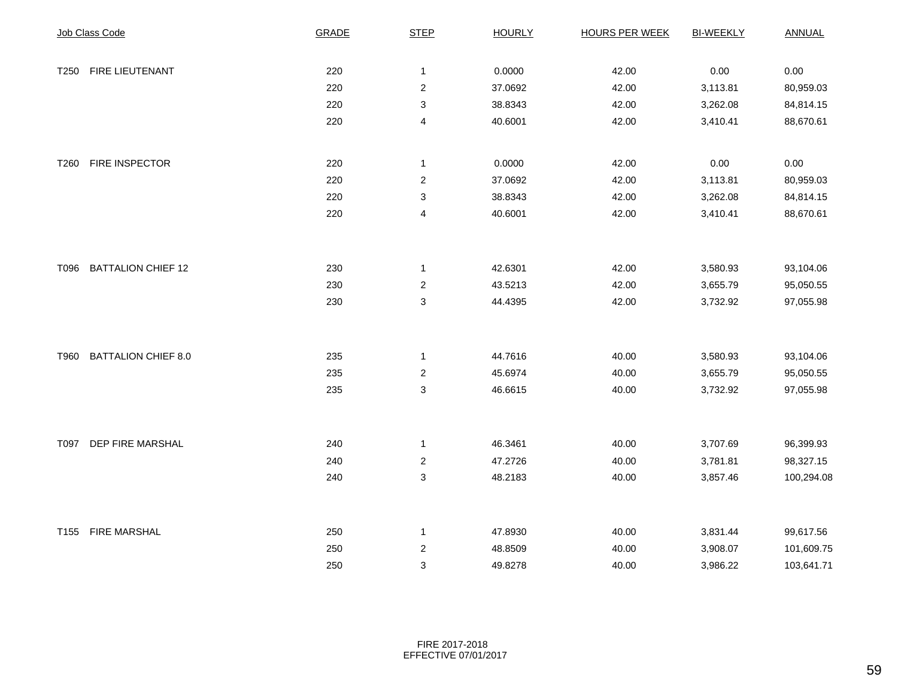|      | Job Class Code             | <b>GRADE</b> | <b>STEP</b>               | <b>HOURLY</b> | <b>HOURS PER WEEK</b> | <b>BI-WEEKLY</b> | <b>ANNUAL</b> |
|------|----------------------------|--------------|---------------------------|---------------|-----------------------|------------------|---------------|
|      |                            |              |                           |               |                       |                  |               |
| T250 | FIRE LIEUTENANT            | 220          | $\mathbf 1$               | 0.0000        | 42.00                 | 0.00             | 0.00          |
|      |                            | 220          | $\boldsymbol{2}$          | 37.0692       | 42.00                 | 3,113.81         | 80,959.03     |
|      |                            | 220          | $\ensuremath{\mathsf{3}}$ | 38.8343       | 42.00                 | 3,262.08         | 84,814.15     |
|      |                            | 220          | 4                         | 40.6001       | 42.00                 | 3,410.41         | 88,670.61     |
|      |                            |              |                           |               |                       |                  |               |
| T260 | FIRE INSPECTOR             | 220          | $\mathbf{1}$              | 0.0000        | 42.00                 | 0.00             | 0.00          |
|      |                            | 220          | $\boldsymbol{2}$          | 37.0692       | 42.00                 | 3,113.81         | 80,959.03     |
|      |                            | 220          | 3                         | 38.8343       | 42.00                 | 3,262.08         | 84,814.15     |
|      |                            | 220          | $\overline{4}$            | 40.6001       | 42.00                 | 3,410.41         | 88,670.61     |
|      |                            |              |                           |               |                       |                  |               |
| T096 | <b>BATTALION CHIEF 12</b>  | 230          | $\mathbf{1}$              | 42.6301       | 42.00                 | 3,580.93         | 93,104.06     |
|      |                            | 230          | $\overline{c}$            | 43.5213       | 42.00                 | 3,655.79         | 95,050.55     |
|      |                            | 230          | 3                         | 44.4395       | 42.00                 | 3,732.92         | 97,055.98     |
|      |                            |              |                           |               |                       |                  |               |
| T960 | <b>BATTALION CHIEF 8.0</b> | 235          | $\mathbf{1}$              | 44.7616       | 40.00                 | 3,580.93         | 93,104.06     |
|      |                            | 235          | $\overline{2}$            | 45.6974       | 40.00                 | 3,655.79         | 95,050.55     |
|      |                            | 235          | $\sqrt{3}$                | 46.6615       | 40.00                 | 3,732.92         | 97,055.98     |
|      |                            |              |                           |               |                       |                  |               |
|      | T097 DEP FIRE MARSHAL      | 240          | $\mathbf{1}$              | 46.3461       | 40.00                 | 3,707.69         | 96,399.93     |
|      |                            | 240          | $\overline{\mathbf{c}}$   | 47.2726       | 40.00                 | 3,781.81         | 98,327.15     |
|      |                            | 240          | 3                         | 48.2183       | 40.00                 | 3,857.46         | 100,294.08    |
|      |                            |              |                           |               |                       |                  |               |
|      | T155 FIRE MARSHAL          | 250          | $\mathbf{1}$              | 47.8930       | 40.00                 | 3,831.44         | 99,617.56     |
|      |                            | 250          | $\overline{2}$            | 48.8509       | 40.00                 | 3,908.07         | 101,609.75    |
|      |                            | 250          | $\ensuremath{\mathsf{3}}$ | 49.8278       | 40.00                 | 3,986.22         | 103,641.71    |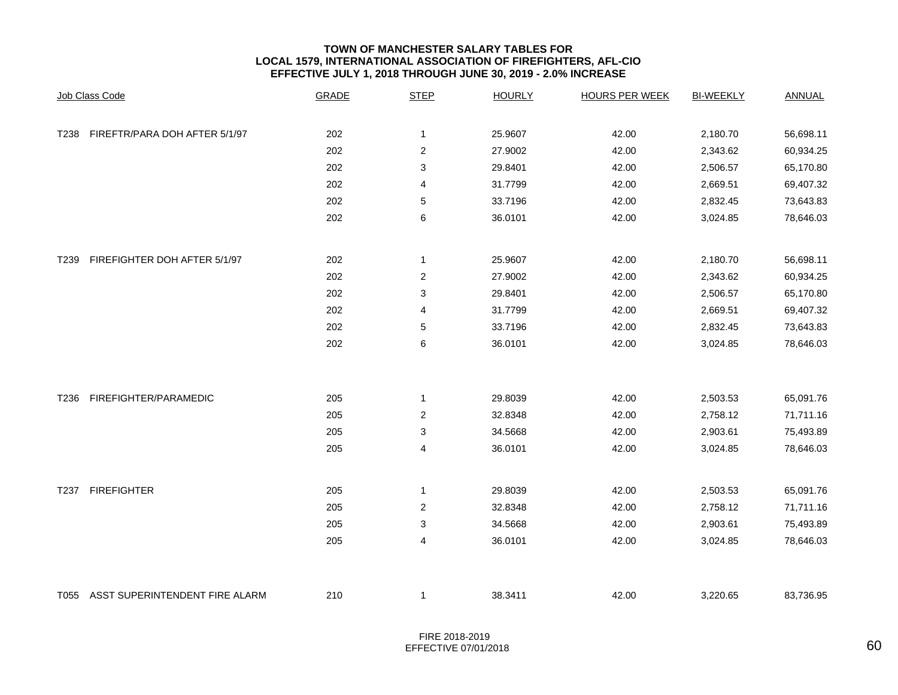#### **TOWN OF MANCHESTER SALARY TABLES FOR LOCAL 1579, INTERNATIONAL ASSOCIATION OF FIREFIGHTERS, AFL-CIO EFFECTIVE JULY 1, 2018 THROUGH JUNE 30, 2019 - 2.0% INCREASE**

|      | Job Class Code                 | <b>GRADE</b> | <b>STEP</b>      | <b>HOURLY</b> | <b>HOURS PER WEEK</b> | <b>BI-WEEKLY</b> | <b>ANNUAL</b> |
|------|--------------------------------|--------------|------------------|---------------|-----------------------|------------------|---------------|
| T238 | FIREFTR/PARA DOH AFTER 5/1/97  | 202          | $\mathbf{1}$     | 25.9607       | 42.00                 | 2,180.70         | 56,698.11     |
|      |                                | 202          | 2                | 27.9002       | 42.00                 | 2,343.62         | 60,934.25     |
|      |                                | 202          | 3                | 29.8401       | 42.00                 | 2,506.57         | 65,170.80     |
|      |                                | 202          | 4                | 31.7799       | 42.00                 | 2,669.51         | 69,407.32     |
|      |                                | 202          | 5                | 33.7196       | 42.00                 | 2,832.45         | 73,643.83     |
|      |                                | 202          | 6                | 36.0101       | 42.00                 | 3,024.85         | 78,646.03     |
| T239 | FIREFIGHTER DOH AFTER 5/1/97   | 202          | $\mathbf 1$      | 25.9607       | 42.00                 | 2,180.70         | 56,698.11     |
|      |                                | 202          | $\boldsymbol{2}$ | 27.9002       | 42.00                 | 2,343.62         | 60,934.25     |
|      |                                | 202          | 3                | 29.8401       | 42.00                 | 2,506.57         | 65,170.80     |
|      |                                | 202          | 4                | 31.7799       | 42.00                 | 2,669.51         | 69,407.32     |
|      |                                | 202          | 5                | 33.7196       | 42.00                 | 2,832.45         | 73,643.83     |
|      |                                | 202          | 6                | 36.0101       | 42.00                 | 3,024.85         | 78,646.03     |
| T236 | FIREFIGHTER/PARAMEDIC          | 205          | $\mathbf 1$      | 29.8039       | 42.00                 | 2,503.53         | 65,091.76     |
|      |                                | 205          | $\overline{2}$   | 32.8348       | 42.00                 | 2,758.12         | 71,711.16     |
|      |                                | 205          | 3                | 34.5668       | 42.00                 | 2,903.61         | 75,493.89     |
|      |                                | 205          | 4                | 36.0101       | 42.00                 | 3,024.85         | 78,646.03     |
| T237 | <b>FIREFIGHTER</b>             | 205          | 1                | 29.8039       | 42.00                 | 2,503.53         | 65,091.76     |
|      |                                | 205          | $\overline{2}$   | 32.8348       | 42.00                 | 2,758.12         | 71,711.16     |
|      |                                | 205          | 3                | 34.5668       | 42.00                 | 2,903.61         | 75,493.89     |
|      |                                | 205          | 4                | 36.0101       | 42.00                 | 3,024.85         | 78,646.03     |
| T055 | ASST SUPERINTENDENT FIRE ALARM | 210          | 1                | 38.3411       | 42.00                 | 3,220.65         | 83,736.95     |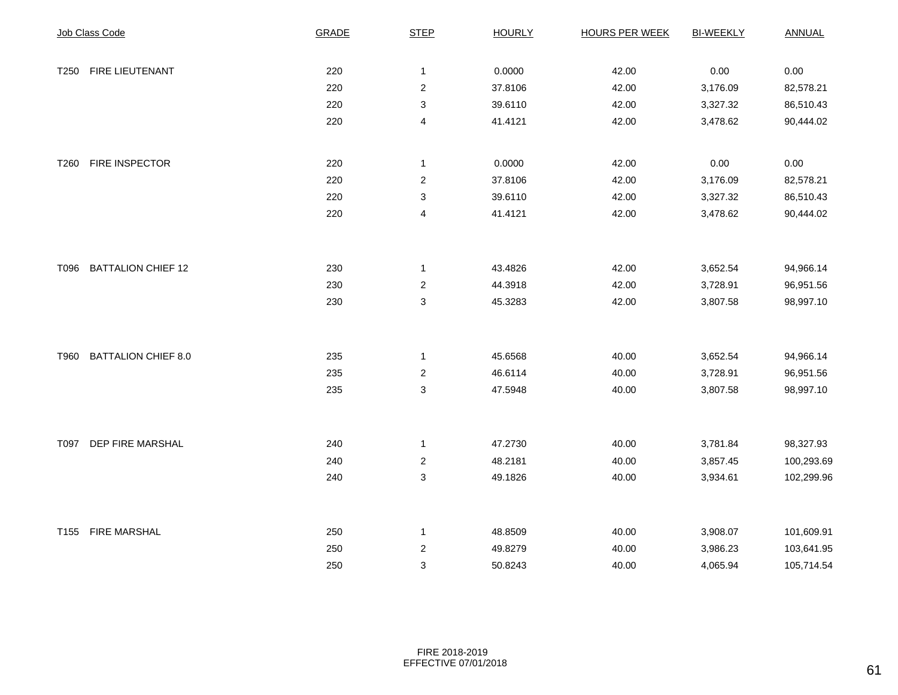|      | Job Class Code            | <b>GRADE</b> | <b>STEP</b>               | <b>HOURLY</b> | <b>HOURS PER WEEK</b> | <b>BI-WEEKLY</b> | <b>ANNUAL</b> |
|------|---------------------------|--------------|---------------------------|---------------|-----------------------|------------------|---------------|
|      |                           |              |                           |               |                       |                  |               |
| T250 | FIRE LIEUTENANT           | 220          | $\mathbf{1}$              | 0.0000        | 42.00                 | 0.00             | 0.00          |
|      |                           | 220          | $\boldsymbol{2}$          | 37.8106       | 42.00                 | 3,176.09         | 82,578.21     |
|      |                           | 220          | $\ensuremath{\mathsf{3}}$ | 39.6110       | 42.00                 | 3,327.32         | 86,510.43     |
|      |                           | 220          | 4                         | 41.4121       | 42.00                 | 3,478.62         | 90,444.02     |
|      |                           |              |                           |               |                       |                  |               |
| T260 | FIRE INSPECTOR            | 220          | $\mathbf{1}$              | 0.0000        | 42.00                 | 0.00             | 0.00          |
|      |                           | 220          | $\overline{c}$            | 37.8106       | 42.00                 | 3,176.09         | 82,578.21     |
|      |                           | 220          | 3                         | 39.6110       | 42.00                 | 3,327.32         | 86,510.43     |
|      |                           | 220          | $\overline{\mathbf{4}}$   | 41.4121       | 42.00                 | 3,478.62         | 90,444.02     |
|      |                           |              |                           |               |                       |                  |               |
| T096 | <b>BATTALION CHIEF 12</b> | 230          | $\mathbf{1}$              | 43.4826       | 42.00                 | 3,652.54         | 94,966.14     |
|      |                           | 230          | $\overline{c}$            | 44.3918       | 42.00                 | 3,728.91         | 96,951.56     |
|      |                           | 230          | $\mathsf 3$               | 45.3283       | 42.00                 | 3,807.58         | 98,997.10     |
|      |                           |              |                           |               |                       |                  |               |
|      | T960 BATTALION CHIEF 8.0  | 235          | $\mathbf{1}$              | 45.6568       | 40.00                 | 3,652.54         | 94,966.14     |
|      |                           | 235          | $\overline{2}$            | 46.6114       | 40.00                 | 3,728.91         | 96,951.56     |
|      |                           | 235          | $\ensuremath{\mathsf{3}}$ | 47.5948       | 40.00                 | 3,807.58         | 98,997.10     |
|      |                           |              |                           |               |                       |                  |               |
|      | T097 DEP FIRE MARSHAL     | 240          | $\mathbf{1}$              | 47.2730       | 40.00                 | 3,781.84         | 98,327.93     |
|      |                           | 240          | $\overline{c}$            | 48.2181       | 40.00                 | 3,857.45         | 100,293.69    |
|      |                           | 240          | 3                         | 49.1826       | 40.00                 | 3,934.61         | 102,299.96    |
|      |                           |              |                           |               |                       |                  |               |
|      | T155 FIRE MARSHAL         | 250          | $\mathbf{1}$              | 48.8509       | 40.00                 | 3,908.07         | 101,609.91    |
|      |                           | 250          | $\overline{2}$            | 49.8279       | 40.00                 | 3,986.23         | 103,641.95    |
|      |                           | 250          | 3                         | 50.8243       | 40.00                 | 4,065.94         | 105,714.54    |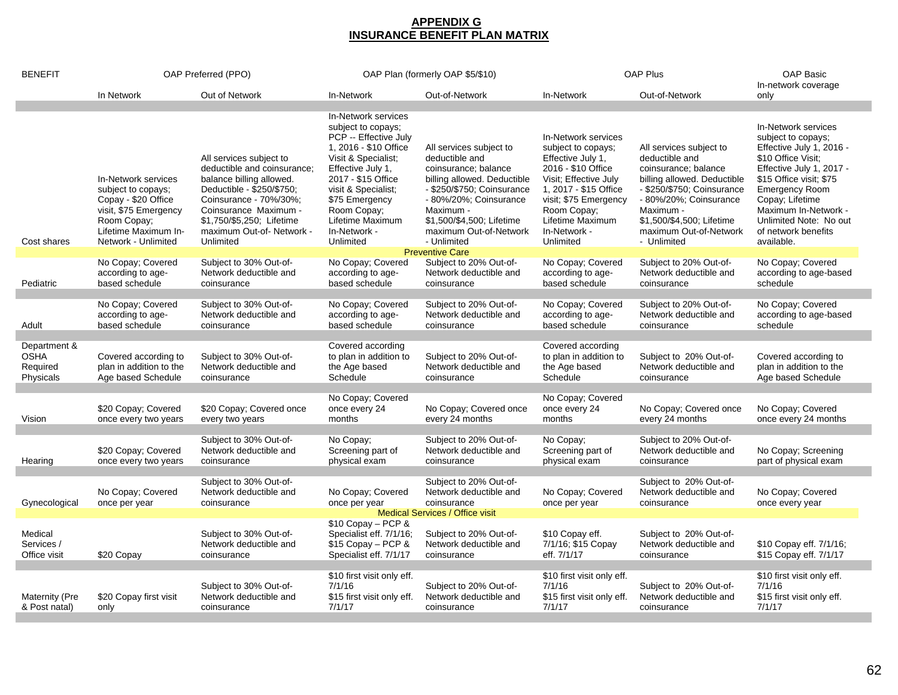# **APPENDIX G INSURANCE BENEFIT PLAN MATRIX**

| <b>BENEFIT</b>                                       | OAP Preferred (PPO)                                                                                                                                     |                                                                                                                                                                                                                                          | OAP Plan (formerly OAP \$5/\$10)                                                                                                                                                                                                                                       |                                                                                                                                                                                                                                             | <b>OAP Plus</b>                                                                                                                                                                                                                 |                                                                                                                                                                                                                                             | <b>OAP Basic</b><br>In-network coverage                                                                                                                                                                                                                                               |
|------------------------------------------------------|---------------------------------------------------------------------------------------------------------------------------------------------------------|------------------------------------------------------------------------------------------------------------------------------------------------------------------------------------------------------------------------------------------|------------------------------------------------------------------------------------------------------------------------------------------------------------------------------------------------------------------------------------------------------------------------|---------------------------------------------------------------------------------------------------------------------------------------------------------------------------------------------------------------------------------------------|---------------------------------------------------------------------------------------------------------------------------------------------------------------------------------------------------------------------------------|---------------------------------------------------------------------------------------------------------------------------------------------------------------------------------------------------------------------------------------------|---------------------------------------------------------------------------------------------------------------------------------------------------------------------------------------------------------------------------------------------------------------------------------------|
|                                                      | In Network                                                                                                                                              | Out of Network                                                                                                                                                                                                                           | In-Network                                                                                                                                                                                                                                                             | Out-of-Network                                                                                                                                                                                                                              | In-Network                                                                                                                                                                                                                      | Out-of-Network                                                                                                                                                                                                                              | only                                                                                                                                                                                                                                                                                  |
| Cost shares                                          | In-Network services<br>subject to copays;<br>Copay - \$20 Office<br>visit, \$75 Emergency<br>Room Copay;<br>Lifetime Maximum In-<br>Network - Unlimited | All services subject to<br>deductible and coinsurance;<br>balance billing allowed.<br>Deductible - \$250/\$750;<br>Coinsurance - 70%/30%;<br>Coinsurance Maximum -<br>\$1,750/\$5,250; Lifetime<br>maximum Out-of-Network -<br>Unlimited | In-Network services<br>subject to copays:<br>PCP -- Effective July<br>1, 2016 - \$10 Office<br>Visit & Specialist;<br>Effective July 1,<br>2017 - \$15 Office<br>visit & Specialist;<br>\$75 Emergency<br>Room Copay:<br>Lifetime Maximum<br>In-Network -<br>Unlimited | All services subject to<br>deductible and<br>coinsurance; balance<br>billing allowed. Deductible<br>- \$250/\$750; Coinsurance<br>- 80%/20%; Coinsurance<br>Maximum -<br>\$1,500/\$4,500; Lifetime<br>maximum Out-of-Network<br>- Unlimited | In-Network services<br>subject to copays;<br>Effective July 1,<br>2016 - \$10 Office<br>Visit; Effective July<br>1, 2017 - \$15 Office<br>visit; \$75 Emergency<br>Room Copay:<br>Lifetime Maximum<br>In-Network -<br>Unlimited | All services subject to<br>deductible and<br>coinsurance; balance<br>billing allowed. Deductible<br>- \$250/\$750; Coinsurance<br>- 80%/20%; Coinsurance<br>Maximum -<br>\$1,500/\$4,500; Lifetime<br>maximum Out-of-Network<br>- Unlimited | In-Network services<br>subject to copays;<br>Effective July 1, 2016 -<br>\$10 Office Visit;<br>Effective July 1, 2017 -<br>\$15 Office visit; \$75<br><b>Emergency Room</b><br>Copay; Lifetime<br>Maximum In-Network -<br>Unlimited Note: No out<br>of network benefits<br>available. |
|                                                      | No Copay; Covered                                                                                                                                       | Subject to 30% Out-of-                                                                                                                                                                                                                   | No Copay; Covered                                                                                                                                                                                                                                                      | <b>Preventive Care</b><br>Subject to 20% Out-of-                                                                                                                                                                                            | No Copay; Covered                                                                                                                                                                                                               | Subject to 20% Out-of-                                                                                                                                                                                                                      | No Copay; Covered                                                                                                                                                                                                                                                                     |
| Pediatric                                            | according to age-<br>based schedule                                                                                                                     | Network deductible and<br>coinsurance                                                                                                                                                                                                    | according to age-<br>based schedule                                                                                                                                                                                                                                    | Network deductible and<br>coinsurance                                                                                                                                                                                                       | according to age-<br>based schedule                                                                                                                                                                                             | Network deductible and<br>coinsurance                                                                                                                                                                                                       | according to age-based<br>schedule                                                                                                                                                                                                                                                    |
| Adult                                                | No Copay; Covered<br>according to age-<br>based schedule                                                                                                | Subject to 30% Out-of-<br>Network deductible and<br>coinsurance                                                                                                                                                                          | No Copay: Covered<br>according to age-<br>based schedule                                                                                                                                                                                                               | Subject to 20% Out-of-<br>Network deductible and<br>coinsurance                                                                                                                                                                             | No Copay; Covered<br>according to age-<br>based schedule                                                                                                                                                                        | Subject to 20% Out-of-<br>Network deductible and<br>coinsurance                                                                                                                                                                             | No Copay: Covered<br>according to age-based<br>schedule                                                                                                                                                                                                                               |
| Department &<br><b>OSHA</b><br>Required<br>Physicals | Covered according to<br>plan in addition to the<br>Age based Schedule                                                                                   | Subject to 30% Out-of-<br>Network deductible and<br>coinsurance                                                                                                                                                                          | Covered according<br>to plan in addition to<br>the Age based<br>Schedule                                                                                                                                                                                               | Subject to 20% Out-of-<br>Network deductible and<br>coinsurance                                                                                                                                                                             | Covered according<br>to plan in addition to<br>the Age based<br>Schedule                                                                                                                                                        | Subject to 20% Out-of-<br>Network deductible and<br>coinsurance                                                                                                                                                                             | Covered according to<br>plan in addition to the<br>Age based Schedule                                                                                                                                                                                                                 |
| Vision                                               | \$20 Copay; Covered<br>once every two years                                                                                                             | \$20 Copay; Covered once<br>every two years                                                                                                                                                                                              | No Copay: Covered<br>once every 24<br>months                                                                                                                                                                                                                           | No Copay; Covered once<br>every 24 months                                                                                                                                                                                                   | No Copay: Covered<br>once every 24<br>months                                                                                                                                                                                    | No Copay; Covered once<br>every 24 months                                                                                                                                                                                                   | No Copay; Covered<br>once every 24 months                                                                                                                                                                                                                                             |
| Hearing                                              | \$20 Copay; Covered<br>once every two years                                                                                                             | Subject to 30% Out-of-<br>Network deductible and<br>coinsurance                                                                                                                                                                          | No Copay;<br>Screening part of<br>physical exam                                                                                                                                                                                                                        | Subject to 20% Out-of-<br>Network deductible and<br>coinsurance                                                                                                                                                                             | No Copay;<br>Screening part of<br>physical exam                                                                                                                                                                                 | Subject to 20% Out-of-<br>Network deductible and<br>coinsurance                                                                                                                                                                             | No Copay; Screening<br>part of physical exam                                                                                                                                                                                                                                          |
| Gynecological                                        | No Copay: Covered<br>once per year                                                                                                                      | Subject to 30% Out-of-<br>Network deductible and<br>coinsurance                                                                                                                                                                          | No Copay; Covered<br>once per year                                                                                                                                                                                                                                     | Subject to 20% Out-of-<br>Network deductible and<br>coinsurance                                                                                                                                                                             | No Copay; Covered<br>once per year                                                                                                                                                                                              | Subject to 20% Out-of-<br>Network deductible and<br>coinsurance                                                                                                                                                                             | No Copay; Covered<br>once every year                                                                                                                                                                                                                                                  |
| Medical<br>Services /<br>Office visit                | \$20 Copay                                                                                                                                              | Subject to 30% Out-of-<br>Network deductible and<br>coinsurance                                                                                                                                                                          | $$10$ Copay - PCP &<br>Specialist eff. 7/1/16;<br>\$15 Copay - PCP &<br>Specialist eff. 7/1/17                                                                                                                                                                         | Medical Services / Office visit<br>Subject to 20% Out-of-<br>Network deductible and<br>coinsurance                                                                                                                                          | \$10 Copay eff.<br>7/1/16; \$15 Copay<br>eff. 7/1/17                                                                                                                                                                            | Subject to 20% Out-of-<br>Network deductible and<br>coinsurance                                                                                                                                                                             | \$10 Copay eff. 7/1/16;<br>\$15 Copay eff. 7/1/17                                                                                                                                                                                                                                     |
| Maternity (Pre<br>& Post natal)                      | \$20 Copay first visit<br>only                                                                                                                          | Subject to 30% Out-of-<br>Network deductible and<br>coinsurance                                                                                                                                                                          | \$10 first visit only eff.<br>7/1/16<br>\$15 first visit only eff.<br>7/1/17                                                                                                                                                                                           | Subject to 20% Out-of-<br>Network deductible and<br>coinsurance                                                                                                                                                                             | \$10 first visit only eff.<br>7/1/16<br>\$15 first visit only eff.<br>7/1/17                                                                                                                                                    | Subject to 20% Out-of-<br>Network deductible and<br>coinsurance                                                                                                                                                                             | \$10 first visit only eff.<br>7/1/16<br>\$15 first visit only eff.<br>7/1/17                                                                                                                                                                                                          |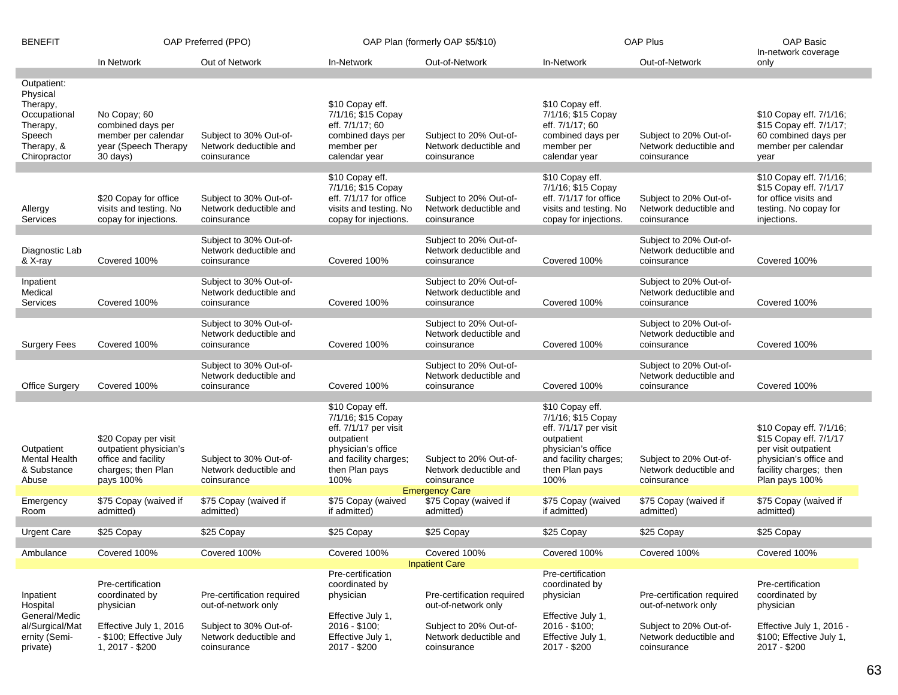| <b>BENEFIT</b>                                                                                          | OAP Preferred (PPO)                                                                                      |                                                                                                       | OAP Plan (formerly OAP \$5/\$10)                                                                                                                      |                                                                                                       | <b>OAP Plus</b>                                                                                                                                       |                                                                                                       | OAP Basic<br>In-network coverage                                                                                                                |
|---------------------------------------------------------------------------------------------------------|----------------------------------------------------------------------------------------------------------|-------------------------------------------------------------------------------------------------------|-------------------------------------------------------------------------------------------------------------------------------------------------------|-------------------------------------------------------------------------------------------------------|-------------------------------------------------------------------------------------------------------------------------------------------------------|-------------------------------------------------------------------------------------------------------|-------------------------------------------------------------------------------------------------------------------------------------------------|
|                                                                                                         | In Network                                                                                               | Out of Network                                                                                        | In-Network                                                                                                                                            | Out-of-Network                                                                                        | In-Network                                                                                                                                            | Out-of-Network                                                                                        | only                                                                                                                                            |
| Outpatient:<br>Physical<br>Therapy,<br>Occupational<br>Therapy,<br>Speech<br>Therapy, &<br>Chiropractor | No Copay; 60<br>combined days per<br>member per calendar<br>year (Speech Therapy<br>30 days)             | Subject to 30% Out-of-<br>Network deductible and<br>coinsurance                                       | \$10 Copay eff.<br>7/1/16; \$15 Copay<br>eff. 7/1/17; 60<br>combined days per<br>member per<br>calendar year                                          | Subject to 20% Out-of-<br>Network deductible and<br>coinsurance                                       | \$10 Copay eff.<br>7/1/16; \$15 Copay<br>eff. 7/1/17; 60<br>combined days per<br>member per<br>calendar year                                          | Subject to 20% Out-of-<br>Network deductible and<br>coinsurance                                       | \$10 Copay eff. 7/1/16;<br>\$15 Copay eff. 7/1/17;<br>60 combined days per<br>member per calendar<br>year                                       |
| Allergy<br>Services                                                                                     | \$20 Copay for office<br>visits and testing. No<br>copay for injections.                                 | Subject to 30% Out-of-<br>Network deductible and<br>coinsurance                                       | \$10 Copay eff.<br>7/1/16; \$15 Copay<br>eff. 7/1/17 for office<br>visits and testing. No<br>copay for injections.                                    | Subject to 20% Out-of-<br>Network deductible and<br>coinsurance                                       | \$10 Copay eff.<br>7/1/16; \$15 Copay<br>eff. 7/1/17 for office<br>visits and testing. No<br>copay for injections.                                    | Subject to 20% Out-of-<br>Network deductible and<br>coinsurance                                       | \$10 Copay eff. 7/1/16;<br>\$15 Copay eff. 7/1/17<br>for office visits and<br>testing. No copay for<br>injections.                              |
| Diagnostic Lab<br>& X-ray                                                                               | Covered 100%                                                                                             | Subject to 30% Out-of-<br>Network deductible and<br>coinsurance                                       | Covered 100%                                                                                                                                          | Subject to 20% Out-of-<br>Network deductible and<br>coinsurance                                       | Covered 100%                                                                                                                                          | Subject to 20% Out-of-<br>Network deductible and<br>coinsurance                                       | Covered 100%                                                                                                                                    |
| Inpatient<br>Medical<br>Services                                                                        | Covered 100%                                                                                             | Subject to 30% Out-of-<br>Network deductible and<br>coinsurance                                       | Covered 100%                                                                                                                                          | Subject to 20% Out-of-<br>Network deductible and<br>coinsurance                                       | Covered 100%                                                                                                                                          | Subject to 20% Out-of-<br>Network deductible and<br>coinsurance                                       | Covered 100%                                                                                                                                    |
| <b>Surgery Fees</b>                                                                                     | Covered 100%                                                                                             | Subject to 30% Out-of-<br>Network deductible and<br>coinsurance                                       | Covered 100%                                                                                                                                          | Subject to 20% Out-of-<br>Network deductible and<br>coinsurance                                       | Covered 100%                                                                                                                                          | Subject to 20% Out-of-<br>Network deductible and<br>coinsurance                                       | Covered 100%                                                                                                                                    |
| <b>Office Surgery</b>                                                                                   | Covered 100%                                                                                             | Subject to 30% Out-of-<br>Network deductible and<br>coinsurance                                       | Covered 100%                                                                                                                                          | Subject to 20% Out-of-<br>Network deductible and<br>coinsurance                                       | Covered 100%                                                                                                                                          | Subject to 20% Out-of-<br>Network deductible and<br>coinsurance                                       | Covered 100%                                                                                                                                    |
| Outpatient<br><b>Mental Health</b><br>& Substance<br>Abuse                                              | \$20 Copay per visit<br>outpatient physician's<br>office and facility<br>charges; then Plan<br>pays 100% | Subject to 30% Out-of-<br>Network deductible and<br>coinsurance                                       | \$10 Copay eff.<br>7/1/16; \$15 Copay<br>eff. 7/1/17 per visit<br>outpatient<br>physician's office<br>and facility charges;<br>then Plan pays<br>100% | Subject to 20% Out-of-<br>Network deductible and<br>coinsurance<br><b>Emergency Care</b>              | \$10 Copay eff.<br>7/1/16; \$15 Copay<br>eff. 7/1/17 per visit<br>outpatient<br>physician's office<br>and facility charges;<br>then Plan pays<br>100% | Subject to 20% Out-of-<br>Network deductible and<br>coinsurance                                       | \$10 Copay eff. 7/1/16;<br>\$15 Copay eff. 7/1/17<br>per visit outpatient<br>physician's office and<br>facility charges; then<br>Plan pays 100% |
| Emergency<br>Room                                                                                       | \$75 Copay (waived if<br>admitted)                                                                       | \$75 Copay (waived if<br>admitted)                                                                    | \$75 Copay (waived<br>if admitted)                                                                                                                    | \$75 Copay (waived if<br>admitted)                                                                    | \$75 Copay (waived<br>if admitted)                                                                                                                    | \$75 Copay (waived if<br>admitted)                                                                    | \$75 Copay (waived if<br>admitted)                                                                                                              |
| Urgent Care                                                                                             | \$25 Copay                                                                                               | \$25 Copay                                                                                            | \$25 Copay                                                                                                                                            | \$25 Copay                                                                                            | \$25 Copay                                                                                                                                            | \$25 Copay                                                                                            | \$25 Copay                                                                                                                                      |
| Ambulance                                                                                               | Covered 100%                                                                                             | Covered 100%                                                                                          | Covered 100%                                                                                                                                          | Covered 100%<br><b>Inpatient Care</b>                                                                 | Covered 100%                                                                                                                                          | Covered 100%                                                                                          | Covered 100%                                                                                                                                    |
| Inpatient<br>Hospital<br>General/Medic<br>al/Surgical/Mat<br>ernity (Semi-                              | Pre-certification<br>coordinated by<br>physician<br>Effective July 1, 2016<br>- \$100; Effective July    | Pre-certification required<br>out-of-network only<br>Subject to 30% Out-of-<br>Network deductible and | Pre-certification<br>coordinated by<br>physician<br>Effective July 1,<br>2016 - \$100;<br>Effective July 1,                                           | Pre-certification required<br>out-of-network only<br>Subject to 20% Out-of-<br>Network deductible and | Pre-certification<br>coordinated by<br>physician<br>Effective July 1,<br>2016 - \$100;<br>Effective July 1,                                           | Pre-certification required<br>out-of-network only<br>Subject to 20% Out-of-<br>Network deductible and | Pre-certification<br>coordinated by<br>physician<br>Effective July 1, 2016 -<br>\$100; Effective July 1,                                        |
| private)                                                                                                | 1, 2017 - \$200                                                                                          | coinsurance                                                                                           | 2017 - \$200                                                                                                                                          | coinsurance                                                                                           | 2017 - \$200                                                                                                                                          | coinsurance                                                                                           | 2017 - \$200                                                                                                                                    |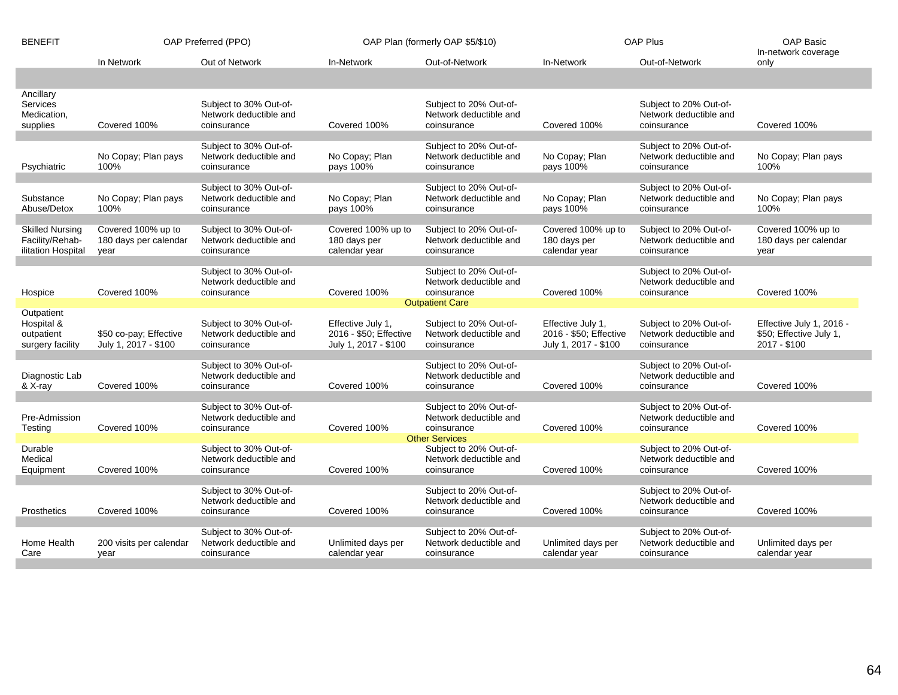| <b>BENEFIT</b>                                                             | OAP Preferred (PPO)                                 |                                                                 | OAP Plan (formerly OAP \$5/\$10)                                    |                                                                 | OAP Plus                                                            |                                                                 | <b>OAP Basic</b><br>In-network coverage                             |
|----------------------------------------------------------------------------|-----------------------------------------------------|-----------------------------------------------------------------|---------------------------------------------------------------------|-----------------------------------------------------------------|---------------------------------------------------------------------|-----------------------------------------------------------------|---------------------------------------------------------------------|
|                                                                            | In Network                                          | Out of Network                                                  | In-Network                                                          | Out-of-Network                                                  | In-Network                                                          | Out-of-Network                                                  | only                                                                |
|                                                                            |                                                     |                                                                 |                                                                     |                                                                 |                                                                     |                                                                 |                                                                     |
| Ancillary<br>Services<br>Medication,<br>supplies                           | Covered 100%                                        | Subject to 30% Out-of-<br>Network deductible and<br>coinsurance | Covered 100%                                                        | Subject to 20% Out-of-<br>Network deductible and<br>coinsurance | Covered 100%                                                        | Subject to 20% Out-of-<br>Network deductible and<br>coinsurance | Covered 100%                                                        |
|                                                                            |                                                     |                                                                 |                                                                     |                                                                 |                                                                     |                                                                 |                                                                     |
| Psychiatric                                                                | No Copay; Plan pays<br>100%                         | Subject to 30% Out-of-<br>Network deductible and<br>coinsurance | No Copay; Plan<br>pays 100%                                         | Subject to 20% Out-of-<br>Network deductible and<br>coinsurance | No Copay; Plan<br>pays 100%                                         | Subject to 20% Out-of-<br>Network deductible and<br>coinsurance | No Copay; Plan pays<br>100%                                         |
|                                                                            |                                                     | Subject to 30% Out-of-                                          |                                                                     | Subject to 20% Out-of-                                          |                                                                     | Subject to 20% Out-of-                                          |                                                                     |
| Substance<br>Abuse/Detox                                                   | No Copay; Plan pays<br>100%                         | Network deductible and<br>coinsurance                           | No Copay; Plan<br>pays 100%                                         | Network deductible and<br>coinsurance                           | No Copay; Plan<br>pays 100%                                         | Network deductible and<br>coinsurance                           | No Copay; Plan pays<br>100%                                         |
| <b>Skilled Nursing</b><br>Facility/Rehab-<br>ilitation Hospital            | Covered 100% up to<br>180 days per calendar<br>year | Subject to 30% Out-of-<br>Network deductible and<br>coinsurance | Covered 100% up to<br>180 days per<br>calendar year                 | Subject to 20% Out-of-<br>Network deductible and<br>coinsurance | Covered 100% up to<br>180 days per<br>calendar year                 | Subject to 20% Out-of-<br>Network deductible and<br>coinsurance | Covered 100% up to<br>180 days per calendar<br>year                 |
|                                                                            |                                                     | Subject to 30% Out-of-                                          |                                                                     | Subject to 20% Out-of-                                          |                                                                     | Subject to 20% Out-of-                                          |                                                                     |
| Hospice                                                                    | Covered 100%                                        | Network deductible and<br>coinsurance                           | Covered 100%                                                        | Network deductible and<br>coinsurance                           | Covered 100%                                                        | Network deductible and<br>coinsurance                           | Covered 100%                                                        |
| Outpatient                                                                 |                                                     |                                                                 |                                                                     | <b>Outpatient Care</b>                                          |                                                                     |                                                                 |                                                                     |
| Hospital &<br>outpatient<br>surgery facility                               | \$50 co-pay; Effective<br>July 1, 2017 - \$100      | Subject to 30% Out-of-<br>Network deductible and<br>coinsurance | Effective July 1,<br>2016 - \$50; Effective<br>July 1, 2017 - \$100 | Subject to 20% Out-of-<br>Network deductible and<br>coinsurance | Effective July 1,<br>2016 - \$50; Effective<br>July 1, 2017 - \$100 | Subject to 20% Out-of-<br>Network deductible and<br>coinsurance | Effective July 1, 2016 -<br>\$50; Effective July 1,<br>2017 - \$100 |
| Subject to 30% Out-of-<br>Subject to 20% Out-of-<br>Subject to 20% Out-of- |                                                     |                                                                 |                                                                     |                                                                 |                                                                     |                                                                 |                                                                     |
| Diagnostic Lab<br>& X-ray                                                  | Covered 100%                                        | Network deductible and<br>coinsurance                           | Covered 100%                                                        | Network deductible and<br>coinsurance                           | Covered 100%                                                        | Network deductible and<br>coinsurance                           | Covered 100%                                                        |
| Pre-Admission<br>Testing                                                   | Covered 100%                                        | Subject to 30% Out-of-<br>Network deductible and<br>coinsurance | Covered 100%                                                        | Subject to 20% Out-of-<br>Network deductible and<br>coinsurance | Covered 100%                                                        | Subject to 20% Out-of-<br>Network deductible and<br>coinsurance | Covered 100%                                                        |
| <b>Other Services</b>                                                      |                                                     |                                                                 |                                                                     |                                                                 |                                                                     |                                                                 |                                                                     |
| Durable<br>Medical<br>Equipment                                            | Covered 100%                                        | Subject to 30% Out-of-<br>Network deductible and<br>coinsurance | Covered 100%                                                        | Subject to 20% Out-of-<br>Network deductible and<br>coinsurance | Covered 100%                                                        | Subject to 20% Out-of-<br>Network deductible and<br>coinsurance | Covered 100%                                                        |
| <b>Prosthetics</b>                                                         | Covered 100%                                        | Subject to 30% Out-of-<br>Network deductible and<br>coinsurance | Covered 100%                                                        | Subject to 20% Out-of-<br>Network deductible and<br>coinsurance | Covered 100%                                                        | Subject to 20% Out-of-<br>Network deductible and<br>coinsurance | Covered 100%                                                        |
|                                                                            |                                                     |                                                                 |                                                                     |                                                                 |                                                                     |                                                                 |                                                                     |
| Home Health<br>Care                                                        | 200 visits per calendar<br>year                     | Subject to 30% Out-of-<br>Network deductible and<br>coinsurance | Unlimited days per<br>calendar year                                 | Subject to 20% Out-of-<br>Network deductible and<br>coinsurance | Unlimited days per<br>calendar year                                 | Subject to 20% Out-of-<br>Network deductible and<br>coinsurance | Unlimited days per<br>calendar year                                 |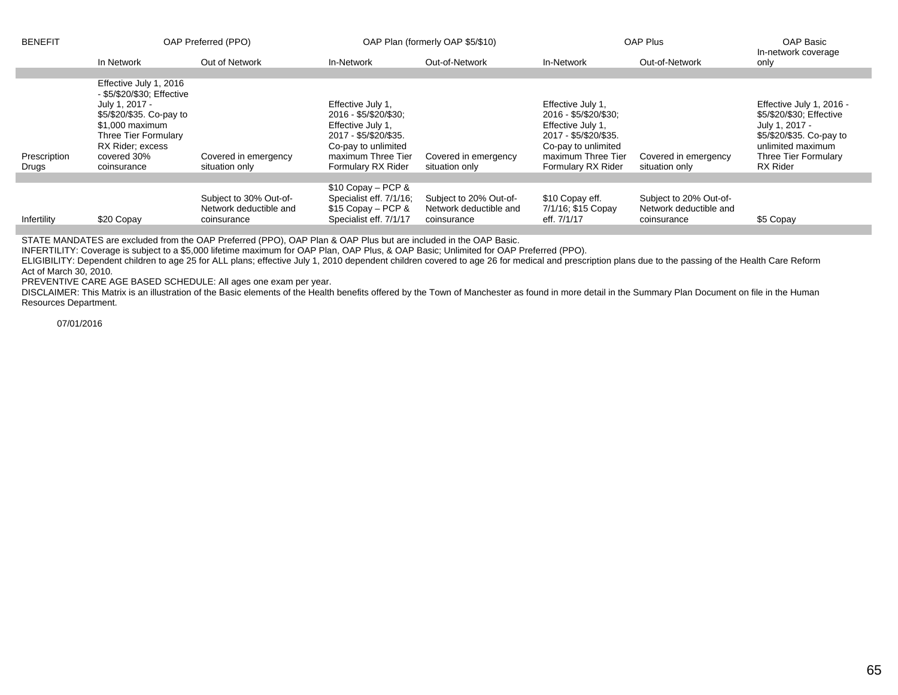| <b>BENEFIT</b>        | OAP Preferred (PPO)                                                                                                                                                                             |                                                                 | OAP Plan (formerly OAP \$5/\$10)                                                                                                                            |                                                                 | OAP Plus                                                                                                                                                    |                                                                 | OAP Basic<br>In-network coverage                                                                                                                                   |
|-----------------------|-------------------------------------------------------------------------------------------------------------------------------------------------------------------------------------------------|-----------------------------------------------------------------|-------------------------------------------------------------------------------------------------------------------------------------------------------------|-----------------------------------------------------------------|-------------------------------------------------------------------------------------------------------------------------------------------------------------|-----------------------------------------------------------------|--------------------------------------------------------------------------------------------------------------------------------------------------------------------|
|                       | In Network                                                                                                                                                                                      | Out of Network                                                  | In-Network                                                                                                                                                  | Out-of-Network                                                  | In-Network                                                                                                                                                  | Out-of-Network                                                  | only                                                                                                                                                               |
| Prescription<br>Drugs | Effective July 1, 2016<br>- \$5/\$20/\$30; Effective<br>July 1, 2017 -<br>\$5/\$20/\$35. Co-pay to<br>\$1,000 maximum<br>Three Tier Formulary<br>RX Rider; excess<br>covered 30%<br>coinsurance | Covered in emergency<br>situation only                          | Effective July 1,<br>2016 - \$5/\$20/\$30;<br>Effective July 1,<br>2017 - \$5/\$20/\$35.<br>Co-pay to unlimited<br>maximum Three Tier<br>Formulary RX Rider | Covered in emergency<br>situation only                          | Effective July 1,<br>2016 - \$5/\$20/\$30;<br>Effective July 1,<br>2017 - \$5/\$20/\$35.<br>Co-pay to unlimited<br>maximum Three Tier<br>Formulary RX Rider | Covered in emergency<br>situation only                          | Effective July 1, 2016 -<br>\$5/\$20/\$30; Effective<br>July 1, 2017 -<br>\$5/\$20/\$35. Co-pay to<br>unlimited maximum<br>Three Tier Formulary<br><b>RX Rider</b> |
|                       |                                                                                                                                                                                                 |                                                                 |                                                                                                                                                             |                                                                 |                                                                                                                                                             |                                                                 |                                                                                                                                                                    |
| Infertility           | \$20 Copay                                                                                                                                                                                      | Subject to 30% Out-of-<br>Network deductible and<br>coinsurance | $$10$ Copay - PCP &<br>Specialist eff. 7/1/16;<br>$$15$ Copay - PCP &<br>Specialist eff. 7/1/17                                                             | Subject to 20% Out-of-<br>Network deductible and<br>coinsurance | \$10 Copay eff.<br>7/1/16; \$15 Copay<br>eff. 7/1/17                                                                                                        | Subject to 20% Out-of-<br>Network deductible and<br>coinsurance | \$5 Copay                                                                                                                                                          |

STATE MANDATES are excluded from the OAP Preferred (PPO), OAP Plan & OAP Plus but are included in the OAP Basic.

INFERTILITY: Coverage is subject to a \$5,000 lifetime maximum for OAP Plan, OAP Plus, & OAP Basic; Unlimited for OAP Preferred (PPO).

ELIGIBILITY: Dependent children to age 25 for ALL plans; effective July 1, 2010 dependent children covered to age 26 for medical and prescription plans due to the passing of the Health Care Reform Act of March 30, 2010.

PREVENTIVE CARE AGE BASED SCHEDULE: All ages one exam per year.

DISCLAIMER: This Matrix is an illustration of the Basic elements of the Health benefits offered by the Town of Manchester as found in more detail in the Summary Plan Document on file in the Human Resources Department.

07/01/2016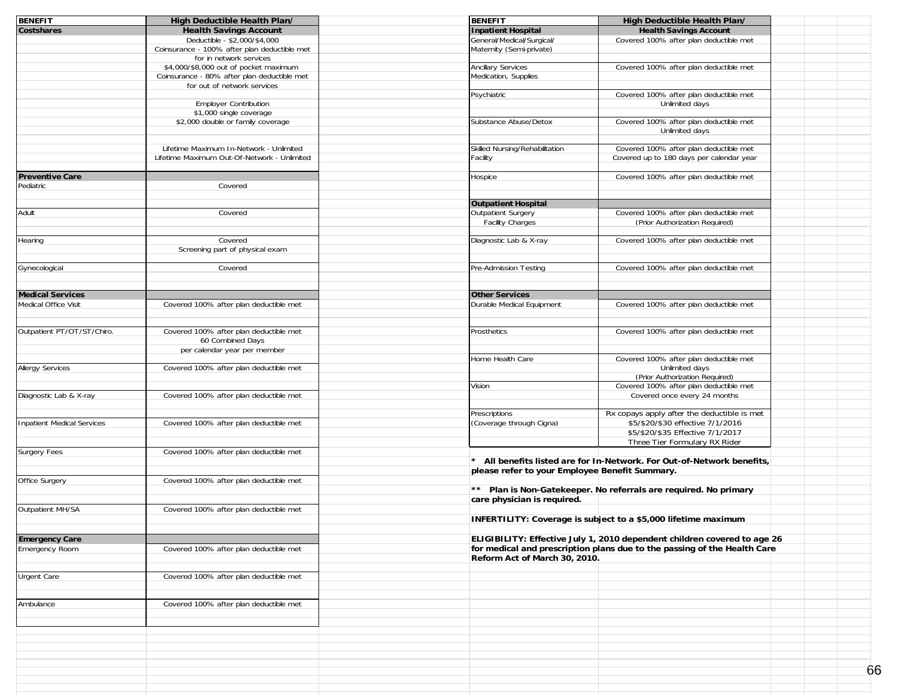| <b>BENEFIT</b>                    | High Deductible Health Plan/                                               | <b>BENEFIT</b>                                 | High Deductible Health Plan/                                             |    |
|-----------------------------------|----------------------------------------------------------------------------|------------------------------------------------|--------------------------------------------------------------------------|----|
| Costshares                        | <b>Health Savings Account</b>                                              | <b>Inpatient Hospital</b>                      | <b>Health Savings Account</b>                                            |    |
|                                   | Deductible - \$2,000/\$4,000                                               | General/Medical/Surgical/                      | Covered 100% after plan deductible met                                   |    |
|                                   | Coinsurance - 100% after plan deductible met                               | Maternity (Semi-private)                       |                                                                          |    |
|                                   | for in network services                                                    |                                                |                                                                          |    |
|                                   | \$4,000/\$8,000 out of pocket maximum                                      | <b>Ancillary Services</b>                      | Covered 100% after plan deductible met                                   |    |
|                                   | Coinsurance - 80% after plan deductible met<br>for out of network services | Medication, Supplies                           |                                                                          |    |
|                                   |                                                                            | Psychiatric                                    | Covered 100% after plan deductible met                                   |    |
|                                   | <b>Employer Contribution</b>                                               |                                                | Unlimited days                                                           |    |
|                                   | \$1,000 single coverage                                                    |                                                |                                                                          |    |
|                                   | \$2,000 double or family coverage                                          | Substance Abuse/Detox                          | Covered 100% after plan deductible met                                   |    |
|                                   |                                                                            |                                                | Unlimited days                                                           |    |
|                                   |                                                                            |                                                |                                                                          |    |
|                                   | Lifetime Maximum In-Network - Unlimited                                    | Skilled Nursing/Rehabilitation                 | Covered 100% after plan deductible met                                   |    |
|                                   | Lifetime Maximum Out-Of-Network - Unlimited                                | Facility                                       | Covered up to 180 days per calendar year                                 |    |
|                                   |                                                                            |                                                |                                                                          |    |
| <b>Preventive Care</b>            |                                                                            | Hospice                                        | Covered 100% after plan deductible met                                   |    |
| Pediatric                         | Covered                                                                    |                                                |                                                                          |    |
|                                   |                                                                            |                                                |                                                                          |    |
|                                   |                                                                            | <b>Outpatient Hospital</b>                     |                                                                          |    |
| Adult                             | Covered                                                                    | Outpatient Surgery                             | Covered 100% after plan deductible met                                   |    |
|                                   |                                                                            | Facility Charges                               | (Prior Authorization Required)                                           |    |
| Hearing                           | Covered                                                                    | Diagnostic Lab & X-ray                         | Covered 100% after plan deductible met                                   |    |
|                                   | Screening part of physical exam                                            |                                                |                                                                          |    |
|                                   |                                                                            |                                                |                                                                          |    |
| Gynecological                     | Covered                                                                    | Pre-Admission Testing                          | Covered 100% after plan deductible met                                   |    |
|                                   |                                                                            |                                                |                                                                          |    |
|                                   |                                                                            |                                                |                                                                          |    |
| <b>Medical Services</b>           |                                                                            | <b>Other Services</b>                          |                                                                          |    |
| Medical Office Visit              | Covered 100% after plan deductible met                                     | Durable Medical Equipment                      | Covered 100% after plan deductible met                                   |    |
|                                   |                                                                            |                                                |                                                                          |    |
|                                   |                                                                            |                                                |                                                                          |    |
| Outpatient PT/OT/ST/Chiro.        | Covered 100% after plan deductible met                                     | Prosthetics                                    | Covered 100% after plan deductible met                                   |    |
|                                   | 60 Combined Days                                                           |                                                |                                                                          |    |
|                                   | per calendar year per member                                               |                                                |                                                                          |    |
|                                   |                                                                            | Home Health Care                               | Covered 100% after plan deductible met                                   |    |
| <b>Allergy Services</b>           | Covered 100% after plan deductible met                                     |                                                | Unlimited days                                                           |    |
|                                   |                                                                            |                                                | (Prior Authorization Required)                                           |    |
|                                   |                                                                            | Vision                                         | Covered 100% after plan deductible met                                   |    |
| Diagnostic Lab & X-ray            | Covered 100% after plan deductible met                                     |                                                | Covered once every 24 months                                             |    |
|                                   |                                                                            |                                                |                                                                          |    |
|                                   |                                                                            | Prescriptions                                  | Rx copays apply after the deductible is met                              |    |
| <b>Inpatient Medical Services</b> | Covered 100% after plan deductible met                                     | (Coverage through Cigna)                       | \$5/\$20/\$30 effective 7/1/2016                                         |    |
|                                   |                                                                            |                                                | \$5/\$20/\$35 Effective 7/1/2017                                         |    |
|                                   |                                                                            |                                                | Three Tier Formulary RX Rider                                            |    |
| Surgery Fees                      | Covered 100% after plan deductible met                                     |                                                |                                                                          |    |
|                                   |                                                                            |                                                | * All benefits listed are for In-Network. For Out-of-Network benefits,   |    |
|                                   |                                                                            | please refer to your Employee Benefit Summary. |                                                                          |    |
| Office Surgery                    | Covered 100% after plan deductible met                                     |                                                |                                                                          |    |
|                                   |                                                                            |                                                | ** Plan is Non-Gatekeeper. No referrals are required. No primary         |    |
|                                   |                                                                            | care physician is required.                    |                                                                          |    |
| Outpatient MH/SA                  | Covered 100% after plan deductible met                                     |                                                |                                                                          |    |
|                                   |                                                                            |                                                | INFERTILITY: Coverage is subject to a \$5,000 lifetime maximum           |    |
|                                   |                                                                            |                                                |                                                                          |    |
| <b>Emergency Care</b>             |                                                                            |                                                | ELIGIBILITY: Effective July 1, 2010 dependent children covered to age 26 |    |
| Emergency Room                    | Covered 100% after plan deductible met                                     |                                                | for medical and prescription plans due to the passing of the Health Care |    |
|                                   |                                                                            | Reform Act of March 30, 2010.                  |                                                                          |    |
|                                   |                                                                            |                                                |                                                                          |    |
| <b>Urgent Care</b>                | Covered 100% after plan deductible met                                     |                                                |                                                                          |    |
|                                   |                                                                            |                                                |                                                                          |    |
|                                   |                                                                            |                                                |                                                                          |    |
| Ambulance                         | Covered 100% after plan deductible met                                     |                                                |                                                                          |    |
|                                   |                                                                            |                                                |                                                                          |    |
|                                   |                                                                            |                                                |                                                                          |    |
|                                   |                                                                            |                                                |                                                                          |    |
|                                   |                                                                            |                                                |                                                                          |    |
|                                   |                                                                            |                                                |                                                                          |    |
|                                   |                                                                            |                                                |                                                                          |    |
|                                   |                                                                            |                                                |                                                                          | 66 |
|                                   |                                                                            |                                                |                                                                          |    |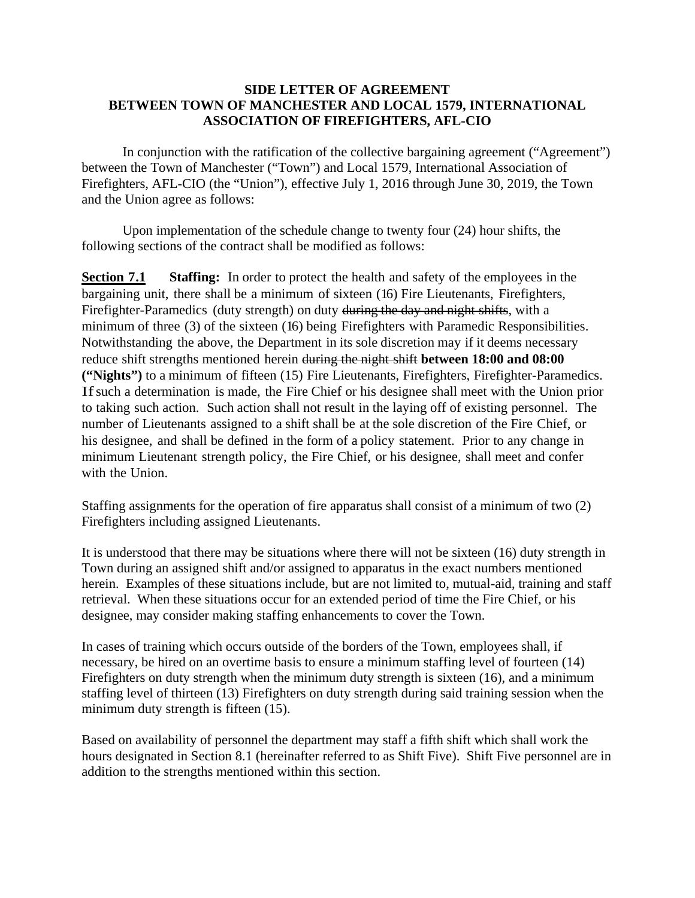#### **SIDE LETTER OF AGREEMENT BETWEEN TOWN OF MANCHESTER AND LOCAL 1579, INTERNATIONAL ASSOCIATION OF FIREFIGHTERS, AFL-CIO**

In conjunction with the ratification of the collective bargaining agreement ("Agreement") between the Town of Manchester ("Town") and Local 1579, International Association of Firefighters, AFL-CIO (the "Union"), effective July 1, 2016 through June 30, 2019, the Town and the Union agree as follows:

 Upon implementation of the schedule change to twenty four (24) hour shifts, the following sections of the contract shall be modified as follows:

**Section 7.1** Staffing: In order to protect the health and safety of the employees in the bargaining unit, there shall be a minimum of sixteen (16) Fire Lieutenants, Firefighters, Firefighter-Paramedics (duty strength) on duty during the day and night shifts, with a minimum of three (3) of the sixteen (16) being Firefighters with Paramedic Responsibilities. Notwithstanding the above, the Department in its sole discretion may if it deems necessary reduce shift strengths mentioned herein during the night shift **between 18:00 and 08:00 ("Nights")** to a minimum of fifteen (15) Fire Lieutenants, Firefighters, Firefighter-Paramedics. If such a determination is made, the Fire Chief or his designee shall meet with the Union prior to taking such action. Such action shall not result in the laying off of existing personnel. The number of Lieutenants assigned to a shift shall be at the sole discretion of the Fire Chief, or his designee, and shall be defined in the form of a policy statement. Prior to any change in minimum Lieutenant strength policy, the Fire Chief, or his designee, shall meet and confer with the Union.

Staffing assignments for the operation of fire apparatus shall consist of a minimum of two (2) Firefighters including assigned Lieutenants.

It is understood that there may be situations where there will not be sixteen (16) duty strength in Town during an assigned shift and/or assigned to apparatus in the exact numbers mentioned herein. Examples of these situations include, but are not limited to, mutual-aid, training and staff retrieval. When these situations occur for an extended period of time the Fire Chief, or his designee, may consider making staffing enhancements to cover the Town.

In cases of training which occurs outside of the borders of the Town, employees shall, if necessary, be hired on an overtime basis to ensure a minimum staffing level of fourteen (14) Firefighters on duty strength when the minimum duty strength is sixteen (16), and a minimum staffing level of thirteen (13) Firefighters on duty strength during said training session when the minimum duty strength is fifteen  $(15)$ .

Based on availability of personnel the department may staff a fifth shift which shall work the hours designated in Section 8.1 (hereinafter referred to as Shift Five). Shift Five personnel are in addition to the strengths mentioned within this section.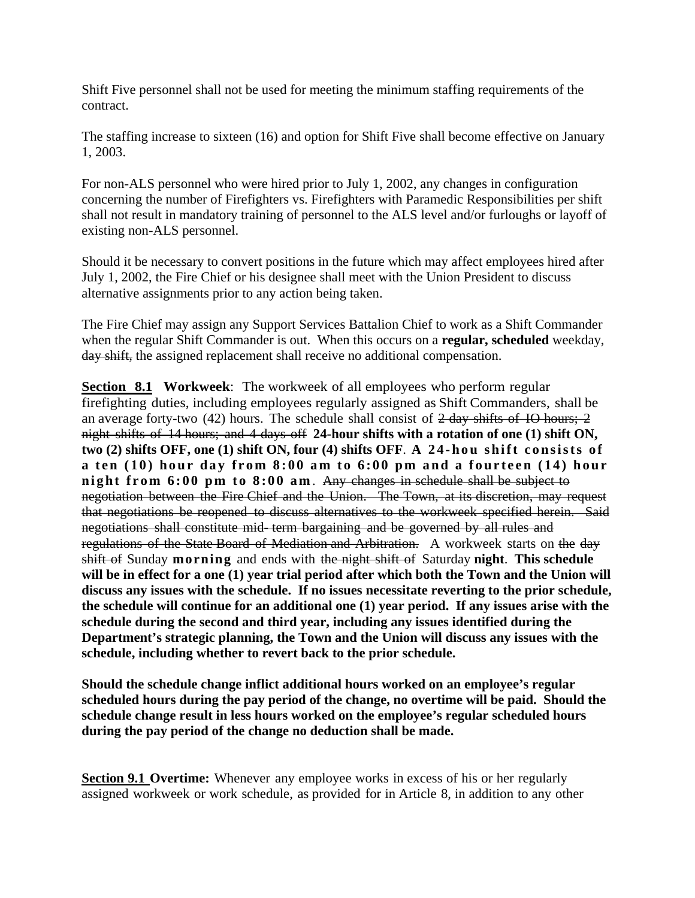Shift Five personnel shall not be used for meeting the minimum staffing requirements of the contract.

The staffing increase to sixteen (16) and option for Shift Five shall become effective on January 1, 2003.

For non-ALS personnel who were hired prior to July 1, 2002, any changes in configuration concerning the number of Firefighters vs. Firefighters with Paramedic Responsibilities per shift shall not result in mandatory training of personnel to the ALS level and/or furloughs or layoff of existing non-ALS personnel.

Should it be necessary to convert positions in the future which may affect employees hired after July 1, 2002, the Fire Chief or his designee shall meet with the Union President to discuss alternative assignments prior to any action being taken.

The Fire Chief may assign any Support Services Battalion Chief to work as a Shift Commander when the regular Shift Commander is out. When this occurs on a **regular, scheduled** weekday, day shift, the assigned replacement shall receive no additional compensation.

**Section 8.1 Workweek**: The workweek of all employees who perform regular firefighting duties, including employees regularly assigned as Shift Commanders, shall be an average forty-two  $(42)$  hours. The schedule shall consist of  $2$ -day shifts of IO hours; 2 night shifts of 14 hours; and 4 days off **24-hour shifts with a rotation of one (1) shift ON, two (2) shifts OFF, one (1) shift ON, four (4) shifts OFF**. **A 24-hou shift consists of a ten (10) hour day from 8:00 am to 6:00 pm and a fourteen (14) hour night from 6:00 pm to 8:00 am**. Any changes in schedule shall be subject to negotiation between the Fire Chief and the Union. The Town, at its discretion, may request that negotiations be reopened to discuss alternatives to the workweek specified herein. Said negotiations shall constitute mid- term bargaining and be governed by all rules and regulations of the State Board of Mediation and Arbitration. A workweek starts on the day shift of Sunday **morning** and ends with the night shift of Saturday **night**. **This schedule**  will be in effect for a one (1) year trial period after which both the Town and the Union will **discuss any issues with the schedule. If no issues necessitate reverting to the prior schedule, the schedule will continue for an additional one (1) year period. If any issues arise with the schedule during the second and third year, including any issues identified during the Department's strategic planning, the Town and the Union will discuss any issues with the schedule, including whether to revert back to the prior schedule.** 

**Should the schedule change inflict additional hours worked on an employee's regular scheduled hours during the pay period of the change, no overtime will be paid. Should the schedule change result in less hours worked on the employee's regular scheduled hours during the pay period of the change no deduction shall be made.** 

**Section 9.1 Overtime:** Whenever any employee works in excess of his or her regularly assigned workweek or work schedule, as provided for in Article 8, in addition to any other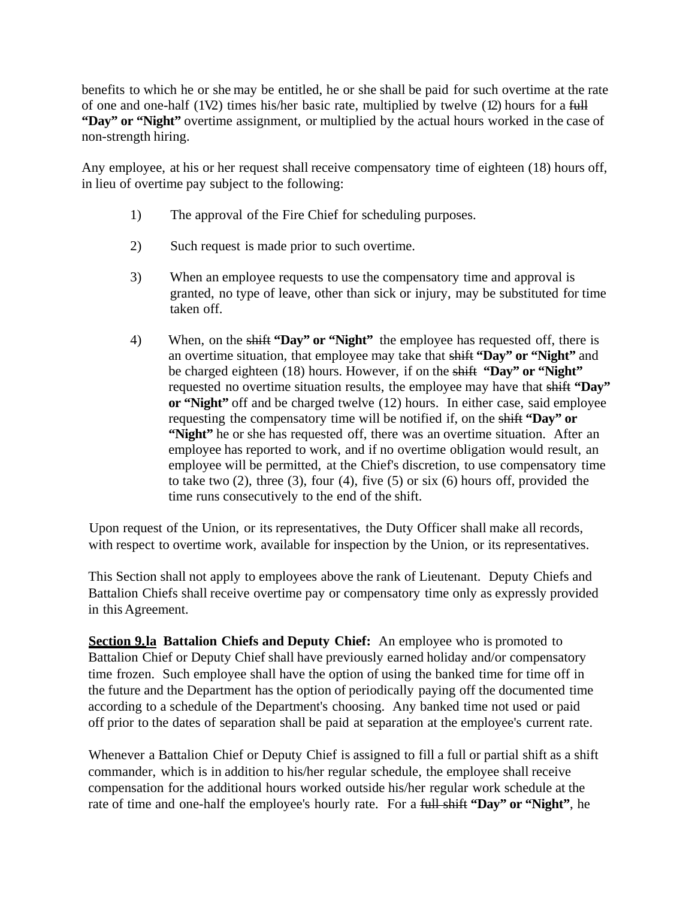benefits to which he or she may be entitled, he or she shall be paid for such overtime at the rate of one and one-half  $(1V2)$  times his/her basic rate, multiplied by twelve  $(12)$  hours for a full **"Day" or "Night"** overtime assignment, or multiplied by the actual hours worked in the case of non-strength hiring.

Any employee, at his or her request shall receive compensatory time of eighteen (18) hours off, in lieu of overtime pay subject to the following:

- 1) The approval of the Fire Chief for scheduling purposes.
- 2) Such request is made prior to such overtime.
- 3) When an employee requests to use the compensatory time and approval is granted, no type of leave, other than sick or injury, may be substituted for time taken off.
- 4) When, on the shift **"Day" or "Night"** the employee has requested off, there is an overtime situation, that employee may take that shift **"Day" or "Night"** and be charged eighteen (18) hours. However, if on the shift **"Day" or "Night"** requested no overtime situation results, the employee may have that shift **"Day" or "Night"** off and be charged twelve (12) hours. In either case, said employee requesting the compensatory time will be notified if, on the shift **"Day" or "Night"** he or she has requested off, there was an overtime situation. After an employee has reported to work, and if no overtime obligation would result, an employee will be permitted, at the Chief's discretion, to use compensatory time to take two  $(2)$ , three  $(3)$ , four  $(4)$ , five  $(5)$  or six  $(6)$  hours off, provided the time runs consecutively to the end of the shift.

Upon request of the Union, or its representatives, the Duty Officer shall make all records, with respect to overtime work, available for inspection by the Union, or its representatives.

This Section shall not apply to employees above the rank of Lieutenant. Deputy Chiefs and Battalion Chiefs shall receive overtime pay or compensatory time only as expressly provided in this Agreement.

**<u>Section 9.1a</u>** Battalion Chiefs and Deputy Chief: An employee who is promoted to Battalion Chief or Deputy Chief shall have previously earned holiday and/or compensatory time frozen. Such employee shall have the option of using the banked time for time off in the future and the Department has the option of periodically paying off the documented time according to a schedule of the Department's choosing. Any banked time not used or paid off prior to the dates of separation shall be paid at separation at the employee's current rate.

Whenever a Battalion Chief or Deputy Chief is assigned to fill a full or partial shift as a shift commander, which is in addition to his/her regular schedule, the employee shall receive compensation for the additional hours worked outside his/her regular work schedule at the rate of time and one-half the employee's hourly rate. For a full shift **"Day" or "Night"**, he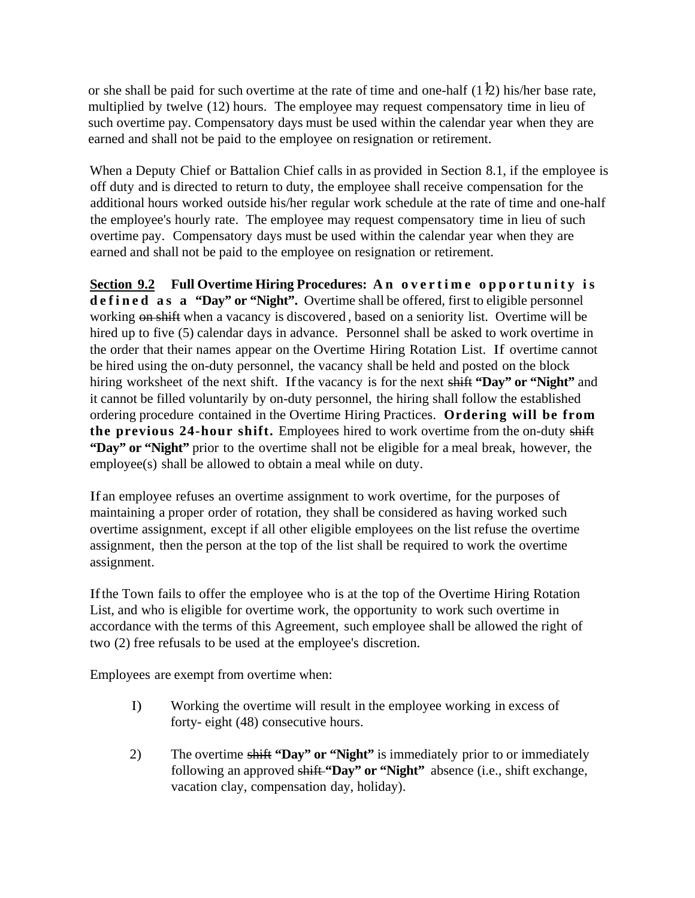or she shall be paid for such overtime at the rate of time and one-half  $(1\frac{1}{2})$  his/her base rate, multiplied by twelve (12) hours. The employee may request compensatory time in lieu of such overtime pay. Compensatory days must be used within the calendar year when they are earned and shall not be paid to the employee on resignation or retirement.

When a Deputy Chief or Battalion Chief calls in as provided in Section 8.1, if the employee is off duty and is directed to return to duty, the employee shall receive compensation for the additional hours worked outside his/her regular work schedule at the rate of time and one-half the employee's hourly rate. The employee may request compensatory time in lieu of such overtime pay. Compensatory days must be used within the calendar year when they are earned and shall not be paid to the employee on resignation or retirement.

Section 9.2 Full Overtime Hiring Procedures: An overtime opportunity is **d e f i n e d as a "Day" or "Night".** Overtime shall be offered, first to eligible personnel working on shift when a vacancy is discovered, based on a seniority list. Overtime will be hired up to five (5) calendar days in advance. Personnel shall be asked to work overtime in the order that their names appear on the Overtime Hiring Rotation List. If overtime cannot be hired using the on-duty personnel, the vacancy shall be held and posted on the block hiring worksheet of the next shift. If the vacancy is for the next shift **"Day" or "Night"** and it cannot be filled voluntarily by on-duty personnel, the hiring shall follow the established ordering procedure contained in the Overtime Hiring Practices. **Ordering will be from the previous 24-hour shift.** Employees hired to work overtime from the on-duty shift **"Day" or "Night"** prior to the overtime shall not be eligible for a meal break, however, the employee(s) shall be allowed to obtain a meal while on duty.

If an employee refuses an overtime assignment to work overtime, for the purposes of maintaining a proper order of rotation, they shall be considered as having worked such overtime assignment, except if all other eligible employees on the list refuse the overtime assignment, then the person at the top of the list shall be required to work the overtime assignment.

If the Town fails to offer the employee who is at the top of the Overtime Hiring Rotation List, and who is eligible for overtime work, the opportunity to work such overtime in accordance with the terms of this Agreement, such employee shall be allowed the right of two (2) free refusals to be used at the employee's discretion.

Employees are exempt from overtime when:

- I) Working the overtime will result in the employee working in excess of forty- eight (48) consecutive hours.
- 2) The overtime shift **"Day" or "Night"** is immediately prior to or immediately following an approved shift **"Day" or "Night"** absence (i.e., shift exchange, vacation clay, compensation day, holiday).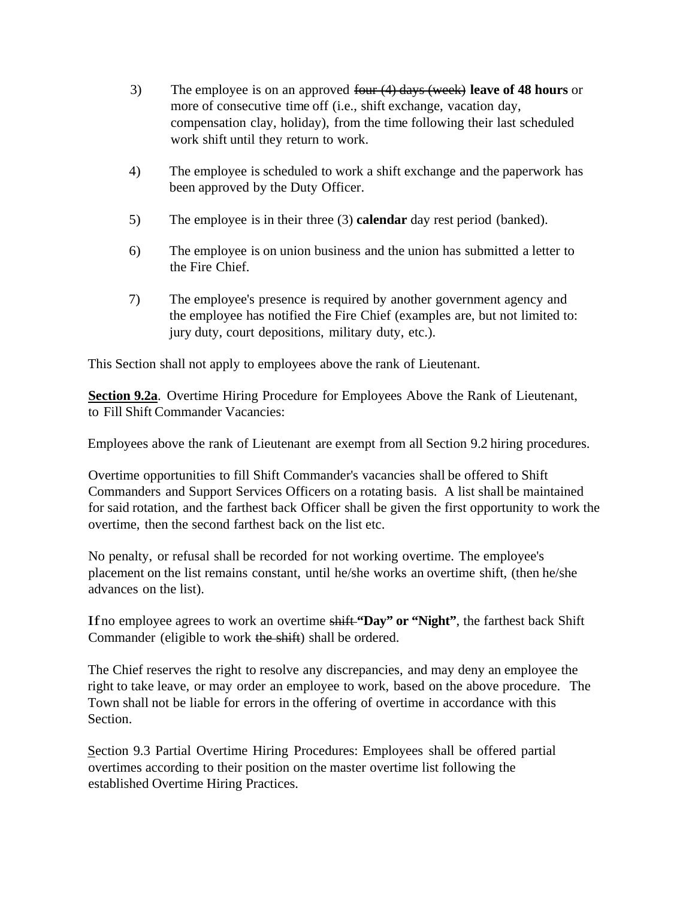- 3) The employee is on an approved four (4) days (week) **leave of 48 hours** or more of consecutive time off (i.e., shift exchange, vacation day, compensation clay, holiday), from the time following their last scheduled work shift until they return to work.
- 4) The employee is scheduled to work a shift exchange and the paperwork has been approved by the Duty Officer.
- 5) The employee is in their three (3) **calendar** day rest period (banked).
- 6) The employee is on union business and the union has submitted a letter to the Fire Chief.
- 7) The employee's presence is required by another government agency and the employee has notified the Fire Chief (examples are, but not limited to: jury duty, court depositions, military duty, etc.).

This Section shall not apply to employees above the rank of Lieutenant.

**Section 9.2a**. Overtime Hiring Procedure for Employees Above the Rank of Lieutenant, to Fill Shift Commander Vacancies:

Employees above the rank of Lieutenant are exempt from all Section 9.2 hiring procedures.

Overtime opportunities to fill Shift Commander's vacancies shall be offered to Shift Commanders and Support Services Officers on a rotating basis. A list shall be maintained for said rotation, and the farthest back Officer shall be given the first opportunity to work the overtime, then the second farthest back on the list etc.

No penalty, or refusal shall be recorded for not working overtime. The employee's placement on the list remains constant, until he/she works an overtime shift, (then he/she advances on the list).

If no employee agrees to work an overtime shift **"Day" or "Night"**, the farthest back Shift Commander (eligible to work the shift) shall be ordered.

The Chief reserves the right to resolve any discrepancies, and may deny an employee the right to take leave, or may order an employee to work, based on the above procedure. The Town shall not be liable for errors in the offering of overtime in accordance with this Section.

Section 9.3 Partial Overtime Hiring Procedures: Employees shall be offered partial overtimes according to their position on the master overtime list following the established Overtime Hiring Practices.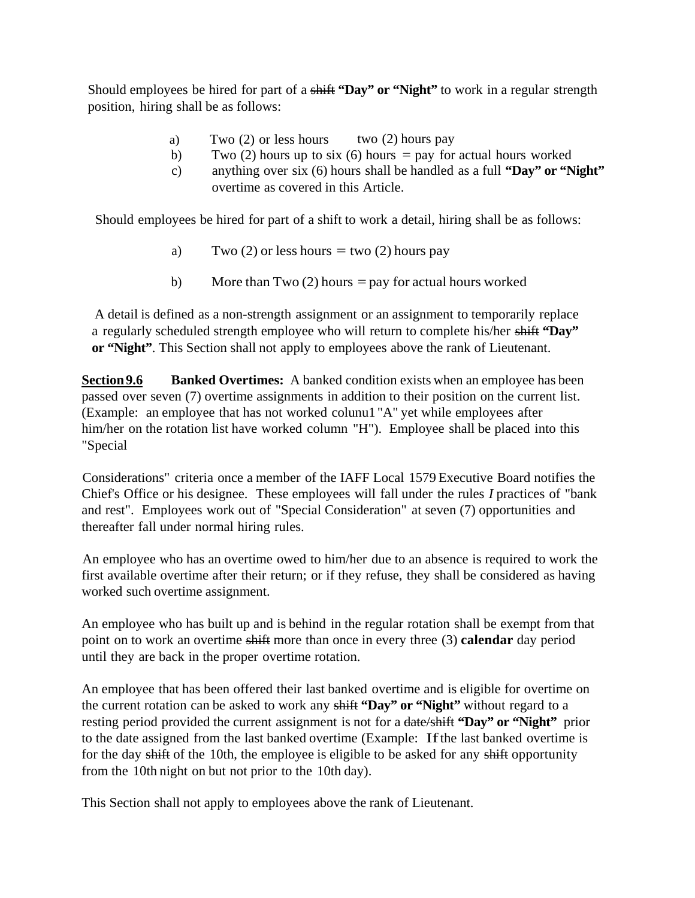Should employees be hired for part of a shift **"Day" or "Night"** to work in a regular strength position, hiring shall be as follows:

- a) Two  $(2)$  or less hours two  $(2)$  hours pay
- b) Two (2) hours up to six (6) hours = pay for actual hours worked
- c) anything over six (6) hours shall be handled as a full **"Day" or "Night"** overtime as covered in this Article.

Should employees be hired for part of a shift to work a detail, hiring shall be as follows:

- a) Two (2) or less hours  $=$  two (2) hours pay
- b) More than Two  $(2)$  hours = pay for actual hours worked

A detail is defined as a non-strength assignment or an assignment to temporarily replace a regularly scheduled strength employee who will return to complete his/her shift **"Day" or "Night"**. This Section shall not apply to employees above the rank of Lieutenant.

**Section 9.6** Banked Overtimes: A banked condition exists when an employee has been passed over seven (7) overtime assignments in addition to their position on the current list. (Example: an employee that has not worked colunu1 "A" yet while employees after him/her on the rotation list have worked column "H"). Employee shall be placed into this "Special

Considerations" criteria once a member of the IAFF Local 1579 Executive Board notifies the Chief's Office or his designee. These employees will fall under the rules *I* practices of "bank and rest". Employees work out of "Special Consideration" at seven (7) opportunities and thereafter fall under normal hiring rules.

An employee who has an overtime owed to him/her due to an absence is required to work the first available overtime after their return; or if they refuse, they shall be considered as having worked such overtime assignment.

An employee who has built up and is behind in the regular rotation shall be exempt from that point on to work an overtime shift more than once in every three (3) **calendar** day period until they are back in the proper overtime rotation.

An employee that has been offered their last banked overtime and is eligible for overtime on the current rotation can be asked to work any shift **"Day" or "Night"** without regard to a resting period provided the current assignment is not for a date/shift **"Day" or "Night"** prior to the date assigned from the last banked overtime (Example: If the last banked overtime is for the day shift of the 10th, the employee is eligible to be asked for any shift opportunity from the 10th night on but not prior to the 10th day).

This Section shall not apply to employees above the rank of Lieutenant.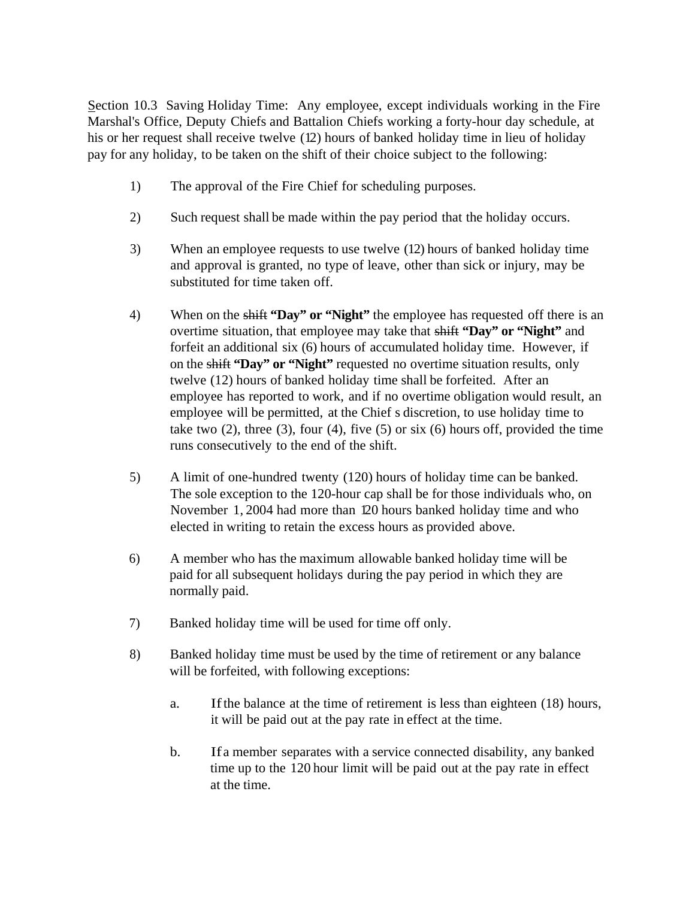Section 10.3 Saving Holiday Time: Any employee, except individuals working in the Fire Marshal's Office, Deputy Chiefs and Battalion Chiefs working a forty-hour day schedule, at his or her request shall receive twelve (12) hours of banked holiday time in lieu of holiday pay for any holiday, to be taken on the shift of their choice subject to the following:

- 1) The approval of the Fire Chief for scheduling purposes.
- 2) Such request shall be made within the pay period that the holiday occurs.
- 3) When an employee requests to use twelve (12) hours of banked holiday time and approval is granted, no type of leave, other than sick or injury, may be substituted for time taken off.
- 4) When on the shift **"Day" or "Night"** the employee has requested off there is an overtime situation, that employee may take that shift **"Day" or "Night"** and forfeit an additional six (6) hours of accumulated holiday time. However, if on the shift **"Day" or "Night"** requested no overtime situation results, only twelve (12) hours of banked holiday time shall be forfeited. After an employee has reported to work, and if no overtime obligation would result, an employee will be permitted, at the Chief s discretion, to use holiday time to take two  $(2)$ , three  $(3)$ , four  $(4)$ , five  $(5)$  or six  $(6)$  hours off, provided the time runs consecutively to the end of the shift.
- 5) A limit of one-hundred twenty (120) hours of holiday time can be banked. The sole exception to the 120-hour cap shall be for those individuals who, on November 1, 2004 had more than 120 hours banked holiday time and who elected in writing to retain the excess hours as provided above.
- 6) A member who has the maximum allowable banked holiday time will be paid for all subsequent holidays during the pay period in which they are normally paid.
- 7) Banked holiday time will be used for time off only.
- 8) Banked holiday time must be used by the time of retirement or any balance will be forfeited, with following exceptions:
	- a. If the balance at the time of retirement is less than eighteen (18) hours, it will be paid out at the pay rate in effect at the time.
	- b. If a member separates with a service connected disability, any banked time up to the 120 hour limit will be paid out at the pay rate in effect at the time.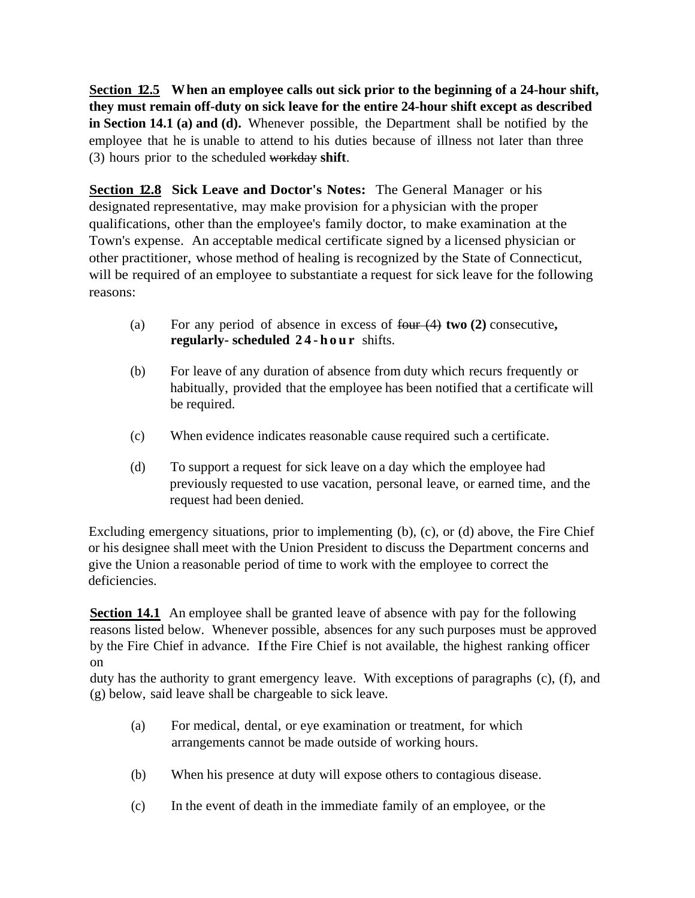**Section 12.5 When an employee calls out sick prior to the beginning of a 24-hour shift, they must remain off-duty on sick leave for the entire 24-hour shift except as described in Section 14.1 (a) and (d).** Whenever possible, the Department shall be notified by the employee that he is unable to attend to his duties because of illness not later than three (3) hours prior to the scheduled workday **shift**.

**Section 12.8 Sick Leave and Doctor's Notes:** The General Manager or his designated representative, may make provision for a physician with the proper qualifications, other than the employee's family doctor, to make examination at the Town's expense. An acceptable medical certificate signed by a licensed physician or other practitioner, whose method of healing is recognized by the State of Connecticut, will be required of an employee to substantiate a request for sick leave for the following reasons:

- (a) For any period of absence in excess of four (4) **two (2)** consecutive**, regularly- scheduled 24-hour** shifts.
- (b) For leave of any duration of absence from duty which recurs frequently or habitually, provided that the employee has been notified that a certificate will be required.
- (c) When evidence indicates reasonable cause required such a certificate.
- (d) To support a request for sick leave on a day which the employee had previously requested to use vacation, personal leave, or earned time, and the request had been denied.

Excluding emergency situations, prior to implementing (b), (c), or (d) above, the Fire Chief or his designee shall meet with the Union President to discuss the Department concerns and give the Union a reasonable period of time to work with the employee to correct the deficiencies.

**Section 14.1** An employee shall be granted leave of absence with pay for the following reasons listed below. Whenever possible, absences for any such purposes must be approved by the Fire Chief in advance. If the Fire Chief is not available, the highest ranking officer on

duty has the authority to grant emergency leave. With exceptions of paragraphs (c), (f), and (g) below, said leave shall be chargeable to sick leave.

- (a) For medical, dental, or eye examination or treatment, for which arrangements cannot be made outside of working hours.
- (b) When his presence at duty will expose others to contagious disease.
- (c) In the event of death in the immediate family of an employee, or the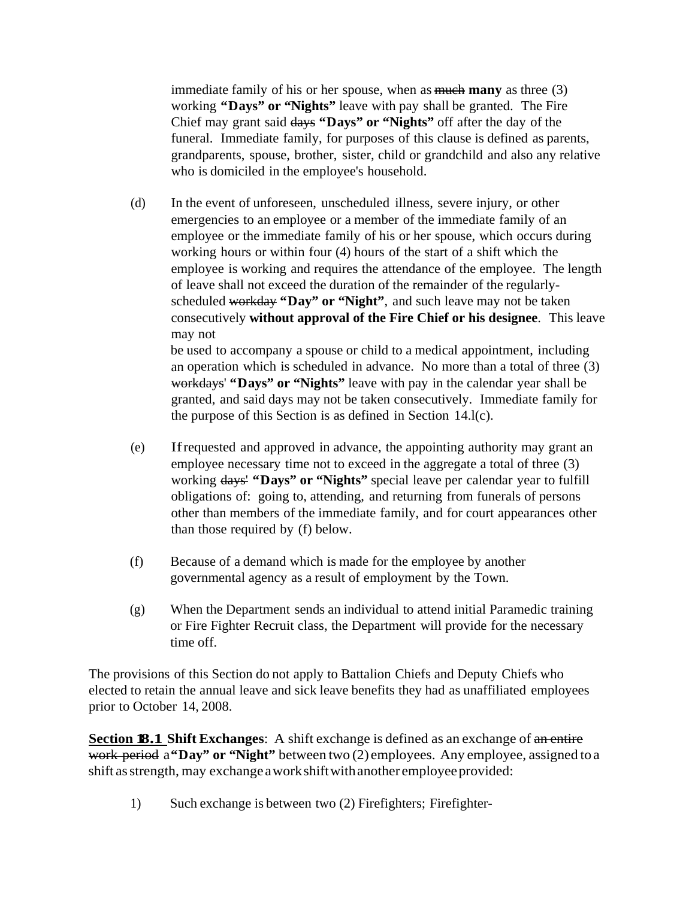immediate family of his or her spouse, when as much **many** as three (3) working **"Days" or "Nights"** leave with pay shall be granted. The Fire Chief may grant said days **"Days" or "Nights"** off after the day of the funeral. Immediate family, for purposes of this clause is defined as parents, grandparents, spouse, brother, sister, child or grandchild and also any relative who is domiciled in the employee's household.

(d) In the event of unforeseen, unscheduled illness, severe injury, or other emergencies to an employee or a member of the immediate family of an employee or the immediate family of his or her spouse, which occurs during working hours or within four (4) hours of the start of a shift which the employee is working and requires the attendance of the employee. The length of leave shall not exceed the duration of the remainder of the regularlyscheduled workday **"Day" or "Night"**, and such leave may not be taken consecutively **without approval of the Fire Chief or his designee**. This leave may not be used to accompany a spouse or child to a medical appointment, including

an operation which is scheduled in advance. No more than a total of three (3) workdays' **"Days" or "Nights"** leave with pay in the calendar year shall be granted, and said days may not be taken consecutively. Immediate family for the purpose of this Section is as defined in Section 14.l(c).

- (e) If requested and approved in advance, the appointing authority may grant an employee necessary time not to exceed in the aggregate a total of three (3) working days' **"Days" or "Nights"** special leave per calendar year to fulfill obligations of: going to, attending, and returning from funerals of persons other than members of the immediate family, and for court appearances other than those required by (f) below.
- (f) Because of a demand which is made for the employee by another governmental agency as a result of employment by the Town.
- (g) When the Department sends an individual to attend initial Paramedic training or Fire Fighter Recruit class, the Department will provide for the necessary time off.

The provisions of this Section do not apply to Battalion Chiefs and Deputy Chiefs who elected to retain the annual leave and sick leave benefits they had as unaffiliated employees prior to October 14, 2008.

**Section 18.1 Shift Exchanges:** A shift exchange is defined as an exchange of an entire work period a **"Day" or "Night"** between two (2) employees. Any employee, assigned to a shift as strength, may exchange a work shift with another employee provided:

1) Such exchange is between two (2) Firefighters; Firefighter-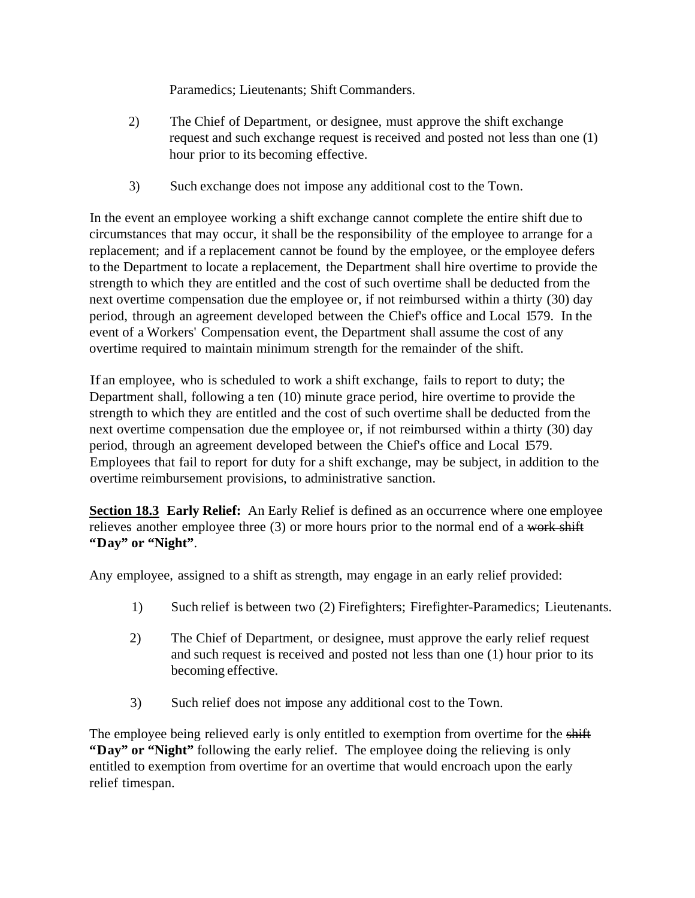Paramedics; Lieutenants; Shift Commanders.

- 2) The Chief of Department, or designee, must approve the shift exchange request and such exchange request is received and posted not less than one (1) hour prior to its becoming effective.
- 3) Such exchange does not impose any additional cost to the Town.

In the event an employee working a shift exchange cannot complete the entire shift due to circumstances that may occur, it shall be the responsibility of the employee to arrange for a replacement; and if a replacement cannot be found by the employee, or the employee defers to the Department to locate a replacement, the Department shall hire overtime to provide the strength to which they are entitled and the cost of such overtime shall be deducted from the next overtime compensation due the employee or, if not reimbursed within a thirty (30) day period, through an agreement developed between the Chief's office and Local 1579. In the event of a Workers' Compensation event, the Department shall assume the cost of any overtime required to maintain minimum strength for the remainder of the shift.

If an employee, who is scheduled to work a shift exchange, fails to report to duty; the Department shall, following a ten (10) minute grace period, hire overtime to provide the strength to which they are entitled and the cost of such overtime shall be deducted from the next overtime compensation due the employee or, if not reimbursed within a thirty (30) day period, through an agreement developed between the Chief's office and Local 1579. Employees that fail to report for duty for a shift exchange, may be subject, in addition to the overtime reimbursement provisions, to administrative sanction.

**Section 18.3 Early Relief:** An Early Relief is defined as an occurrence where one employee relieves another employee three  $(3)$  or more hours prior to the normal end of a work shift **"Day" or "Night"**.

Any employee, assigned to a shift as strength, may engage in an early relief provided:

- 1) Such relief is between two (2) Firefighters; Firefighter-Paramedics; Lieutenants.
- 2) The Chief of Department, or designee, must approve the early relief request and such request is received and posted not less than one (1) hour prior to its becoming effective.
- 3) Such relief does not impose any additional cost to the Town.

The employee being relieved early is only entitled to exemption from overtime for the shift **"Day" or "Night"** following the early relief. The employee doing the relieving is only entitled to exemption from overtime for an overtime that would encroach upon the early relief timespan.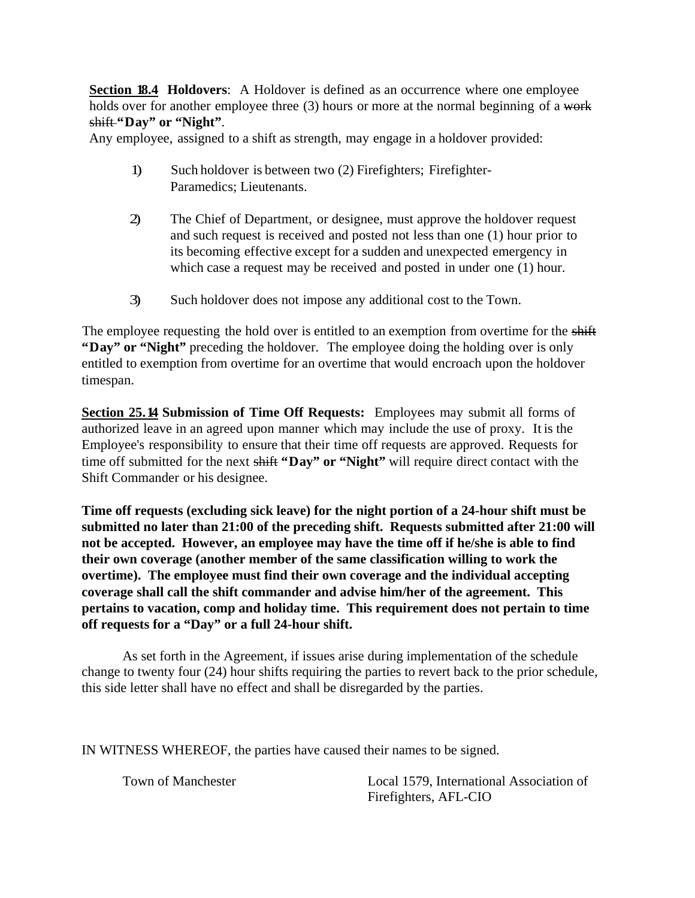**Section 18.4 Holdovers:** A Holdover is defined as an occurrence where one employee holds over for another employee three (3) hours or more at the normal beginning of a work shift **"Day" or "Night"**.

Any employee, assigned to a shift as strength, may engage in a holdover provided:

- 1) Such holdover is between two (2) Firefighters; Firefighter-Paramedics; Lieutenants.
- 2) The Chief of Department, or designee, must approve the holdover request and such request is received and posted not less than one (1) hour prior to its becoming effective except for a sudden and unexpected emergency in which case a request may be received and posted in under one (1) hour.
- 3) Such holdover does not impose any additional cost to the Town.

The employee requesting the hold over is entitled to an exemption from overtime for the shift **"Day" or "Night"** preceding the holdover. The employee doing the holding over is only entitled to exemption from overtime for an overtime that would encroach upon the holdover timespan.

**Section 25.14 Submission of Time Off Requests:** Employees may submit all forms of authorized leave in an agreed upon manner which may include the use of proxy. It is the Employee's responsibility to ensure that their time off requests are approved. Requests for time off submitted for the next shift **"Day" or "Night"** will require direct contact with the Shift Commander or his designee.

**Time off requests (excluding sick leave) for the night portion of a 24-hour shift must be submitted no later than 21:00 of the preceding shift. Requests submitted after 21:00 will not be accepted. However, an employee may have the time off if he/she is able to find their own coverage (another member of the same classification willing to work the overtime). The employee must find their own coverage and the individual accepting coverage shall call the shift commander and advise him/her of the agreement. This pertains to vacation, comp and holiday time. This requirement does not pertain to time off requests for a "Day" or a full 24-hour shift.** 

 As set forth in the Agreement, if issues arise during implementation of the schedule change to twenty four (24) hour shifts requiring the parties to revert back to the prior schedule, this side letter shall have no effect and shall be disregarded by the parties.

IN WITNESS WHEREOF, the parties have caused their names to be signed.

 Town of Manchester Local 1579, International Association of Firefighters, AFL-CIO